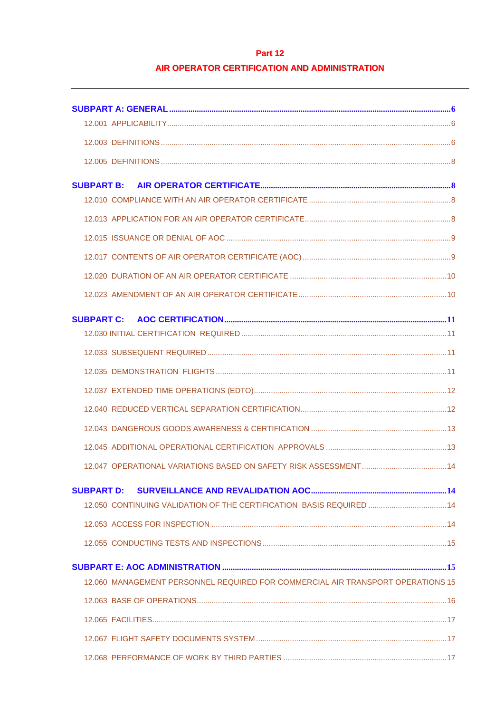# Part 12

# AIR OPERATOR CERTIFICATION AND ADMINISTRATION

| <b>SUBPART B:</b>                                                               |  |
|---------------------------------------------------------------------------------|--|
|                                                                                 |  |
|                                                                                 |  |
|                                                                                 |  |
|                                                                                 |  |
|                                                                                 |  |
|                                                                                 |  |
| <b>SUBPART C:</b>                                                               |  |
|                                                                                 |  |
|                                                                                 |  |
|                                                                                 |  |
|                                                                                 |  |
|                                                                                 |  |
|                                                                                 |  |
|                                                                                 |  |
|                                                                                 |  |
| <b>SUBPART D:</b>                                                               |  |
| 12.050 CONTINUING VALIDATION OF THE CERTIFICATION BASIS REQUIRED  14            |  |
|                                                                                 |  |
|                                                                                 |  |
|                                                                                 |  |
| 12.060 MANAGEMENT PERSONNEL REQUIRED FOR COMMERCIAL AIR TRANSPORT OPERATIONS 15 |  |
|                                                                                 |  |
|                                                                                 |  |
|                                                                                 |  |
|                                                                                 |  |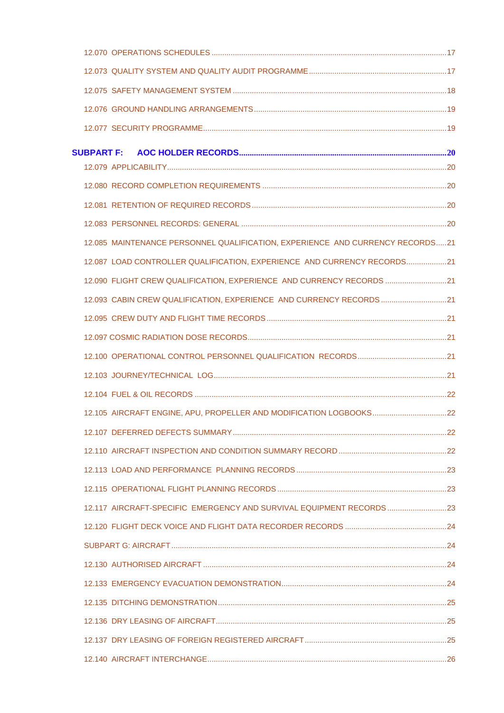| 12.085 MAINTENANCE PERSONNEL QUALIFICATION, EXPERIENCE AND CURRENCY RECORDS21 |  |
|-------------------------------------------------------------------------------|--|
| 12.087 LOAD CONTROLLER QUALIFICATION, EXPERIENCE AND CURRENCY RECORDS21       |  |
| 12.090 FLIGHT CREW QUALIFICATION, EXPERIENCE AND CURRENCY RECORDS 21          |  |
| 12.093 CABIN CREW QUALIFICATION, EXPERIENCE AND CURRENCY RECORDS 21           |  |
|                                                                               |  |
|                                                                               |  |
|                                                                               |  |
|                                                                               |  |
|                                                                               |  |
|                                                                               |  |
|                                                                               |  |
|                                                                               |  |
|                                                                               |  |
|                                                                               |  |
| 12.117 AIRCRAFT-SPECIFIC EMERGENCY AND SURVIVAL EQUIPMENT RECORDS23           |  |
|                                                                               |  |
|                                                                               |  |
|                                                                               |  |
|                                                                               |  |
|                                                                               |  |
|                                                                               |  |
|                                                                               |  |
|                                                                               |  |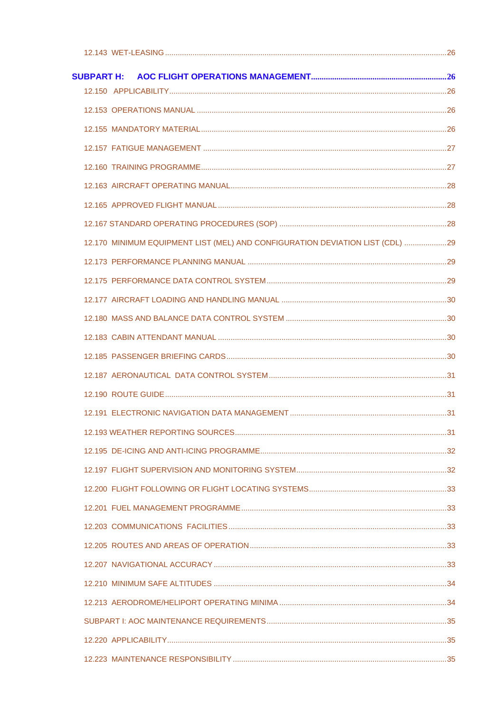| <b>SUBPART H:</b> |                                                                               |  |
|-------------------|-------------------------------------------------------------------------------|--|
|                   |                                                                               |  |
|                   |                                                                               |  |
|                   |                                                                               |  |
|                   |                                                                               |  |
|                   |                                                                               |  |
|                   |                                                                               |  |
|                   |                                                                               |  |
|                   |                                                                               |  |
|                   | 12.170 MINIMUM EQUIPMENT LIST (MEL) AND CONFIGURATION DEVIATION LIST (CDL) 29 |  |
|                   |                                                                               |  |
|                   |                                                                               |  |
|                   |                                                                               |  |
|                   |                                                                               |  |
|                   |                                                                               |  |
|                   |                                                                               |  |
|                   |                                                                               |  |
|                   |                                                                               |  |
|                   |                                                                               |  |
|                   |                                                                               |  |
|                   |                                                                               |  |
|                   |                                                                               |  |
|                   |                                                                               |  |
|                   |                                                                               |  |
|                   |                                                                               |  |
|                   |                                                                               |  |
|                   |                                                                               |  |
|                   |                                                                               |  |
|                   |                                                                               |  |
|                   |                                                                               |  |
|                   |                                                                               |  |
|                   |                                                                               |  |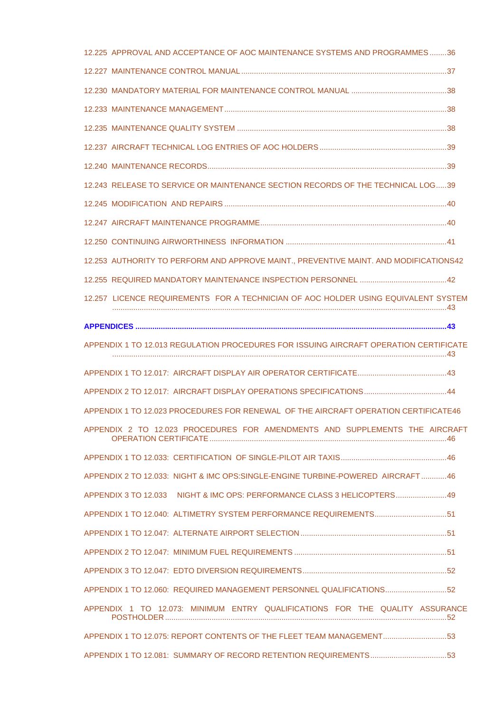| 12.225 APPROVAL AND ACCEPTANCE OF AOC MAINTENANCE SYSTEMS AND PROGRAMMES36            |  |
|---------------------------------------------------------------------------------------|--|
|                                                                                       |  |
|                                                                                       |  |
|                                                                                       |  |
|                                                                                       |  |
|                                                                                       |  |
|                                                                                       |  |
| 12.243 RELEASE TO SERVICE OR MAINTENANCE SECTION RECORDS OF THE TECHNICAL LOG39       |  |
|                                                                                       |  |
|                                                                                       |  |
|                                                                                       |  |
| 12.253 AUTHORITY TO PERFORM AND APPROVE MAINT., PREVENTIVE MAINT. AND MODIFICATIONS42 |  |
|                                                                                       |  |
| 12.257 LICENCE REQUIREMENTS FOR A TECHNICIAN OF AOC HOLDER USING EQUIVALENT SYSTEM    |  |
|                                                                                       |  |
| APPENDIX 1 TO 12.013 REGULATION PROCEDURES FOR ISSUING AIRCRAFT OPERATION CERTIFICATE |  |
|                                                                                       |  |
|                                                                                       |  |
|                                                                                       |  |
| APPENDIX 1 TO 12.023 PROCEDURES FOR RENEWAL OF THE AIRCRAFT OPERATION CERTIFICATE46   |  |
| APPENDIX 2 TO 12.023 PROCEDURES FOR AMENDMENTS AND SUPPLEMENTS THE AIRCRAFT           |  |
|                                                                                       |  |
| APPENDIX 2 TO 12.033: NIGHT & IMC OPS:SINGLE-ENGINE TURBINE-POWERED AIRCRAFT46        |  |
| APPENDIX 3 TO 12.033 NIGHT & IMC OPS: PERFORMANCE CLASS 3 HELICOPTERS49               |  |
| APPENDIX 1 TO 12.040: ALTIMETRY SYSTEM PERFORMANCE REQUIREMENTS51                     |  |
|                                                                                       |  |
|                                                                                       |  |
|                                                                                       |  |
| APPENDIX 1 TO 12.060: REQUIRED MANAGEMENT PERSONNEL QUALIFICATIONS52                  |  |
| APPENDIX 1 TO 12.073: MINIMUM ENTRY QUALIFICATIONS FOR THE QUALITY ASSURANCE          |  |
| APPENDIX 1 TO 12.075: REPORT CONTENTS OF THE FLEET TEAM MANAGEMENT 53                 |  |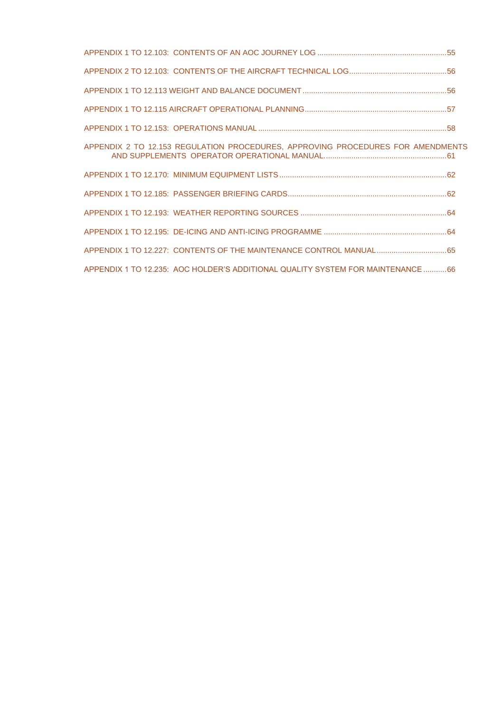| APPENDIX 2 TO 12.153 REGULATION PROCEDURES, APPROVING PROCEDURES FOR AMENDMENTS |  |
|---------------------------------------------------------------------------------|--|
|                                                                                 |  |
|                                                                                 |  |
|                                                                                 |  |
|                                                                                 |  |
| APPENDIX 1 TO 12.227: CONTENTS OF THE MAINTENANCE CONTROL MANUAL65              |  |
| APPENDIX 1 TO 12.235: AOC HOLDER'S ADDITIONAL QUALITY SYSTEM FOR MAINTENANCE66  |  |
|                                                                                 |  |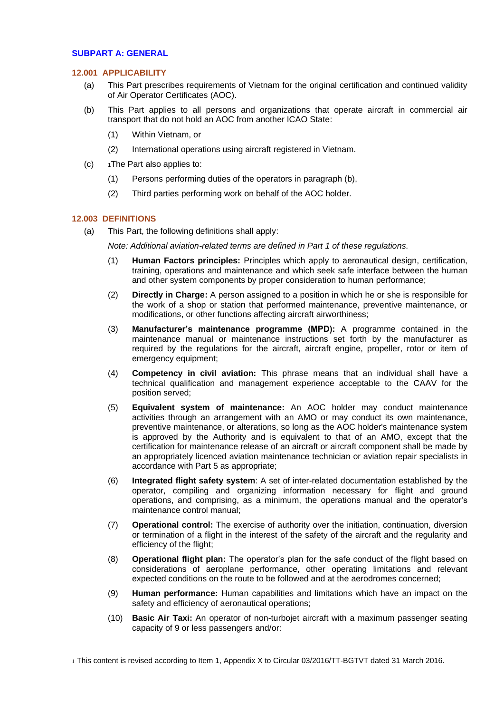# <span id="page-5-1"></span><span id="page-5-0"></span>**SUBPART A: GENERAL**

#### **12.001 APPLICABILITY**

- (a) This Part prescribes requirements of Vietnam for the original certification and continued validity of Air Operator Certificates (AOC).
- (b) This Part applies to all persons and organizations that operate aircraft in commercial air transport that do not hold an AOC from another ICAO State:
	- (1) Within Vietnam, or
	- (2) International operations using aircraft registered in Vietnam.
- (c) <sup>1</sup>The Part also applies to:
	- (1) Persons performing duties of the operators in paragraph (b),
	- (2) Third parties performing work on behalf of the AOC holder.

# <span id="page-5-2"></span>**12.003 DEFINITIONS**

(a) This Part, the following definitions shall apply:

*Note: Additional aviation-related terms are defined in Part 1 of these regulations.*

- (1) **Human Factors principles:** Principles which apply to aeronautical design, certification, training, operations and maintenance and which seek safe interface between the human and other system components by proper consideration to human performance;
- (2) **Directly in Charge:** A person assigned to a position in which he or she is responsible for the work of a shop or station that performed maintenance, preventive maintenance, or modifications, or other functions affecting aircraft airworthiness;
- (3) **Manufacturer's maintenance programme (MPD):** A programme contained in the maintenance manual or maintenance instructions set forth by the manufacturer as required by the regulations for the aircraft, aircraft engine, propeller, rotor or item of emergency equipment;
- (4) **Competency in civil aviation:** This phrase means that an individual shall have a technical qualification and management experience acceptable to the CAAV for the position served;
- (5) **Equivalent system of maintenance:** An AOC holder may conduct maintenance activities through an arrangement with an AMO or may conduct its own maintenance, preventive maintenance, or alterations, so long as the AOC holder's maintenance system is approved by the Authority and is equivalent to that of an AMO, except that the certification for maintenance release of an aircraft or aircraft component shall be made by an appropriately licenced aviation maintenance technician or aviation repair specialists in accordance with Part 5 as appropriate;
- (6) **Integrated flight safety system**: A set of inter-related documentation established by the operator, compiling and organizing information necessary for flight and ground operations, and comprising, as a minimum, the operations manual and the operator's maintenance control manual;
- (7) **Operational control:** The exercise of authority over the initiation, continuation, diversion or termination of a flight in the interest of the safety of the aircraft and the regularity and efficiency of the flight;
- (8) **Operational flight plan:** The operator's plan for the safe conduct of the flight based on considerations of aeroplane performance, other operating limitations and relevant expected conditions on the route to be followed and at the aerodromes concerned;
- (9) **Human performance:** Human capabilities and limitations which have an impact on the safety and efficiency of aeronautical operations;
- (10) **Basic Air Taxi:** An operator of non-turbojet aircraft with a maximum passenger seating capacity of 9 or less passengers and/or:

1 This content is revised according to Item 1, Appendix X to Circular 03/2016/TT-BGTVT dated 31 March 2016.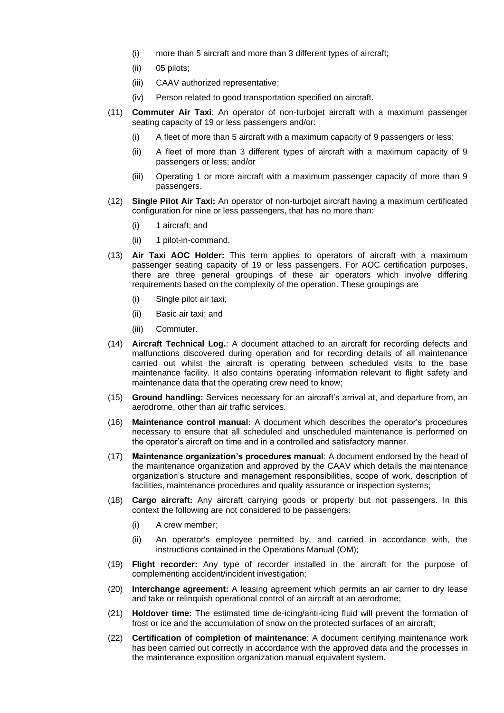- (i) more than 5 aircraft and more than 3 different types of aircraft;
- (ii) 05 pilots;
- (iii) CAAV authorized representative;
- (iv) Person related to good transportation specified on aircraft.
- (11) **Commuter Air Taxi**: An operator of non-turbojet aircraft with a maximum passenger seating capacity of 19 or less passengers and/or:
	- (i) A fleet of more than 5 aircraft with a maximum capacity of 9 passengers or less;
	- (ii) A fleet of more than 3 different types of aircraft with a maximum capacity of 9 passengers or less; and/or
	- (iii) Operating 1 or more aircraft with a maximum passenger capacity of more than 9 passengers.
- (12) **Single Pilot Air Taxi:** An operator of non-turbojet aircraft having a maximum certificated configuration for nine or less passengers, that has no more than:
	- (i) 1 aircraft; and
	- (ii) 1 pilot-in-command.
- (13) **Air Taxi AOC Holder:** This term applies to operators of aircraft with a maximum passenger seating capacity of 19 or less passengers. For AOC certification purposes, there are three general groupings of these air operators which involve differing requirements based on the complexity of the operation. These groupings are
	- (i) Single pilot air taxi;
	- (ii) Basic air taxi; and
	- (iii) Commuter.
- (14) **Aircraft Technical Log.**: A document attached to an aircraft for recording defects and malfunctions discovered during operation and for recording details of all maintenance carried out whilst the aircraft is operating between scheduled visits to the base maintenance facility. It also contains operating information relevant to flight safety and maintenance data that the operating crew need to know;
- (15) **Ground handling:** Services necessary for an aircraft's arrival at, and departure from, an aerodrome, other than air traffic services.
- (16) **Maintenance control manual:** A document which describes the operator's procedures necessary to ensure that all scheduled and unscheduled maintenance is performed on the operator's aircraft on time and in a controlled and satisfactory manner.
- (17) **Maintenance organization's procedures manual**: A document endorsed by the head of the maintenance organization and approved by the CAAV which details the maintenance organization's structure and management responsibilities, scope of work, description of facilities, maintenance procedures and quality assurance or inspection systems;
- (18) **Cargo aircraft:** Any aircraft carrying goods or property but not passengers. In this context the following are not considered to be passengers:
	- (i) A crew member;
	- (ii) An operator's employee permitted by, and carried in accordance with, the instructions contained in the Operations Manual (OM);
- (19) **Flight recorder:** Any type of recorder installed in the aircraft for the purpose of complementing accident/incident investigation;
- (20) **Interchange agreement:** A leasing agreement which permits an air carrier to dry lease and take or relinquish operational control of an aircraft at an aerodrome:
- (21) **Holdover time:** The estimated time de-icing/anti-icing fluid will prevent the formation of frost or ice and the accumulation of snow on the protected surfaces of an aircraft;
- (22) **Certification of completion of maintenance**: A document certifying maintenance work has been carried out correctly in accordance with the approved data and the processes in the maintenance exposition organization manual equivalent system.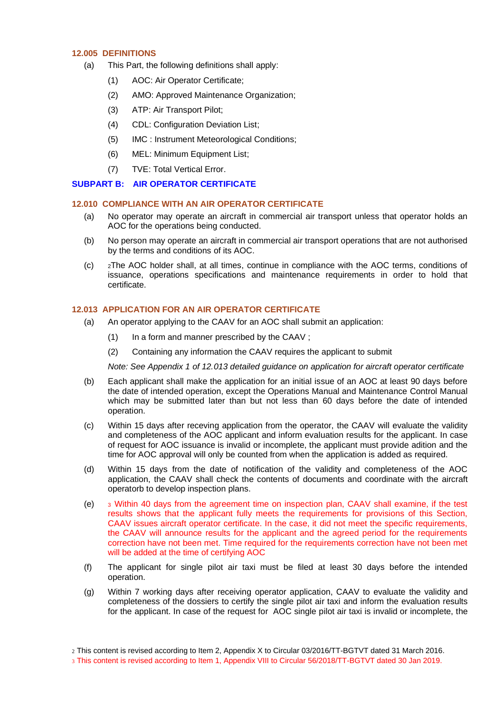#### <span id="page-7-0"></span>**12.005 DEFINITIONS**

- (a) This Part, the following definitions shall apply:
	- (1) AOC: Air Operator Certificate;
	- (2) AMO: Approved Maintenance Organization;
	- (3) ATP: Air Transport Pilot;
	- (4) CDL: Configuration Deviation List;
	- (5) IMC : Instrument Meteorological Conditions;
	- (6) MEL: Minimum Equipment List;
	- (7) TVE: Total Vertical Error.

# <span id="page-7-2"></span><span id="page-7-1"></span>**SUBPART B: AIR OPERATOR CERTIFICATE**

#### **12.010 COMPLIANCE WITH AN AIR OPERATOR CERTIFICATE**

- (a) No operator may operate an aircraft in commercial air transport unless that operator holds an AOC for the operations being conducted.
- (b) No person may operate an aircraft in commercial air transport operations that are not authorised by the terms and conditions of its AOC.
- (c) <sup>2</sup>The AOC holder shall, at all times, continue in compliance with the AOC terms, conditions of issuance, operations specifications and maintenance requirements in order to hold that certificate.

#### <span id="page-7-3"></span>**12.013 APPLICATION FOR AN AIR OPERATOR CERTIFICATE**

- (a) An operator applying to the CAAV for an AOC shall submit an application:
	- (1) In a form and manner prescribed by the CAAV ;
	- (2) Containing any information the CAAV requires the applicant to submit

*Note: See Appendix 1 of 12.013 detailed guidance on application for aircraft operator certificate*

- (b) Each applicant shall make the application for an initial issue of an AOC at least 90 days before the date of intended operation, except the Operations Manual and Maintenance Control Manual which may be submitted later than but not less than 60 days before the date of intended operation.
- (c) Within 15 days after receving application from the operator, the CAAV will evaluate the validity and completeness of the AOC applicant and inform evaluation results for the applicant. In case of request for AOC issuance is invalid or incomplete, the applicant must provide adition and the time for AOC approval will only be counted from when the application is added as required.
- (d) Within 15 days from the date of notification of the validity and completeness of the AOC application, the CAAV shall check the contents of documents and coordinate with the aircraft operatorb to develop inspection plans.
- (e) <sup>3</sup> Within 40 days from the agreement time on inspection plan, CAAV shall examine, if the test results shows that the applicant fully meets the requirements for provisions of this Section, CAAV issues aircraft operator certificate. In the case, it did not meet the specific requirements. the CAAV will announce results for the applicant and the agreed period for the requirements correction have not been met. Time required for the requirements correction have not been met will be added at the time of certifying AOC
- (f) The applicant for single pilot air taxi must be filed at least 30 days before the intended operation.
- (g) Within 7 working days after receiving operator application, CAAV to evaluate the validity and completeness of the dossiers to certify the single pilot air taxi and inform the evaluation results for the applicant. In case of the request for AOC single pilot air taxi is invalid or incomplete, the

<sup>2</sup> This content is revised according to Item 2, Appendix X to Circular 03/2016/TT-BGTVT dated 31 March 2016.

<sup>3</sup> This content is revised according to Item 1, Appendix VIII to Circular 56/2018/TT-BGTVT dated 30 Jan 2019.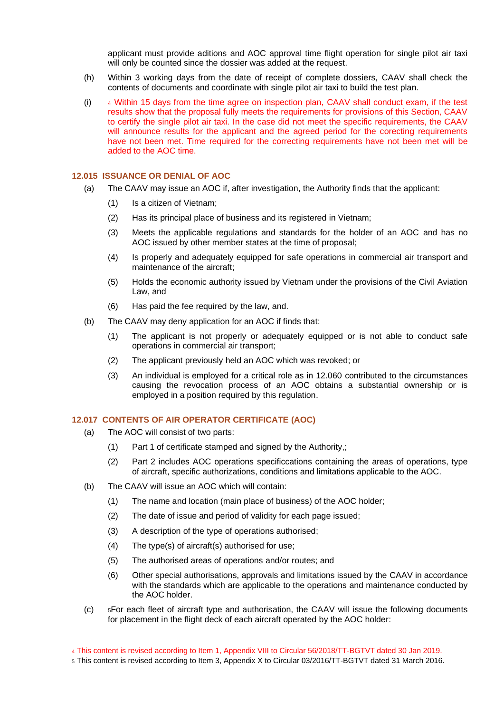applicant must provide aditions and AOC approval time flight operation for single pilot air taxi will only be counted since the dossier was added at the request.

- (h) Within 3 working days from the date of receipt of complete dossiers, CAAV shall check the contents of documents and coordinate with single pilot air taxi to build the test plan.
- $(i)$  4 Within 15 days from the time agree on inspection plan, CAAV shall conduct exam, if the test results show that the proposal fully meets the requirements for provisions of this Section, CAAV to certify the single pilot air taxi. In the case did not meet the specific requirements, the CAAV will announce results for the applicant and the agreed period for the corecting requirements have not been met. Time required for the correcting requirements have not been met will be added to the AOC time.

#### <span id="page-8-0"></span>**12.015 ISSUANCE OR DENIAL OF AOC**

- (a) The CAAV may issue an AOC if, after investigation, the Authority finds that the applicant:
	- (1) Is a citizen of Vietnam;
	- (2) Has its principal place of business and its registered in Vietnam;
	- (3) Meets the applicable regulations and standards for the holder of an AOC and has no AOC issued by other member states at the time of proposal;
	- (4) Is properly and adequately equipped for safe operations in commercial air transport and maintenance of the aircraft;
	- (5) Holds the economic authority issued by Vietnam under the provisions of the Civil Aviation Law, and
	- (6) Has paid the fee required by the law, and.
- (b) The CAAV may deny application for an AOC if finds that:
	- (1) The applicant is not properly or adequately equipped or is not able to conduct safe operations in commercial air transport;
	- (2) The applicant previously held an AOC which was revoked; or
	- (3) An individual is employed for a critical role as in 12.060 contributed to the circumstances causing the revocation process of an AOC obtains a substantial ownership or is employed in a position required by this regulation.

#### <span id="page-8-1"></span>**12.017 CONTENTS OF AIR OPERATOR CERTIFICATE (AOC)**

- (a) The AOC will consist of two parts:
	- (1) Part 1 of certificate stamped and signed by the Authority,;
	- (2) Part 2 includes AOC operations specificcations containing the areas of operations, type of aircraft, specific authorizations, conditions and limitations applicable to the AOC.
- (b) The CAAV will issue an AOC which will contain:
	- (1) The name and location (main place of business) of the AOC holder;
	- (2) The date of issue and period of validity for each page issued;
	- (3) A description of the type of operations authorised;
	- (4) The type(s) of aircraft(s) authorised for use;
	- (5) The authorised areas of operations and/or routes; and
	- (6) Other special authorisations, approvals and limitations issued by the CAAV in accordance with the standards which are applicable to the operations and maintenance conducted by the AOC holder.
- (c) <sup>5</sup>For each fleet of aircraft type and authorisation, the CAAV will issue the following documents for placement in the flight deck of each aircraft operated by the AOC holder:
- 4 This content is revised according to Item 1, Appendix VIII to Circular 56/2018/TT-BGTVT dated 30 Jan 2019.
- 5 This content is revised according to Item 3, Appendix X to Circular 03/2016/TT-BGTVT dated 31 March 2016.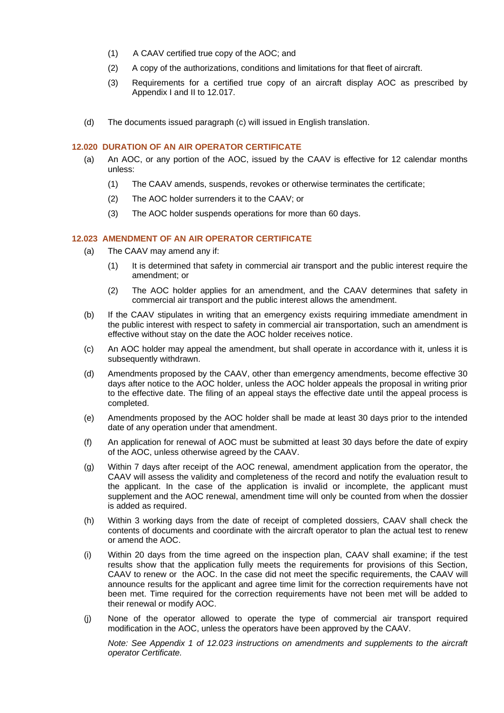- (1) A CAAV certified true copy of the AOC; and
- (2) A copy of the authorizations, conditions and limitations for that fleet of aircraft.
- (3) Requirements for a certified true copy of an aircraft display AOC as prescribed by Appendix I and II to 12.017.
- (d) The documents issued paragraph (c) will issued in English translation.

# <span id="page-9-0"></span>**12.020 DURATION OF AN AIR OPERATOR CERTIFICATE**

- (a) An AOC, or any portion of the AOC, issued by the CAAV is effective for 12 calendar months unless:
	- (1) The CAAV amends, suspends, revokes or otherwise terminates the certificate;
	- (2) The AOC holder surrenders it to the CAAV; or
	- (3) The AOC holder suspends operations for more than 60 days.

# <span id="page-9-1"></span>**12.023 AMENDMENT OF AN AIR OPERATOR CERTIFICATE**

- (a) The CAAV may amend any if:
	- (1) It is determined that safety in commercial air transport and the public interest require the amendment; or
	- (2) The AOC holder applies for an amendment, and the CAAV determines that safety in commercial air transport and the public interest allows the amendment.
- (b) If the CAAV stipulates in writing that an emergency exists requiring immediate amendment in the public interest with respect to safety in commercial air transportation, such an amendment is effective without stay on the date the AOC holder receives notice.
- (c) An AOC holder may appeal the amendment, but shall operate in accordance with it, unless it is subsequently withdrawn.
- (d) Amendments proposed by the CAAV, other than emergency amendments, become effective 30 days after notice to the AOC holder, unless the AOC holder appeals the proposal in writing prior to the effective date. The filing of an appeal stays the effective date until the appeal process is completed.
- (e) Amendments proposed by the AOC holder shall be made at least 30 days prior to the intended date of any operation under that amendment.
- (f) An application for renewal of AOC must be submitted at least 30 days before the date of expiry of the AOC, unless otherwise agreed by the CAAV.
- (g) Within 7 days after receipt of the AOC renewal, amendment application from the operator, the CAAV will assess the validity and completeness of the record and notify the evaluation result to the applicant. In the case of the application is invalid or incomplete, the applicant must supplement and the AOC renewal, amendment time will only be counted from when the dossier is added as required.
- (h) Within 3 working days from the date of receipt of completed dossiers, CAAV shall check the contents of documents and coordinate with the aircraft operator to plan the actual test to renew or amend the AOC.
- (i) Within 20 days from the time agreed on the inspection plan, CAAV shall examine; if the test results show that the application fully meets the requirements for provisions of this Section, CAAV to renew or the AOC. In the case did not meet the specific requirements, the CAAV will announce results for the applicant and agree time limit for the correction requirements have not been met. Time required for the correction requirements have not been met will be added to their renewal or modify AOC.
- (j) None of the operator allowed to operate the type of commercial air transport required modification in the AOC, unless the operators have been approved by the CAAV.

*Note: See Appendix 1 of 12.023 instructions on amendments and supplements to the aircraft operator Certificate.*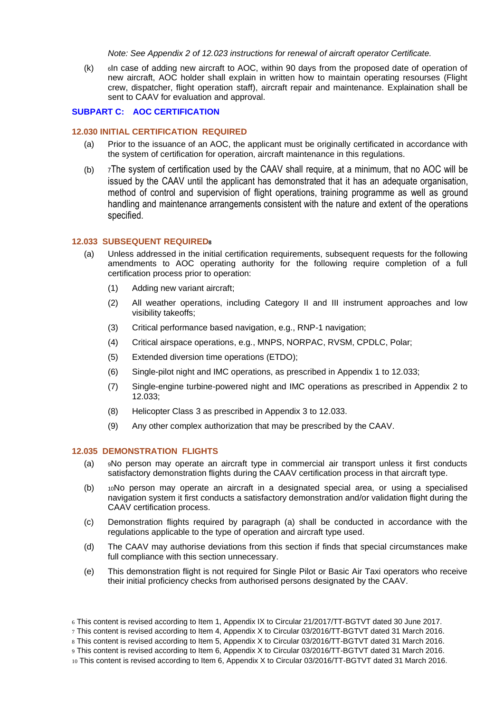*Note: See Appendix 2 of 12.023 instructions for renewal of aircraft operator Certificate.*

(k) <sup>6</sup>In case of adding new aircraft to AOC, within 90 days from the proposed date of operation of new aircraft, AOC holder shall explain in written how to maintain operating resourses (Flight crew, dispatcher, flight operation staff), aircraft repair and maintenance. Explaination shall be sent to CAAV for evaluation and approval.

# <span id="page-10-1"></span><span id="page-10-0"></span>**SUBPART C: AOC CERTIFICATION**

#### **12.030 INITIAL CERTIFICATION REQUIRED**

- (a) Prior to the issuance of an AOC, the applicant must be originally certificated in accordance with the system of certification for operation, aircraft maintenance in this regulations.
- (b) <sup>7</sup>The system of certification used by the CAAV shall require, at a minimum, that no AOC will be issued by the CAAV until the applicant has demonstrated that it has an adequate organisation, method of control and supervision of flight operations, training programme as well as ground handling and maintenance arrangements consistent with the nature and extent of the operations specified.

#### <span id="page-10-2"></span>**12.033 SUBSEQUENT REQUIRED<sup>8</sup>**

- (a) Unless addressed in the initial certification requirements, subsequent requests for the following amendments to AOC operating authority for the following require completion of a full certification process prior to operation:
	- (1) Adding new variant aircraft;
	- (2) All weather operations, including Category II and III instrument approaches and low visibility takeoffs;
	- (3) Critical performance based navigation, e.g., RNP-1 navigation;
	- (4) Critical airspace operations, e.g., MNPS, NORPAC, RVSM, CPDLC, Polar;
	- (5) Extended diversion time operations (ETDO);
	- (6) Single-pilot night and IMC operations, as prescribed in Appendix 1 to 12.033;
	- (7) Single-engine turbine-powered night and IMC operations as prescribed in Appendix 2 to 12.033;
	- (8) Helicopter Class 3 as prescribed in Appendix 3 to 12.033.
	- (9) Any other complex authorization that may be prescribed by the CAAV.

#### <span id="page-10-3"></span>**12.035 DEMONSTRATION FLIGHTS**

- (a) <sup>9</sup>No person may operate an aircraft type in commercial air transport unless it first conducts satisfactory demonstration flights during the CAAV certification process in that aircraft type.
- (b) <sup>10</sup>No person may operate an aircraft in a designated special area, or using a specialised navigation system it first conducts a satisfactory demonstration and/or validation flight during the CAAV certification process.
- (c) Demonstration flights required by paragraph (a) shall be conducted in accordance with the regulations applicable to the type of operation and aircraft type used.
- (d) The CAAV may authorise deviations from this section if finds that special circumstances make full compliance with this section unnecessary.
- (e) This demonstration flight is not required for Single Pilot or Basic Air Taxi operators who receive their initial proficiency checks from authorised persons designated by the CAAV.

<sup>6</sup> This content is revised according to Item 1, Appendix IX to Circular 21/2017/TT-BGTVT dated 30 June 2017.

<sup>7</sup> This content is revised according to Item 4, Appendix X to Circular 03/2016/TT-BGTVT dated 31 March 2016.

<sup>8</sup> This content is revised according to Item 5, Appendix X to Circular 03/2016/TT-BGTVT dated 31 March 2016.

<sup>9</sup> This content is revised according to Item 6, Appendix X to Circular 03/2016/TT-BGTVT dated 31 March 2016.

<sup>10</sup> This content is revised according to Item 6, Appendix X to Circular 03/2016/TT-BGTVT dated 31 March 2016.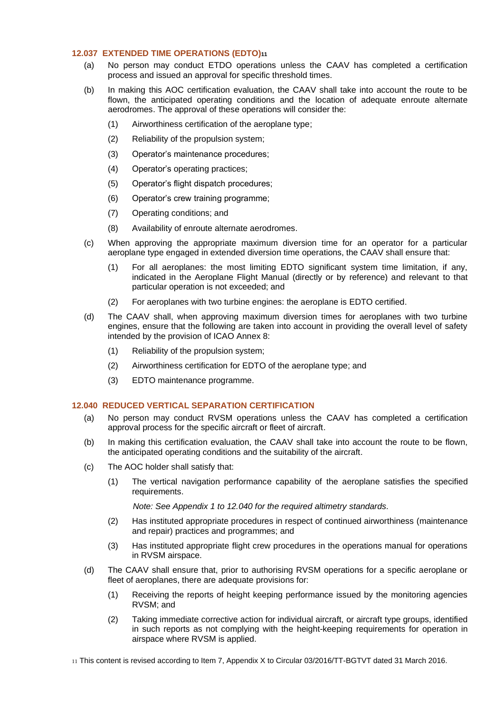#### <span id="page-11-0"></span>**12.037 EXTENDED TIME OPERATIONS (EDTO)<sup>11</sup>**

- (a) No person may conduct ETDO operations unless the CAAV has completed a certification process and issued an approval for specific threshold times.
- (b) In making this AOC certification evaluation, the CAAV shall take into account the route to be flown, the anticipated operating conditions and the location of adequate enroute alternate aerodromes. The approval of these operations will consider the:
	- (1) Airworthiness certification of the aeroplane type;
	- (2) Reliability of the propulsion system;
	- (3) Operator's maintenance procedures;
	- (4) Operator's operating practices;
	- (5) Operator's flight dispatch procedures;
	- (6) Operator's crew training programme;
	- (7) Operating conditions; and
	- (8) Availability of enroute alternate aerodromes.
- (c) When approving the appropriate maximum diversion time for an operator for a particular aeroplane type engaged in extended diversion time operations, the CAAV shall ensure that:
	- (1) For all aeroplanes: the most limiting EDTO significant system time limitation, if any, indicated in the Aeroplane Flight Manual (directly or by reference) and relevant to that particular operation is not exceeded; and
	- (2) For aeroplanes with two turbine engines: the aeroplane is EDTO certified.
- (d) The CAAV shall, when approving maximum diversion times for aeroplanes with two turbine engines, ensure that the following are taken into account in providing the overall level of safety intended by the provision of ICAO Annex 8:
	- (1) Reliability of the propulsion system;
	- (2) Airworthiness certification for EDTO of the aeroplane type; and
	- (3) EDTO maintenance programme.

# <span id="page-11-1"></span>**12.040 REDUCED VERTICAL SEPARATION CERTIFICATION**

- (a) No person may conduct RVSM operations unless the CAAV has completed a certification approval process for the specific aircraft or fleet of aircraft.
- (b) In making this certification evaluation, the CAAV shall take into account the route to be flown, the anticipated operating conditions and the suitability of the aircraft.
- (c) The AOC holder shall satisfy that:
	- (1) The vertical navigation performance capability of the aeroplane satisfies the specified requirements.

*Note: See Appendix 1 to 12.040 for the required altimetry standards.*

- (2) Has instituted appropriate procedures in respect of continued airworthiness (maintenance and repair) practices and programmes; and
- (3) Has instituted appropriate flight crew procedures in the operations manual for operations in RVSM airspace.
- (d) The CAAV shall ensure that, prior to authorising RVSM operations for a specific aeroplane or fleet of aeroplanes, there are adequate provisions for:
	- (1) Receiving the reports of height keeping performance issued by the monitoring agencies RVSM; and
	- (2) Taking immediate corrective action for individual aircraft, or aircraft type groups, identified in such reports as not complying with the height-keeping requirements for operation in airspace where RVSM is applied.

11 This content is revised according to Item 7, Appendix X to Circular 03/2016/TT-BGTVT dated 31 March 2016.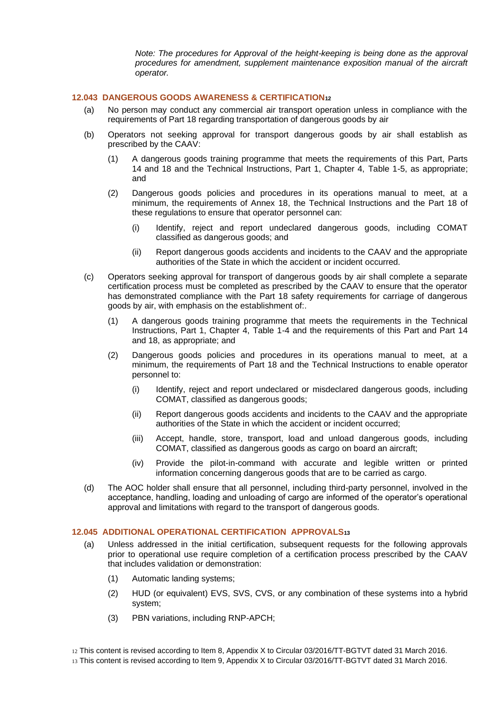*Note: The procedures for Approval of the height-keeping is being done as the approval procedures for amendment, supplement maintenance exposition manual of the aircraft operator.*

#### <span id="page-12-0"></span>**12.043 DANGEROUS GOODS AWARENESS & CERTIFICATION<sup>12</sup>**

- (a) No person may conduct any commercial air transport operation unless in compliance with the requirements of Part 18 regarding transportation of dangerous goods by air
- (b) Operators not seeking approval for transport dangerous goods by air shall establish as prescribed by the CAAV:
	- (1) A dangerous goods training programme that meets the requirements of this Part, Parts 14 and 18 and the Technical Instructions, Part 1, Chapter 4, Table 1-5, as appropriate; and
	- (2) Dangerous goods policies and procedures in its operations manual to meet, at a minimum, the requirements of Annex 18, the Technical Instructions and the Part 18 of these regulations to ensure that operator personnel can:
		- (i) Identify, reject and report undeclared dangerous goods, including COMAT classified as dangerous goods; and
		- (ii) Report dangerous goods accidents and incidents to the CAAV and the appropriate authorities of the State in which the accident or incident occurred.
- (c) Operators seeking approval for transport of dangerous goods by air shall complete a separate certification process must be completed as prescribed by the CAAV to ensure that the operator has demonstrated compliance with the Part 18 safety requirements for carriage of dangerous goods by air, with emphasis on the establishment of:.
	- (1) A dangerous goods training programme that meets the requirements in the Technical Instructions, Part 1, Chapter 4, Table 1-4 and the requirements of this Part and Part 14 and 18, as appropriate; and
	- (2) Dangerous goods policies and procedures in its operations manual to meet, at a minimum, the requirements of Part 18 and the Technical Instructions to enable operator personnel to:
		- (i) Identify, reject and report undeclared or misdeclared dangerous goods, including COMAT, classified as dangerous goods;
		- (ii) Report dangerous goods accidents and incidents to the CAAV and the appropriate authorities of the State in which the accident or incident occurred;
		- (iii) Accept, handle, store, transport, load and unload dangerous goods, including COMAT, classified as dangerous goods as cargo on board an aircraft;
		- (iv) Provide the pilot-in-command with accurate and legible written or printed information concerning dangerous goods that are to be carried as cargo.
- (d) The AOC holder shall ensure that all personnel, including third-party personnel, involved in the acceptance, handling, loading and unloading of cargo are informed of the operator's operational approval and limitations with regard to the transport of dangerous goods.

# <span id="page-12-1"></span>**12.045 ADDITIONAL OPERATIONAL CERTIFICATION APPROVALS<sup>13</sup>**

- (a) Unless addressed in the initial certification, subsequent requests for the following approvals prior to operational use require completion of a certification process prescribed by the CAAV that includes validation or demonstration:
	- (1) Automatic landing systems;
	- (2) HUD (or equivalent) EVS, SVS, CVS, or any combination of these systems into a hybrid system;
	- (3) PBN variations, including RNP-APCH;

12 This content is revised according to Item 8, Appendix X to Circular 03/2016/TT-BGTVT dated 31 March 2016.

13 This content is revised according to Item 9, Appendix X to Circular 03/2016/TT-BGTVT dated 31 March 2016.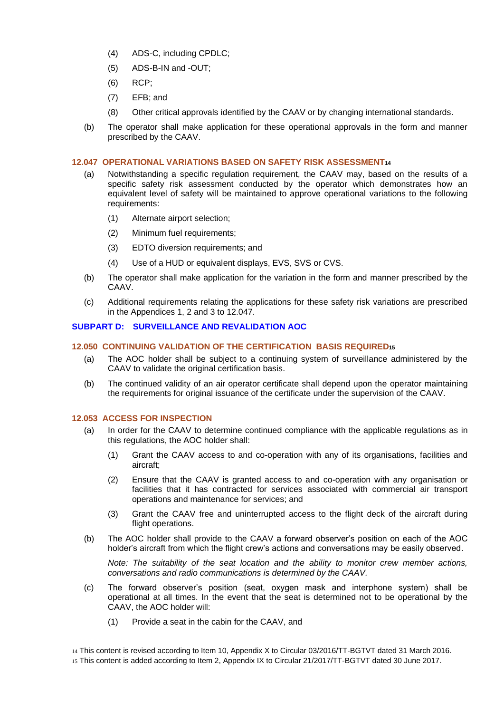- (4) ADS-C, including CPDLC;
- (5) ADS-B-IN and -OUT;
- (6) RCP;
- (7) EFB; and
- (8) Other critical approvals identified by the CAAV or by changing international standards.
- (b) The operator shall make application for these operational approvals in the form and manner prescribed by the CAAV.

#### <span id="page-13-0"></span>**12.047 OPERATIONAL VARIATIONS BASED ON SAFETY RISK ASSESSMENT<sup>14</sup>**

- (a) Notwithstanding a specific regulation requirement, the CAAV may, based on the results of a specific safety risk assessment conducted by the operator which demonstrates how an equivalent level of safety will be maintained to approve operational variations to the following requirements:
	- (1) Alternate airport selection;
	- (2) Minimum fuel requirements;
	- (3) EDTO diversion requirements; and
	- (4) Use of a HUD or equivalent displays, EVS, SVS or CVS.
- (b) The operator shall make application for the variation in the form and manner prescribed by the CAAV.
- (c) Additional requirements relating the applications for these safety risk variations are prescribed in the Appendices 1, 2 and 3 to 12.047.

#### <span id="page-13-2"></span><span id="page-13-1"></span>**SUBPART D: SURVEILLANCE AND REVALIDATION AOC**

# **12.050 CONTINUING VALIDATION OF THE CERTIFICATION BASIS REQUIRED<sup>15</sup>**

- (a) The AOC holder shall be subject to a continuing system of surveillance administered by the CAAV to validate the original certification basis.
- (b) The continued validity of an air operator certificate shall depend upon the operator maintaining the requirements for original issuance of the certificate under the supervision of the CAAV.

#### <span id="page-13-3"></span>**12.053 ACCESS FOR INSPECTION**

- (a) In order for the CAAV to determine continued compliance with the applicable regulations as in this regulations, the AOC holder shall:
	- (1) Grant the CAAV access to and co-operation with any of its organisations, facilities and aircraft;
	- (2) Ensure that the CAAV is granted access to and co-operation with any organisation or facilities that it has contracted for services associated with commercial air transport operations and maintenance for services; and
	- (3) Grant the CAAV free and uninterrupted access to the flight deck of the aircraft during flight operations.
- (b) The AOC holder shall provide to the CAAV a forward observer's position on each of the AOC holder's aircraft from which the flight crew's actions and conversations may be easily observed.

*Note: The suitability of the seat location and the ability to monitor crew member actions, conversations and radio communications is determined by the CAAV.*

- (c) The forward observer's position (seat, oxygen mask and interphone system) shall be operational at all times. In the event that the seat is determined not to be operational by the CAAV, the AOC holder will:
	- (1) Provide a seat in the cabin for the CAAV, and
- 14 This content is revised according to Item 10, Appendix X to Circular 03/2016/TT-BGTVT dated 31 March 2016.
- 15 This content is added according to Item 2, Appendix IX to Circular 21/2017/TT-BGTVT dated 30 June 2017.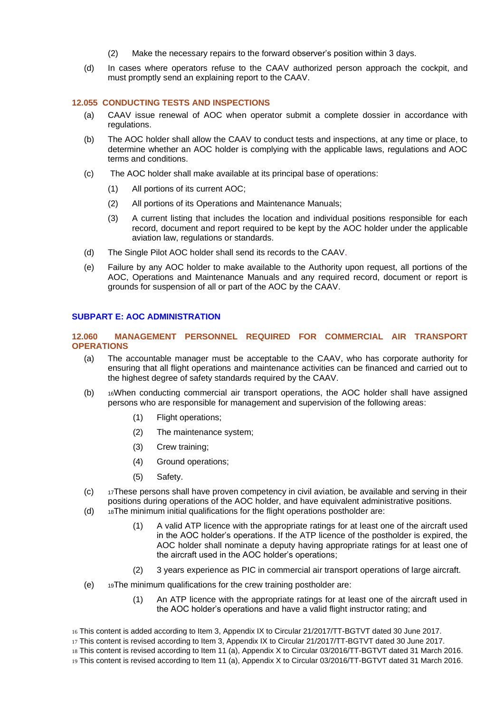- (2) Make the necessary repairs to the forward observer's position within 3 days.
- (d) In cases where operators refuse to the CAAV authorized person approach the cockpit, and must promptly send an explaining report to the CAAV.

#### <span id="page-14-0"></span>**12.055 CONDUCTING TESTS AND INSPECTIONS**

- (a) CAAV issue renewal of AOC when operator submit a complete dossier in accordance with regulations.
- (b) The AOC holder shall allow the CAAV to conduct tests and inspections, at any time or place, to determine whether an AOC holder is complying with the applicable laws, regulations and AOC terms and conditions.
- (c) The AOC holder shall make available at its principal base of operations:
	- (1) All portions of its current AOC;
	- (2) All portions of its Operations and Maintenance Manuals;
	- (3) A current listing that includes the location and individual positions responsible for each record, document and report required to be kept by the AOC holder under the applicable aviation law, regulations or standards.
- (d) The Single Pilot AOC holder shall send its records to the CAAV.
- (e) Failure by any AOC holder to make available to the Authority upon request, all portions of the AOC, Operations and Maintenance Manuals and any required record, document or report is grounds for suspension of all or part of the AOC by the CAAV.

#### <span id="page-14-2"></span><span id="page-14-1"></span>**SUBPART E: AOC ADMINISTRATION**

#### **12.060 MANAGEMENT PERSONNEL REQUIRED FOR COMMERCIAL AIR TRANSPORT OPERATIONS**

- (a) The accountable manager must be acceptable to the CAAV, who has corporate authority for ensuring that all flight operations and maintenance activities can be financed and carried out to the highest degree of safety standards required by the CAAV.
- (b) <sup>16</sup>When conducting commercial air transport operations, the AOC holder shall have assigned persons who are responsible for management and supervision of the following areas:
	- (1) Flight operations;
	- (2) The maintenance system;
	- (3) Crew training;
	- (4) Ground operations;
	- (5) Safety.
- $(c)$  17These persons shall have proven competency in civil aviation, be available and serving in their positions during operations of the AOC holder, and have equivalent administrative positions.
- $(d)$  18The minimum initial qualifications for the flight operations postholder are:
	- (1) A valid ATP licence with the appropriate ratings for at least one of the aircraft used in the AOC holder's operations. If the ATP licence of the postholder is expired, the AOC holder shall nominate a deputy having appropriate ratings for at least one of the aircraft used in the AOC holder's operations;
	- (2) 3 years experience as PIC in commercial air transport operations of large aircraft.
- (e) <sup>19</sup>The minimum qualifications for the crew training postholder are:
	- (1) An ATP licence with the appropriate ratings for at least one of the aircraft used in the AOC holder's operations and have a valid flight instructor rating; and

19 This content is revised according to Item 11 (a), Appendix X to Circular 03/2016/TT-BGTVT dated 31 March 2016.

<sup>16</sup> This content is added according to Item 3, Appendix IX to Circular 21/2017/TT-BGTVT dated 30 June 2017.

<sup>17</sup> This content is revised according to Item 3, Appendix IX to Circular 21/2017/TT-BGTVT dated 30 June 2017.

<sup>18</sup> This content is revised according to Item 11 (a), Appendix X to Circular 03/2016/TT-BGTVT dated 31 March 2016.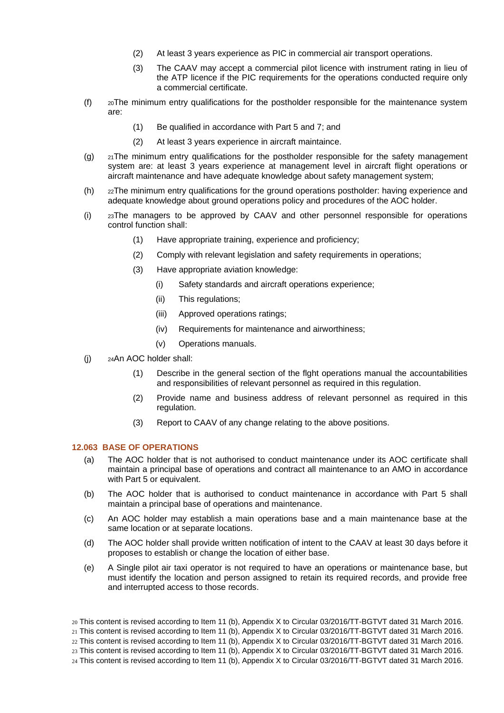- (2) At least 3 years experience as PIC in commercial air transport operations.
- (3) The CAAV may accept a commercial pilot licence with instrument rating in lieu of the ATP licence if the PIC requirements for the operations conducted require only a commercial certificate.
- (f) <sup>20</sup>The minimum entry qualifications for the postholder responsible for the maintenance system are:
	- (1) Be qualified in accordance with Part 5 and 7; and
	- (2) At least 3 years experience in aircraft maintaince.
- (g)  $_{21}$ The minimum entry qualifications for the postholder responsible for the safety management system are: at least 3 years experience at management level in aircraft flight operations or aircraft maintenance and have adequate knowledge about safety management system;
- (h) <sup>22</sup>The minimum entry qualifications for the ground operations postholder: having experience and adequate knowledge about ground operations policy and procedures of the AOC holder.
- (i) <sup>23</sup>The managers to be approved by CAAV and other personnel responsible for operations control function shall:
	- (1) Have appropriate training, experience and proficiency;
	- (2) Comply with relevant legislation and safety requirements in operations;
	- (3) Have appropriate aviation knowledge:
		- (i) Safety standards and aircraft operations experience;
		- (ii) This regulations;
		- (iii) Approved operations ratings;
		- (iv) Requirements for maintenance and airworthiness;
		- (v) Operations manuals.
- (j) <sup>24</sup>An AOC holder shall:
	- (1) Describe in the general section of the flght operations manual the accountabilities and responsibilities of relevant personnel as required in this regulation.
	- (2) Provide name and business address of relevant personnel as required in this regulation.
	- (3) Report to CAAV of any change relating to the above positions.

# <span id="page-15-0"></span>**12.063 BASE OF OPERATIONS**

- (a) The AOC holder that is not authorised to conduct maintenance under its AOC certificate shall maintain a principal base of operations and contract all maintenance to an AMO in accordance with Part 5 or equivalent.
- (b) The AOC holder that is authorised to conduct maintenance in accordance with Part 5 shall maintain a principal base of operations and maintenance.
- (c) An AOC holder may establish a main operations base and a main maintenance base at the same location or at separate locations.
- (d) The AOC holder shall provide written notification of intent to the CAAV at least 30 days before it proposes to establish or change the location of either base.
- (e) A Single pilot air taxi operator is not required to have an operations or maintenance base, but must identify the location and person assigned to retain its required records, and provide free and interrupted access to those records.

<sup>20</sup> This content is revised according to Item 11 (b), Appendix X to Circular 03/2016/TT-BGTVT dated 31 March 2016.

<sup>21</sup> This content is revised according to Item 11 (b), Appendix X to Circular 03/2016/TT-BGTVT dated 31 March 2016.

<sup>22</sup> This content is revised according to Item 11 (b), Appendix X to Circular 03/2016/TT-BGTVT dated 31 March 2016.

<sup>23</sup> This content is revised according to Item 11 (b), Appendix X to Circular 03/2016/TT-BGTVT dated 31 March 2016.

<sup>24</sup> This content is revised according to Item 11 (b), Appendix X to Circular 03/2016/TT-BGTVT dated 31 March 2016.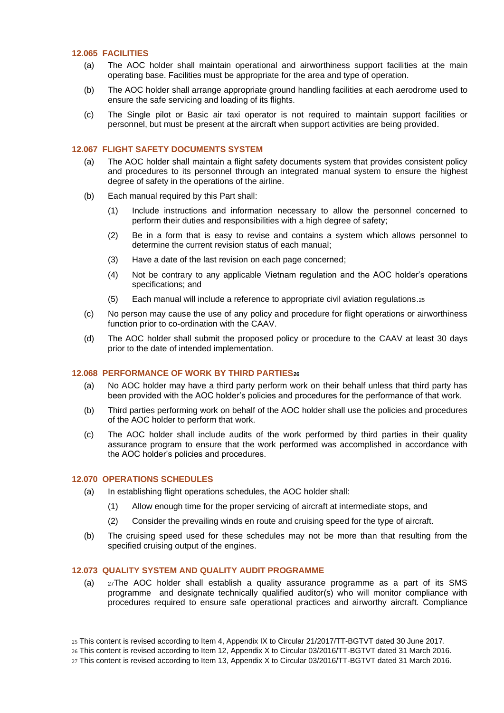#### <span id="page-16-0"></span>**12.065 FACILITIES**

- (a) The AOC holder shall maintain operational and airworthiness support facilities at the main operating base. Facilities must be appropriate for the area and type of operation.
- (b) The AOC holder shall arrange appropriate ground handling facilities at each aerodrome used to ensure the safe servicing and loading of its flights.
- (c) The Single pilot or Basic air taxi operator is not required to maintain support facilities or personnel, but must be present at the aircraft when support activities are being provided.

#### <span id="page-16-1"></span>**12.067 FLIGHT SAFETY DOCUMENTS SYSTEM**

- (a) The AOC holder shall maintain a flight safety documents system that provides consistent policy and procedures to its personnel through an integrated manual system to ensure the highest degree of safety in the operations of the airline.
- (b) Each manual required by this Part shall:
	- (1) Include instructions and information necessary to allow the personnel concerned to perform their duties and responsibilities with a high degree of safety;
	- (2) Be in a form that is easy to revise and contains a system which allows personnel to determine the current revision status of each manual;
	- (3) Have a date of the last revision on each page concerned;
	- (4) Not be contrary to any applicable Vietnam regulation and the AOC holder's operations specifications; and
	- (5) Each manual will include a reference to appropriate civil aviation regulations.<sup>25</sup>
- (c) No person may cause the use of any policy and procedure for flight operations or airworthiness function prior to co-ordination with the CAAV.
- (d) The AOC holder shall submit the proposed policy or procedure to the CAAV at least 30 days prior to the date of intended implementation.

#### <span id="page-16-2"></span>**12.068 PERFORMANCE OF WORK BY THIRD PARTIES<sup>26</sup>**

- (a) No AOC holder may have a third party perform work on their behalf unless that third party has been provided with the AOC holder's policies and procedures for the performance of that work.
- (b) Third parties performing work on behalf of the AOC holder shall use the policies and procedures of the AOC holder to perform that work.
- (c) The AOC holder shall include audits of the work performed by third parties in their quality assurance program to ensure that the work performed was accomplished in accordance with the AOC holder's policies and procedures.

#### <span id="page-16-3"></span>**12.070 OPERATIONS SCHEDULES**

- (a) In establishing flight operations schedules, the AOC holder shall:
	- (1) Allow enough time for the proper servicing of aircraft at intermediate stops, and
	- (2) Consider the prevailing winds en route and cruising speed for the type of aircraft.
- (b) The cruising speed used for these schedules may not be more than that resulting from the specified cruising output of the engines.

#### <span id="page-16-4"></span>**12.073 QUALITY SYSTEM AND QUALITY AUDIT PROGRAMME**

- (a) <sup>27</sup>The AOC holder shall establish a quality assurance programme as a part of its SMS programme and designate technically qualified auditor(s) who will monitor compliance with procedures required to ensure safe operational practices and airworthy aircraft. Compliance
- 25 This content is revised according to Item 4, Appendix IX to Circular 21/2017/TT-BGTVT dated 30 June 2017.
- 26 This content is revised according to Item 12, Appendix X to Circular 03/2016/TT-BGTVT dated 31 March 2016.
- 27 This content is revised according to Item 13, Appendix X to Circular 03/2016/TT-BGTVT dated 31 March 2016.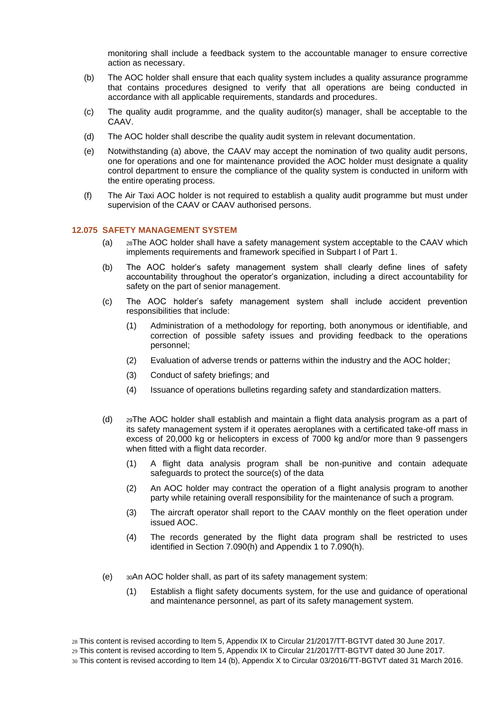monitoring shall include a feedback system to the accountable manager to ensure corrective action as necessary.

- (b) The AOC holder shall ensure that each quality system includes a quality assurance programme that contains procedures designed to verify that all operations are being conducted in accordance with all applicable requirements, standards and procedures.
- (c) The quality audit programme, and the quality auditor(s) manager, shall be acceptable to the CAAV.
- (d) The AOC holder shall describe the quality audit system in relevant documentation.
- (e) Notwithstanding (a) above, the CAAV may accept the nomination of two quality audit persons, one for operations and one for maintenance provided the AOC holder must designate a quality control department to ensure the compliance of the quality system is conducted in uniform with the entire operating process.
- (f) The Air Taxi AOC holder is not required to establish a quality audit programme but must under supervision of the CAAV or CAAV authorised persons.

#### <span id="page-17-0"></span>**12.075 SAFETY MANAGEMENT SYSTEM**

- (a) <sup>28</sup>The AOC holder shall have a safety management system acceptable to the CAAV which implements requirements and framework specified in Subpart I of Part 1.
- (b) The AOC holder's safety management system shall clearly define lines of safety accountability throughout the operator's organization, including a direct accountability for safety on the part of senior management.
- (c) The AOC holder's safety management system shall include accident prevention responsibilities that include:
	- (1) Administration of a methodology for reporting, both anonymous or identifiable, and correction of possible safety issues and providing feedback to the operations personnel;
	- (2) Evaluation of adverse trends or patterns within the industry and the AOC holder;
	- (3) Conduct of safety briefings; and
	- (4) Issuance of operations bulletins regarding safety and standardization matters.
- (d) <sup>29</sup>The AOC holder shall establish and maintain a flight data analysis program as a part of its safety management system if it operates aeroplanes with a certificated take-off mass in excess of 20,000 kg or helicopters in excess of 7000 kg and/or more than 9 passengers when fitted with a flight data recorder.
	- (1) A flight data analysis program shall be non-punitive and contain adequate safeguards to protect the source(s) of the data
	- (2) An AOC holder may contract the operation of a flight analysis program to another party while retaining overall responsibility for the maintenance of such a program.
	- (3) The aircraft operator shall report to the CAAV monthly on the fleet operation under issued AOC.
	- (4) The records generated by the flight data program shall be restricted to uses identified in Section 7.090(h) and Appendix 1 to 7.090(h).
- (e) <sup>30</sup>An AOC holder shall, as part of its safety management system:
	- (1) Establish a flight safety documents system, for the use and guidance of operational and maintenance personnel, as part of its safety management system.

<sup>28</sup> This content is revised according to Item 5, Appendix IX to Circular 21/2017/TT-BGTVT dated 30 June 2017.

<sup>29</sup> This content is revised according to Item 5, Appendix IX to Circular 21/2017/TT-BGTVT dated 30 June 2017.

<sup>30</sup> This content is revised according to Item 14 (b), Appendix X to Circular 03/2016/TT-BGTVT dated 31 March 2016.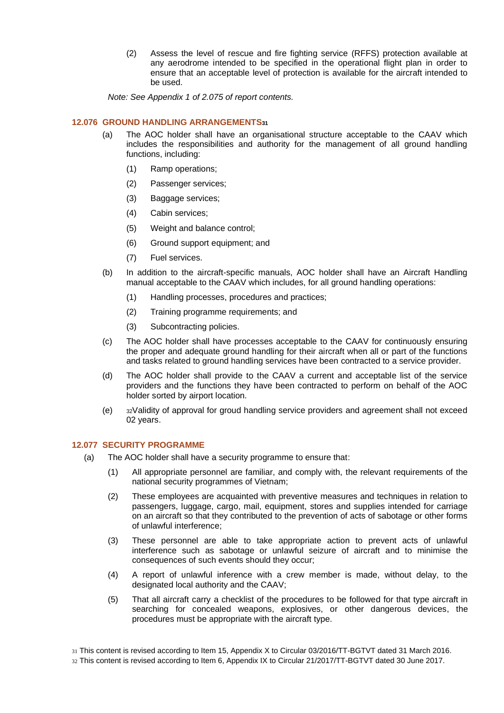(2) Assess the level of rescue and fire fighting service (RFFS) protection available at any aerodrome intended to be specified in the operational flight plan in order to ensure that an acceptable level of protection is available for the aircraft intended to be used.

*Note: See Appendix 1 of 2.075 of report contents.*

# <span id="page-18-0"></span>**12.076 GROUND HANDLING ARRANGEMENTS<sup>31</sup>**

- (a) The AOC holder shall have an organisational structure acceptable to the CAAV which includes the responsibilities and authority for the management of all ground handling functions, including:
	- (1) Ramp operations;
	- (2) Passenger services;
	- (3) Baggage services;
	- (4) Cabin services;
	- (5) Weight and balance control;
	- (6) Ground support equipment; and
	- (7) Fuel services.
- (b) In addition to the aircraft-specific manuals, AOC holder shall have an Aircraft Handling manual acceptable to the CAAV which includes, for all ground handling operations:
	- (1) Handling processes, procedures and practices;
	- (2) Training programme requirements; and
	- (3) Subcontracting policies.
- (c) The AOC holder shall have processes acceptable to the CAAV for continuously ensuring the proper and adequate ground handling for their aircraft when all or part of the functions and tasks related to ground handling services have been contracted to a service provider.
- (d) The AOC holder shall provide to the CAAV a current and acceptable list of the service providers and the functions they have been contracted to perform on behalf of the AOC holder sorted by airport location.
- (e) <sup>32</sup>Validity of approval for groud handling service providers and agreement shall not exceed 02 years.

#### <span id="page-18-1"></span>**12.077 SECURITY PROGRAMME**

- (a) The AOC holder shall have a security programme to ensure that:
	- (1) All appropriate personnel are familiar, and comply with, the relevant requirements of the national security programmes of Vietnam;
	- (2) These employees are acquainted with preventive measures and techniques in relation to passengers, luggage, cargo, mail, equipment, stores and supplies intended for carriage on an aircraft so that they contributed to the prevention of acts of sabotage or other forms of unlawful interference;
	- (3) These personnel are able to take appropriate action to prevent acts of unlawful interference such as sabotage or unlawful seizure of aircraft and to minimise the consequences of such events should they occur;
	- (4) A report of unlawful inference with a crew member is made, without delay, to the designated local authority and the CAAV;
	- (5) That all aircraft carry a checklist of the procedures to be followed for that type aircraft in searching for concealed weapons, explosives, or other dangerous devices, the procedures must be appropriate with the aircraft type.

32 This content is revised according to Item 6, Appendix IX to Circular 21/2017/TT-BGTVT dated 30 June 2017.

<sup>31</sup> This content is revised according to Item 15, Appendix X to Circular 03/2016/TT-BGTVT dated 31 March 2016.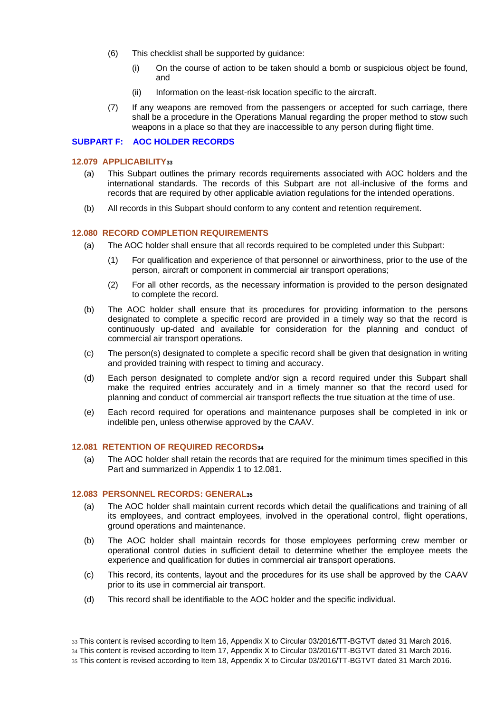- (6) This checklist shall be supported by guidance:
	- (i) On the course of action to be taken should a bomb or suspicious object be found, and
	- (ii) Information on the least-risk location specific to the aircraft.
- (7) If any weapons are removed from the passengers or accepted for such carriage, there shall be a procedure in the Operations Manual regarding the proper method to stow such weapons in a place so that they are inaccessible to any person during flight time.

#### <span id="page-19-1"></span><span id="page-19-0"></span>**SUBPART F: AOC HOLDER RECORDS**

#### **12.079 APPLICABILITY<sup>33</sup>**

- (a) This Subpart outlines the primary records requirements associated with AOC holders and the international standards. The records of this Subpart are not all-inclusive of the forms and records that are required by other applicable aviation regulations for the intended operations.
- (b) All records in this Subpart should conform to any content and retention requirement.

#### <span id="page-19-2"></span>**12.080 RECORD COMPLETION REQUIREMENTS**

- (a) The AOC holder shall ensure that all records required to be completed under this Subpart:
	- (1) For qualification and experience of that personnel or airworthiness, prior to the use of the person, aircraft or component in commercial air transport operations;
	- (2) For all other records, as the necessary information is provided to the person designated to complete the record.
- (b) The AOC holder shall ensure that its procedures for providing information to the persons designated to complete a specific record are provided in a timely way so that the record is continuously up-dated and available for consideration for the planning and conduct of commercial air transport operations.
- (c) The person(s) designated to complete a specific record shall be given that designation in writing and provided training with respect to timing and accuracy.
- (d) Each person designated to complete and/or sign a record required under this Subpart shall make the required entries accurately and in a timely manner so that the record used for planning and conduct of commercial air transport reflects the true situation at the time of use.
- (e) Each record required for operations and maintenance purposes shall be completed in ink or indelible pen, unless otherwise approved by the CAAV.

#### <span id="page-19-3"></span>**12.081 RETENTION OF REQUIRED RECORDS<sup>34</sup>**

(a) The AOC holder shall retain the records that are required for the minimum times specified in this Part and summarized in Appendix 1 to 12.081.

#### <span id="page-19-4"></span>**12.083 PERSONNEL RECORDS: GENERAL<sup>35</sup>**

- (a) The AOC holder shall maintain current records which detail the qualifications and training of all its employees, and contract employees, involved in the operational control, flight operations, ground operations and maintenance.
- (b) The AOC holder shall maintain records for those employees performing crew member or operational control duties in sufficient detail to determine whether the employee meets the experience and qualification for duties in commercial air transport operations.
- (c) This record, its contents, layout and the procedures for its use shall be approved by the CAAV prior to its use in commercial air transport.
- (d) This record shall be identifiable to the AOC holder and the specific individual.

<sup>33</sup> This content is revised according to Item 16, Appendix X to Circular 03/2016/TT-BGTVT dated 31 March 2016. 34 This content is revised according to Item 17, Appendix X to Circular 03/2016/TT-BGTVT dated 31 March 2016. 35 This content is revised according to Item 18, Appendix X to Circular 03/2016/TT-BGTVT dated 31 March 2016.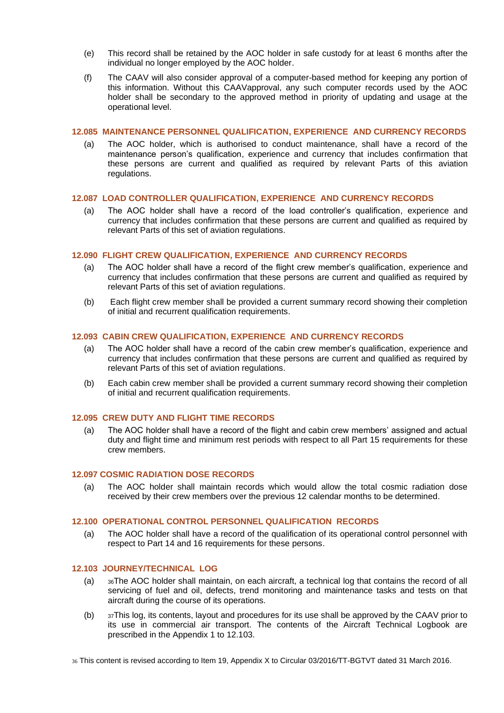- (e) This record shall be retained by the AOC holder in safe custody for at least 6 months after the individual no longer employed by the AOC holder.
- (f) The CAAV will also consider approval of a computer-based method for keeping any portion of this information. Without this CAAVapproval, any such computer records used by the AOC holder shall be secondary to the approved method in priority of updating and usage at the operational level.

#### <span id="page-20-0"></span>**12.085 MAINTENANCE PERSONNEL QUALIFICATION, EXPERIENCE AND CURRENCY RECORDS**

(a) The AOC holder, which is authorised to conduct maintenance, shall have a record of the maintenance person's qualification, experience and currency that includes confirmation that these persons are current and qualified as required by relevant Parts of this aviation regulations.

# <span id="page-20-1"></span>**12.087 LOAD CONTROLLER QUALIFICATION, EXPERIENCE AND CURRENCY RECORDS**

(a) The AOC holder shall have a record of the load controller's qualification, experience and currency that includes confirmation that these persons are current and qualified as required by relevant Parts of this set of aviation regulations.

# <span id="page-20-2"></span>**12.090 FLIGHT CREW QUALIFICATION, EXPERIENCE AND CURRENCY RECORDS**

- (a) The AOC holder shall have a record of the flight crew member's qualification, experience and currency that includes confirmation that these persons are current and qualified as required by relevant Parts of this set of aviation regulations.
- (b) Each flight crew member shall be provided a current summary record showing their completion of initial and recurrent qualification requirements.

# <span id="page-20-3"></span>**12.093 CABIN CREW QUALIFICATION, EXPERIENCE AND CURRENCY RECORDS**

- (a) The AOC holder shall have a record of the cabin crew member's qualification, experience and currency that includes confirmation that these persons are current and qualified as required by relevant Parts of this set of aviation regulations.
- (b) Each cabin crew member shall be provided a current summary record showing their completion of initial and recurrent qualification requirements.

#### <span id="page-20-4"></span>**12.095 CREW DUTY AND FLIGHT TIME RECORDS**

(a) The AOC holder shall have a record of the flight and cabin crew members' assigned and actual duty and flight time and minimum rest periods with respect to all Part 15 requirements for these crew members.

#### <span id="page-20-5"></span>**12.097 COSMIC RADIATION DOSE RECORDS**

(a) The AOC holder shall maintain records which would allow the total cosmic radiation dose received by their crew members over the previous 12 calendar months to be determined.

#### <span id="page-20-6"></span>**12.100 OPERATIONAL CONTROL PERSONNEL QUALIFICATION RECORDS**

(a) The AOC holder shall have a record of the qualification of its operational control personnel with respect to Part 14 and 16 requirements for these persons.

#### <span id="page-20-7"></span>**12.103 JOURNEY/TECHNICAL LOG**

- (a) <sup>36</sup>The AOC holder shall maintain, on each aircraft, a technical log that contains the record of all servicing of fuel and oil, defects, trend monitoring and maintenance tasks and tests on that aircraft during the course of its operations.
- (b) <sup>37</sup>This log, its contents, layout and procedures for its use shall be approved by the CAAV prior to its use in commercial air transport. The contents of the Aircraft Technical Logbook are prescribed in the Appendix 1 to 12.103.

36 This content is revised according to Item 19, Appendix X to Circular 03/2016/TT-BGTVT dated 31 March 2016.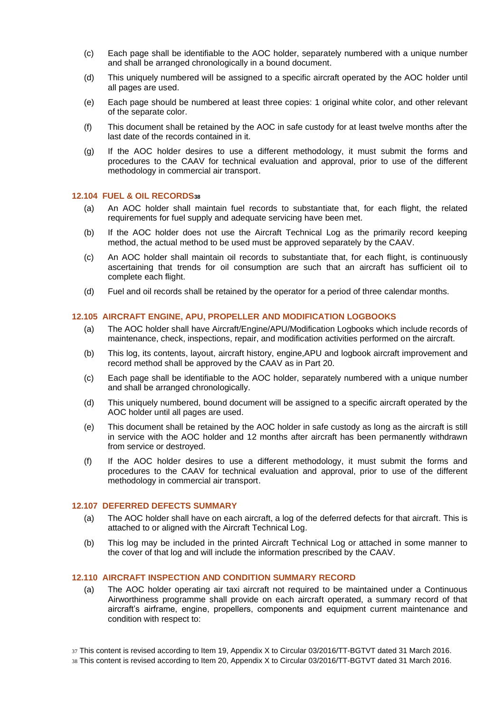- (c) Each page shall be identifiable to the AOC holder, separately numbered with a unique number and shall be arranged chronologically in a bound document.
- (d) This uniquely numbered will be assigned to a specific aircraft operated by the AOC holder until all pages are used.
- (e) Each page should be numbered at least three copies: 1 original white color, and other relevant of the separate color.
- (f) This document shall be retained by the AOC in safe custody for at least twelve months after the last date of the records contained in it.
- (g) If the AOC holder desires to use a different methodology, it must submit the forms and procedures to the CAAV for technical evaluation and approval, prior to use of the different methodology in commercial air transport.

#### <span id="page-21-0"></span>**12.104 FUEL & OIL RECORDS<sup>38</sup>**

- (a) An AOC holder shall maintain fuel records to substantiate that, for each flight, the related requirements for fuel supply and adequate servicing have been met.
- (b) If the AOC holder does not use the Aircraft Technical Log as the primarily record keeping method, the actual method to be used must be approved separately by the CAAV.
- (c) An AOC holder shall maintain oil records to substantiate that, for each flight, is continuously ascertaining that trends for oil consumption are such that an aircraft has sufficient oil to complete each flight.
- (d) Fuel and oil records shall be retained by the operator for a period of three calendar months.

#### <span id="page-21-1"></span>**12.105 AIRCRAFT ENGINE, APU, PROPELLER AND MODIFICATION LOGBOOKS**

- (a) The AOC holder shall have Aircraft/Engine/APU/Modification Logbooks which include records of maintenance, check, inspections, repair, and modification activities performed on the aircraft.
- (b) This log, its contents, layout, aircraft history, engine,APU and logbook aircraft improvement and record method shall be approved by the CAAV as in Part 20.
- (c) Each page shall be identifiable to the AOC holder, separately numbered with a unique number and shall be arranged chronologically.
- (d) This uniquely numbered, bound document will be assigned to a specific aircraft operated by the AOC holder until all pages are used.
- (e) This document shall be retained by the AOC holder in safe custody as long as the aircraft is still in service with the AOC holder and 12 months after aircraft has been permanently withdrawn from service or destroyed.
- (f) If the AOC holder desires to use a different methodology, it must submit the forms and procedures to the CAAV for technical evaluation and approval, prior to use of the different methodology in commercial air transport.

#### <span id="page-21-2"></span>**12.107 DEFERRED DEFECTS SUMMARY**

- (a) The AOC holder shall have on each aircraft, a log of the deferred defects for that aircraft. This is attached to or aligned with the Aircraft Technical Log.
- (b) This log may be included in the printed Aircraft Technical Log or attached in some manner to the cover of that log and will include the information prescribed by the CAAV.

#### <span id="page-21-3"></span>**12.110 AIRCRAFT INSPECTION AND CONDITION SUMMARY RECORD**

(a) The AOC holder operating air taxi aircraft not required to be maintained under a Continuous Airworthiness programme shall provide on each aircraft operated, a summary record of that aircraft's airframe, engine, propellers, components and equipment current maintenance and condition with respect to:

37 This content is revised according to Item 19, Appendix X to Circular 03/2016/TT-BGTVT dated 31 March 2016. 38 This content is revised according to Item 20, Appendix X to Circular 03/2016/TT-BGTVT dated 31 March 2016.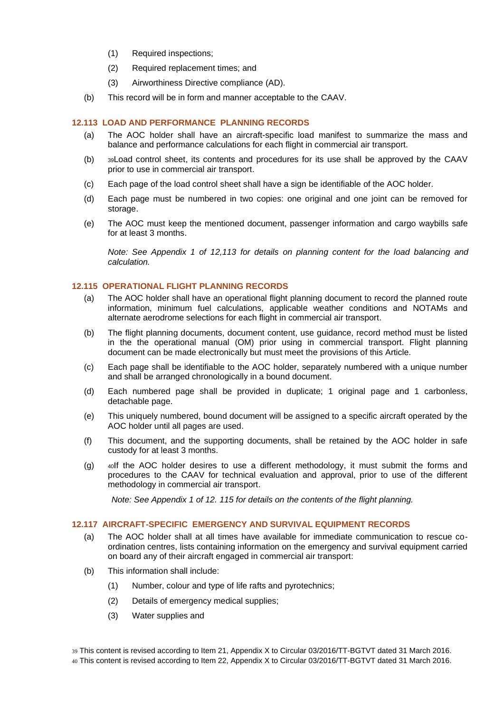- (1) Required inspections;
- (2) Required replacement times; and
- (3) Airworthiness Directive compliance (AD).
- (b) This record will be in form and manner acceptable to the CAAV.

#### <span id="page-22-0"></span>**12.113 LOAD AND PERFORMANCE PLANNING RECORDS**

- (a) The AOC holder shall have an aircraft-specific load manifest to summarize the mass and balance and performance calculations for each flight in commercial air transport.
- (b) <sup>39</sup>Load control sheet, its contents and procedures for its use shall be approved by the CAAV prior to use in commercial air transport.
- (c) Each page of the load control sheet shall have a sign be identifiable of the AOC holder.
- (d) Each page must be numbered in two copies: one original and one joint can be removed for storage.
- (e) The AOC must keep the mentioned document, passenger information and cargo waybills safe for at least 3 months.

*Note: See Appendix 1 of 12,113 for details on planning content for the load balancing and calculation.* 

#### <span id="page-22-1"></span>**12.115 OPERATIONAL FLIGHT PLANNING RECORDS**

- (a) The AOC holder shall have an operational flight planning document to record the planned route information, minimum fuel calculations, applicable weather conditions and NOTAMs and alternate aerodrome selections for each flight in commercial air transport.
- (b) The flight planning documents, document content, use guidance, record method must be listed in the the operational manual (OM) prior using in commercial transport. Flight planning document can be made electronically but must meet the provisions of this Article.
- (c) Each page shall be identifiable to the AOC holder, separately numbered with a unique number and shall be arranged chronologically in a bound document.
- (d) Each numbered page shall be provided in duplicate; 1 original page and 1 carbonless, detachable page.
- (e) This uniquely numbered, bound document will be assigned to a specific aircraft operated by the AOC holder until all pages are used.
- (f) This document, and the supporting documents, shall be retained by the AOC holder in safe custody for at least 3 months.
- (g)  $\rightarrow$  40If the AOC holder desires to use a different methodology, it must submit the forms and procedures to the CAAV for technical evaluation and approval, prior to use of the different methodology in commercial air transport.

*Note: See Appendix 1 of 12. 115 for details on the contents of the flight planning.*

#### <span id="page-22-2"></span>**12.117 AIRCRAFT-SPECIFIC EMERGENCY AND SURVIVAL EQUIPMENT RECORDS**

- (a) The AOC holder shall at all times have available for immediate communication to rescue coordination centres, lists containing information on the emergency and survival equipment carried on board any of their aircraft engaged in commercial air transport:
- (b) This information shall include:
	- (1) Number, colour and type of life rafts and pyrotechnics;
	- (2) Details of emergency medical supplies;
	- (3) Water supplies and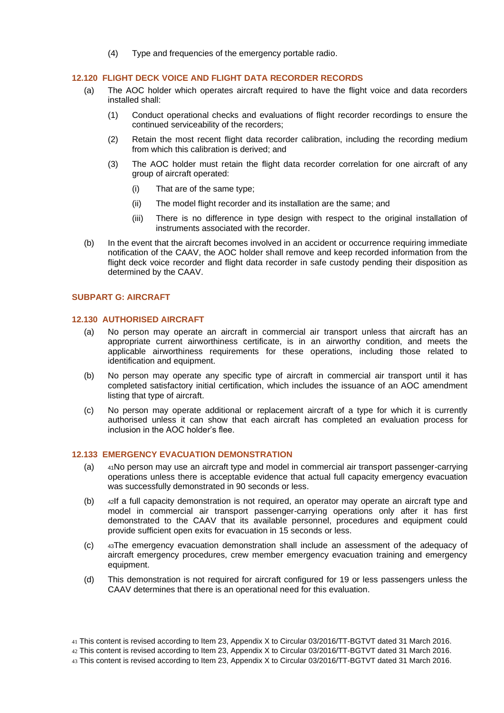(4) Type and frequencies of the emergency portable radio.

#### <span id="page-23-0"></span>**12.120 FLIGHT DECK VOICE AND FLIGHT DATA RECORDER RECORDS**

- (a) The AOC holder which operates aircraft required to have the flight voice and data recorders installed shall:
	- (1) Conduct operational checks and evaluations of flight recorder recordings to ensure the continued serviceability of the recorders;
	- (2) Retain the most recent flight data recorder calibration, including the recording medium from which this calibration is derived; and
	- (3) The AOC holder must retain the flight data recorder correlation for one aircraft of any group of aircraft operated:
		- (i) That are of the same type;
		- (ii) The model flight recorder and its installation are the same; and
		- (iii) There is no difference in type design with respect to the original installation of instruments associated with the recorder.
- (b) In the event that the aircraft becomes involved in an accident or occurrence requiring immediate notification of the CAAV, the AOC holder shall remove and keep recorded information from the flight deck voice recorder and flight data recorder in safe custody pending their disposition as determined by the CAAV.

# <span id="page-23-1"></span>**SUBPART G: AIRCRAFT**

#### <span id="page-23-2"></span>**12.130 AUTHORISED AIRCRAFT**

- (a) No person may operate an aircraft in commercial air transport unless that aircraft has an appropriate current airworthiness certificate, is in an airworthy condition, and meets the applicable airworthiness requirements for these operations, including those related to identification and equipment.
- (b) No person may operate any specific type of aircraft in commercial air transport until it has completed satisfactory initial certification, which includes the issuance of an AOC amendment listing that type of aircraft.
- (c) No person may operate additional or replacement aircraft of a type for which it is currently authorised unless it can show that each aircraft has completed an evaluation process for inclusion in the AOC holder's flee.

# <span id="page-23-3"></span>**12.133 EMERGENCY EVACUATION DEMONSTRATION**

- (a) <sup>41</sup>No person may use an aircraft type and model in commercial air transport passenger-carrying operations unless there is acceptable evidence that actual full capacity emergency evacuation was successfully demonstrated in 90 seconds or less.
- (b) <sup>42</sup>If a full capacity demonstration is not required, an operator may operate an aircraft type and model in commercial air transport passenger-carrying operations only after it has first demonstrated to the CAAV that its available personnel, procedures and equipment could provide sufficient open exits for evacuation in 15 seconds or less.
- (c) <sup>43</sup>The emergency evacuation demonstration shall include an assessment of the adequacy of aircraft emergency procedures, crew member emergency evacuation training and emergency equipment.
- (d) This demonstration is not required for aircraft configured for 19 or less passengers unless the CAAV determines that there is an operational need for this evaluation.

43 This content is revised according to Item 23, Appendix X to Circular 03/2016/TT-BGTVT dated 31 March 2016.

<sup>41</sup> This content is revised according to Item 23, Appendix X to Circular 03/2016/TT-BGTVT dated 31 March 2016.

<sup>42</sup> This content is revised according to Item 23, Appendix X to Circular 03/2016/TT-BGTVT dated 31 March 2016.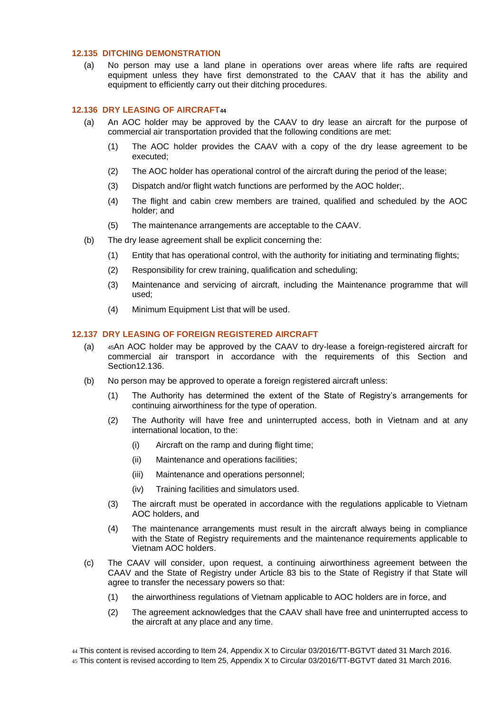#### <span id="page-24-0"></span>**12.135 DITCHING DEMONSTRATION**

(a) No person may use a land plane in operations over areas where life rafts are required equipment unless they have first demonstrated to the CAAV that it has the ability and equipment to efficiently carry out their ditching procedures.

#### <span id="page-24-1"></span>**12.136 DRY LEASING OF AIRCRAFT<sup>44</sup>**

- (a) An AOC holder may be approved by the CAAV to dry lease an aircraft for the purpose of commercial air transportation provided that the following conditions are met:
	- (1) The AOC holder provides the CAAV with a copy of the dry lease agreement to be executed;
	- (2) The AOC holder has operational control of the aircraft during the period of the lease;
	- (3) Dispatch and/or flight watch functions are performed by the AOC holder;.
	- (4) The flight and cabin crew members are trained, qualified and scheduled by the AOC holder; and
	- (5) The maintenance arrangements are acceptable to the CAAV.
- (b) The dry lease agreement shall be explicit concerning the:
	- (1) Entity that has operational control, with the authority for initiating and terminating flights;
	- (2) Responsibility for crew training, qualification and scheduling;
	- (3) Maintenance and servicing of aircraft, including the Maintenance programme that will used;
	- (4) Minimum Equipment List that will be used.

# <span id="page-24-2"></span>**12.137 DRY LEASING OF FOREIGN REGISTERED AIRCRAFT**

- (a) <sup>45</sup>An AOC holder may be approved by the CAAV to dry-lease a foreign-registered aircraft for commercial air transport in accordance with the requirements of this Section and Section12.136.
- (b) No person may be approved to operate a foreign registered aircraft unless:
	- (1) The Authority has determined the extent of the State of Registry's arrangements for continuing airworthiness for the type of operation.
	- (2) The Authority will have free and uninterrupted access, both in Vietnam and at any international location, to the:
		- (i) Aircraft on the ramp and during flight time;
		- (ii) Maintenance and operations facilities;
		- (iii) Maintenance and operations personnel;
		- (iv) Training facilities and simulators used.
	- (3) The aircraft must be operated in accordance with the regulations applicable to Vietnam AOC holders, and
	- (4) The maintenance arrangements must result in the aircraft always being in compliance with the State of Registry requirements and the maintenance requirements applicable to Vietnam AOC holders.
- (c) The CAAV will consider, upon request, a continuing airworthiness agreement between the CAAV and the State of Registry under Article 83 bis to the State of Registry if that State will agree to transfer the necessary powers so that:
	- (1) the airworthiness regulations of Vietnam applicable to AOC holders are in force, and
	- (2) The agreement acknowledges that the CAAV shall have free and uninterrupted access to the aircraft at any place and any time.

45 This content is revised according to Item 25, Appendix X to Circular 03/2016/TT-BGTVT dated 31 March 2016.

<sup>44</sup> This content is revised according to Item 24, Appendix X to Circular 03/2016/TT-BGTVT dated 31 March 2016.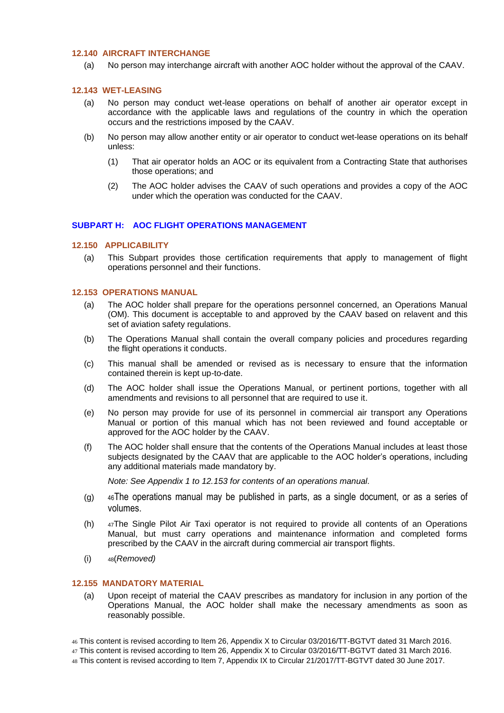# <span id="page-25-0"></span>**12.140 AIRCRAFT INTERCHANGE**

(a) No person may interchange aircraft with another AOC holder without the approval of the CAAV.

#### <span id="page-25-1"></span>**12.143 WET-LEASING**

- (a) No person may conduct wet-lease operations on behalf of another air operator except in accordance with the applicable laws and regulations of the country in which the operation occurs and the restrictions imposed by the CAAV.
- (b) No person may allow another entity or air operator to conduct wet-lease operations on its behalf unless:
	- (1) That air operator holds an AOC or its equivalent from a Contracting State that authorises those operations; and
	- (2) The AOC holder advises the CAAV of such operations and provides a copy of the AOC under which the operation was conducted for the CAAV.

#### <span id="page-25-3"></span><span id="page-25-2"></span>**SUBPART H: AOC FLIGHT OPERATIONS MANAGEMENT**

#### **12.150 APPLICABILITY**

(a) This Subpart provides those certification requirements that apply to management of flight operations personnel and their functions.

#### <span id="page-25-4"></span>**12.153 OPERATIONS MANUAL**

- (a) The AOC holder shall prepare for the operations personnel concerned, an Operations Manual (OM). This document is acceptable to and approved by the CAAV based on relavent and this set of aviation safety regulations.
- (b) The Operations Manual shall contain the overall company policies and procedures regarding the flight operations it conducts.
- (c) This manual shall be amended or revised as is necessary to ensure that the information contained therein is kept up-to-date.
- (d) The AOC holder shall issue the Operations Manual, or pertinent portions, together with all amendments and revisions to all personnel that are required to use it.
- (e) No person may provide for use of its personnel in commercial air transport any Operations Manual or portion of this manual which has not been reviewed and found acceptable or approved for the AOC holder by the CAAV.
- (f) The AOC holder shall ensure that the contents of the Operations Manual includes at least those subjects designated by the CAAV that are applicable to the AOC holder's operations, including any additional materials made mandatory by.

*Note: See Appendix 1 to 12.153 for contents of an operations manual.*

- (g) <sup>46</sup>The operations manual may be published in parts, as a single document, or as a series of volumes.
- (h) <sup>47</sup>The Single Pilot Air Taxi operator is not required to provide all contents of an Operations Manual, but must carry operations and maintenance information and completed forms prescribed by the CAAV in the aircraft during commercial air transport flights.
- (i) <sup>48</sup>(*Removed)*

#### <span id="page-25-5"></span>**12.155 MANDATORY MATERIAL**

(a) Upon receipt of material the CAAV prescribes as mandatory for inclusion in any portion of the Operations Manual, the AOC holder shall make the necessary amendments as soon as reasonably possible.

46 This content is revised according to Item 26, Appendix X to Circular 03/2016/TT-BGTVT dated 31 March 2016.

- 47 This content is revised according to Item 26, Appendix X to Circular 03/2016/TT-BGTVT dated 31 March 2016.
- 48 This content is revised according to Item 7, Appendix IX to Circular 21/2017/TT-BGTVT dated 30 June 2017.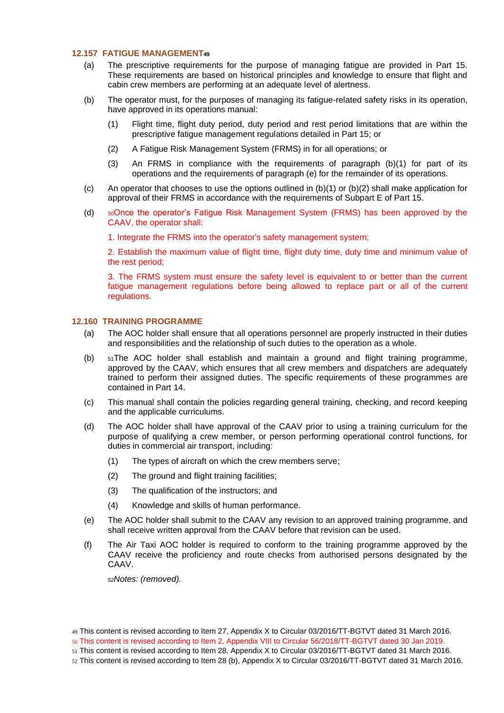#### <span id="page-26-0"></span>**12.157 FATIGUE MANAGEMENT<sup>49</sup>**

- (a) The prescriptive requirements for the purpose of managing fatigue are provided in Part 15. These requirements are based on historical principles and knowledge to ensure that flight and cabin crew members are performing at an adequate level of alertness.
- (b) The operator must, for the purposes of managing its fatigue-related safety risks in its operation, have approved in its operations manual:
	- (1) Flight time, flight duty period, duty period and rest period limitations that are within the prescriptive fatigue management regulations detailed in Part 15; or
	- (2) A Fatigue Risk Management System (FRMS) in for all operations; or
	- (3) An FRMS in compliance with the requirements of paragraph (b)(1) for part of its operations and the requirements of paragraph (e) for the remainder of its operations.
- (c) An operator that chooses to use the options outlined in  $(b)(1)$  or  $(b)(2)$  shall make application for approval of their FRMS in accordance with the requirements of Subpart E of Part 15.
- (d) <sup>50</sup>Once the operator's Fatigue Risk Management System (FRMS) has been approved by the CAAV, the operator shall:
	- 1. Integrate the FRMS into the operator's safety management system;

2. Establish the maximum value of flight time, flight duty time, duty time and minimum value of the rest period;

3. The FRMS system must ensure the safety level is equivalent to or better than the current fatigue management regulations before being allowed to replace part or all of the current regulations.

#### <span id="page-26-1"></span>**12.160 TRAINING PROGRAMME**

- (a) The AOC holder shall ensure that all operations personnel are properly instructed in their duties and responsibilities and the relationship of such duties to the operation as a whole.
- (b) <sup>51</sup>The AOC holder shall establish and maintain a ground and flight training programme, approved by the CAAV, which ensures that all crew members and dispatchers are adequately trained to perform their assigned duties. The specific requirements of these programmes are contained in Part 14.
- (c) This manual shall contain the policies regarding general training, checking, and record keeping and the applicable curriculums.
- (d) The AOC holder shall have approval of the CAAV prior to using a training curriculum for the purpose of qualifying a crew member, or person performing operational control functions, for duties in commercial air transport, including:
	- (1) The types of aircraft on which the crew members serve;
	- (2) The ground and flight training facilities;
	- (3) The qualification of the instructors; and
	- (4) Knowledge and skills of human performance.
- (e) The AOC holder shall submit to the CAAV any revision to an approved training programme, and shall receive written approval from the CAAV before that revision can be used.
- (f) The Air Taxi AOC holder is required to conform to the training programme approved by the CAAV receive the proficiency and route checks from authorised persons designated by the CAAV.

*<sup>52</sup>Notes: (removed).*

50 This content is revised according to Item 2, Appendix VIII to Circular 56/2018/TT-BGTVT dated 30 Jan 2019.

<sup>49</sup> This content is revised according to Item 27, Appendix X to Circular 03/2016/TT-BGTVT dated 31 March 2016.

<sup>51</sup> This content is revised according to Item 28, Appendix X to Circular 03/2016/TT-BGTVT dated 31 March 2016.

<sup>52</sup> This content is revised according to Item 28 (b), Appendix X to Circular 03/2016/TT-BGTVT dated 31 March 2016.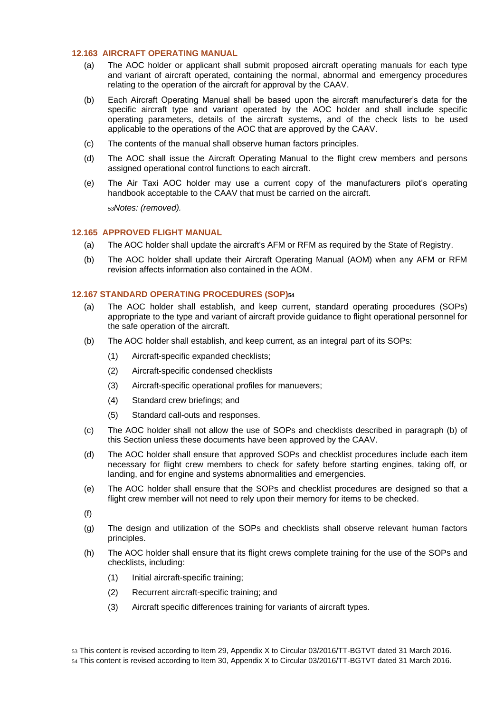# <span id="page-27-0"></span>**12.163 AIRCRAFT OPERATING MANUAL**

- (a) The AOC holder or applicant shall submit proposed aircraft operating manuals for each type and variant of aircraft operated, containing the normal, abnormal and emergency procedures relating to the operation of the aircraft for approval by the CAAV.
- (b) Each Aircraft Operating Manual shall be based upon the aircraft manufacturer's data for the specific aircraft type and variant operated by the AOC holder and shall include specific operating parameters, details of the aircraft systems, and of the check lists to be used applicable to the operations of the AOC that are approved by the CAAV.
- (c) The contents of the manual shall observe human factors principles.
- (d) The AOC shall issue the Aircraft Operating Manual to the flight crew members and persons assigned operational control functions to each aircraft.
- (e) The Air Taxi AOC holder may use a current copy of the manufacturers pilot's operating handbook acceptable to the CAAV that must be carried on the aircraft.

*<sup>53</sup>Notes: (removed).*

#### <span id="page-27-1"></span>**12.165 APPROVED FLIGHT MANUAL**

- (a) The AOC holder shall update the aircraft's AFM or RFM as required by the State of Registry.
- (b) The AOC holder shall update their Aircraft Operating Manual (AOM) when any AFM or RFM revision affects information also contained in the AOM.

#### <span id="page-27-2"></span>**12.167 STANDARD OPERATING PROCEDURES (SOP)<sup>54</sup>**

- (a) The AOC holder shall establish, and keep current, standard operating procedures (SOPs) appropriate to the type and variant of aircraft provide guidance to flight operational personnel for the safe operation of the aircraft.
- (b) The AOC holder shall establish, and keep current, as an integral part of its SOPs:
	- (1) Aircraft-specific expanded checklists;
	- (2) Aircraft-specific condensed checklists
	- (3) Aircraft-specific operational profiles for manuevers;
	- (4) Standard crew briefings; and
	- (5) Standard call-outs and responses.
- (c) The AOC holder shall not allow the use of SOPs and checklists described in paragraph (b) of this Section unless these documents have been approved by the CAAV.
- (d) The AOC holder shall ensure that approved SOPs and checklist procedures include each item necessary for flight crew members to check for safety before starting engines, taking off, or landing, and for engine and systems abnormalities and emergencies.
- (e) The AOC holder shall ensure that the SOPs and checklist procedures are designed so that a flight crew member will not need to rely upon their memory for items to be checked.

(f)

- (g) The design and utilization of the SOPs and checklists shall observe relevant human factors principles.
- (h) The AOC holder shall ensure that its flight crews complete training for the use of the SOPs and checklists, including:
	- (1) Initial aircraft-specific training;
	- (2) Recurrent aircraft-specific training; and
	- (3) Aircraft specific differences training for variants of aircraft types.

54 This content is revised according to Item 30, Appendix X to Circular 03/2016/TT-BGTVT dated 31 March 2016.

<sup>53</sup> This content is revised according to Item 29, Appendix X to Circular 03/2016/TT-BGTVT dated 31 March 2016.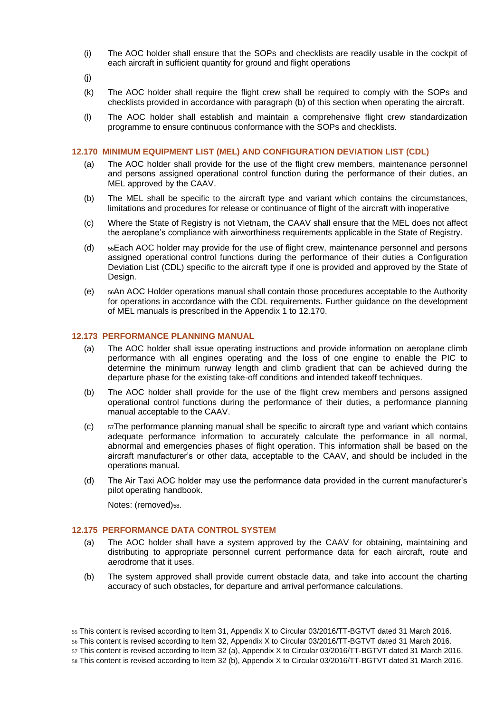- (i) The AOC holder shall ensure that the SOPs and checklists are readily usable in the cockpit of each aircraft in sufficient quantity for ground and flight operations
- (j)
- (k) The AOC holder shall require the flight crew shall be required to comply with the SOPs and checklists provided in accordance with paragraph (b) of this section when operating the aircraft.
- (l) The AOC holder shall establish and maintain a comprehensive flight crew standardization programme to ensure continuous conformance with the SOPs and checklists.

#### <span id="page-28-0"></span>**12.170 MINIMUM EQUIPMENT LIST (MEL) AND CONFIGURATION DEVIATION LIST (CDL)**

- (a) The AOC holder shall provide for the use of the flight crew members, maintenance personnel and persons assigned operational control function during the performance of their duties, an MEL approved by the CAAV.
- (b) The MEL shall be specific to the aircraft type and variant which contains the circumstances, limitations and procedures for release or continuance of flight of the aircraft with inoperative
- (c) Where the State of Registry is not Vietnam, the CAAV shall ensure that the MEL does not affect the aeroplane's compliance with airworthiness requirements applicable in the State of Registry.
- (d) <sup>55</sup>Each AOC holder may provide for the use of flight crew, maintenance personnel and persons assigned operational control functions during the performance of their duties a Configuration Deviation List (CDL) specific to the aircraft type if one is provided and approved by the State of Design.
- (e) <sup>56</sup>An AOC Holder operations manual shall contain those procedures acceptable to the Authority for operations in accordance with the CDL requirements. Further guidance on the development of MEL manuals is prescribed in the Appendix 1 to 12.170.

# <span id="page-28-1"></span>**12.173 PERFORMANCE PLANNING MANUAL**

- (a) The AOC holder shall issue operating instructions and provide information on aeroplane climb performance with all engines operating and the loss of one engine to enable the PIC to determine the minimum runway length and climb gradient that can be achieved during the departure phase for the existing take-off conditions and intended takeoff techniques.
- (b) The AOC holder shall provide for the use of the flight crew members and persons assigned operational control functions during the performance of their duties, a performance planning manual acceptable to the CAAV.
- (c) <sup>57</sup>The performance planning manual shall be specific to aircraft type and variant which contains adequate performance information to accurately calculate the performance in all normal, abnormal and emergencies phases of flight operation. This information shall be based on the aircraft manufacturer's or other data, acceptable to the CAAV, and should be included in the operations manual.
- (d) The Air Taxi AOC holder may use the performance data provided in the current manufacturer's pilot operating handbook.

Notes: (removed)<sub>58</sub>.

# <span id="page-28-2"></span>**12.175 PERFORMANCE DATA CONTROL SYSTEM**

- (a) The AOC holder shall have a system approved by the CAAV for obtaining, maintaining and distributing to appropriate personnel current performance data for each aircraft, route and aerodrome that it uses.
- (b) The system approved shall provide current obstacle data, and take into account the charting accuracy of such obstacles, for departure and arrival performance calculations.

<sup>55</sup> This content is revised according to Item 31, Appendix X to Circular 03/2016/TT-BGTVT dated 31 March 2016.

<sup>56</sup> This content is revised according to Item 32, Appendix X to Circular 03/2016/TT-BGTVT dated 31 March 2016.

<sup>57</sup> This content is revised according to Item 32 (a), Appendix X to Circular 03/2016/TT-BGTVT dated 31 March 2016.

<sup>58</sup> This content is revised according to Item 32 (b), Appendix X to Circular 03/2016/TT-BGTVT dated 31 March 2016.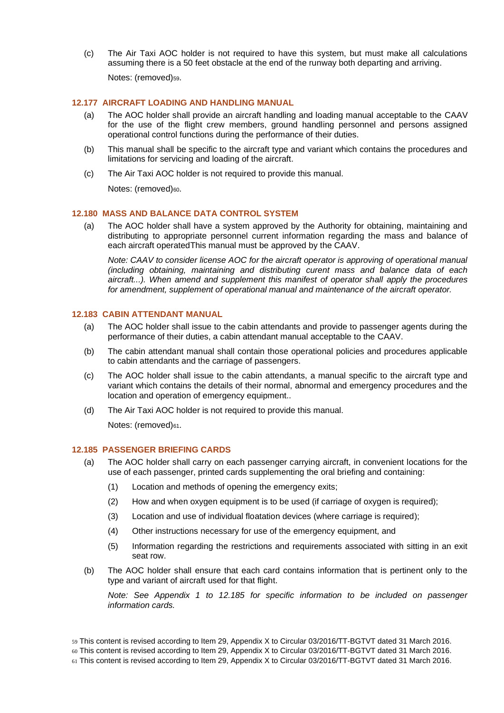(c) The Air Taxi AOC holder is not required to have this system, but must make all calculations assuming there is a 50 feet obstacle at the end of the runway both departing and arriving. Notes: (removed)<sub>59</sub>.

#### <span id="page-29-0"></span>**12.177 AIRCRAFT LOADING AND HANDLING MANUAL**

- (a) The AOC holder shall provide an aircraft handling and loading manual acceptable to the CAAV for the use of the flight crew members, ground handling personnel and persons assigned operational control functions during the performance of their duties.
- (b) This manual shall be specific to the aircraft type and variant which contains the procedures and limitations for servicing and loading of the aircraft.
- (c) The Air Taxi AOC holder is not required to provide this manual.

Notes: (removed)60.

# <span id="page-29-1"></span>**12.180 MASS AND BALANCE DATA CONTROL SYSTEM**

(a) The AOC holder shall have a system approved by the Authority for obtaining, maintaining and distributing to appropriate personnel current information regarding the mass and balance of each aircraft operatedThis manual must be approved by the CAAV.

*Note: CAAV to consider license AOC for the aircraft operator is approving of operational manual (including obtaining, maintaining and distributing curent mass and balance data of each aircraft...). When amend and supplement this manifest of operator shall apply the procedures for amendment, supplement of operational manual and maintenance of the aircraft operator.*

# <span id="page-29-2"></span>**12.183 CABIN ATTENDANT MANUAL**

- (a) The AOC holder shall issue to the cabin attendants and provide to passenger agents during the performance of their duties, a cabin attendant manual acceptable to the CAAV.
- (b) The cabin attendant manual shall contain those operational policies and procedures applicable to cabin attendants and the carriage of passengers.
- (c) The AOC holder shall issue to the cabin attendants, a manual specific to the aircraft type and variant which contains the details of their normal, abnormal and emergency procedures and the location and operation of emergency equipment..
- (d) The Air Taxi AOC holder is not required to provide this manual.

Notes: (removed)61.

#### <span id="page-29-3"></span>**12.185 PASSENGER BRIEFING CARDS**

- (a) The AOC holder shall carry on each passenger carrying aircraft, in convenient locations for the use of each passenger, printed cards supplementing the oral briefing and containing:
	- (1) Location and methods of opening the emergency exits;
	- (2) How and when oxygen equipment is to be used (if carriage of oxygen is required);
	- (3) Location and use of individual floatation devices (where carriage is required);
	- (4) Other instructions necessary for use of the emergency equipment, and
	- (5) Information regarding the restrictions and requirements associated with sitting in an exit seat row.
- (b) The AOC holder shall ensure that each card contains information that is pertinent only to the type and variant of aircraft used for that flight.

*Note:* See Appendix 1 to 12.185 for specific information to be included on passenger *information cards.*

- 59 This content is revised according to Item 29, Appendix X to Circular 03/2016/TT-BGTVT dated 31 March 2016.
- 60 This content is revised according to Item 29, Appendix X to Circular 03/2016/TT-BGTVT dated 31 March 2016.
- 61 This content is revised according to Item 29, Appendix X to Circular 03/2016/TT-BGTVT dated 31 March 2016.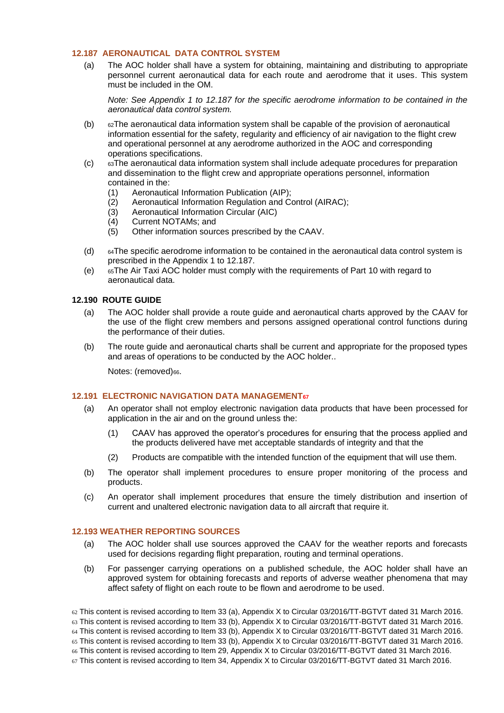# <span id="page-30-0"></span>**12.187 AERONAUTICAL DATA CONTROL SYSTEM**

(a) The AOC holder shall have a system for obtaining, maintaining and distributing to appropriate personnel current aeronautical data for each route and aerodrome that it uses. This system must be included in the OM.

*Note: See Appendix 1 to 12.187 for the specific aerodrome information to be contained in the aeronautical data control system.*

- (b) <sup>62</sup>The aeronautical data information system shall be capable of the provision of aeronautical information essential for the safety, regularity and efficiency of air navigation to the flight crew and operational personnel at any aerodrome authorized in the AOC and corresponding operations specifications.
- (c) <sup>63</sup>The aeronautical data information system shall include adequate procedures for preparation and dissemination to the flight crew and appropriate operations personnel, information contained in the:
	- (1) Aeronautical Information Publication (AIP);
	- (2) Aeronautical Information Regulation and Control (AIRAC);
	- (3) Aeronautical Information Circular (AIC)
	- (4) Current NOTAMs; and
	- (5) Other information sources prescribed by the CAAV.
- (d) <sup>64</sup>The specific aerodrome information to be contained in the aeronautical data control system is prescribed in the Appendix 1 to 12.187.
- (e) <sup>65</sup>The Air Taxi AOC holder must comply with the requirements of Part 10 with regard to aeronautical data.

#### <span id="page-30-1"></span>**12.190 ROUTE GUIDE**

- (a) The AOC holder shall provide a route guide and aeronautical charts approved by the CAAV for the use of the flight crew members and persons assigned operational control functions during the performance of their duties.
- (b) The route guide and aeronautical charts shall be current and appropriate for the proposed types and areas of operations to be conducted by the AOC holder..

Notes: (removed)<sub>66</sub>.

#### <span id="page-30-2"></span>**12.191 ELECTRONIC NAVIGATION DATA MANAGEMENT<sup>67</sup>**

- (a) An operator shall not employ electronic navigation data products that have been processed for application in the air and on the ground unless the:
	- (1) CAAV has approved the operator's procedures for ensuring that the process applied and the products delivered have met acceptable standards of integrity and that the
	- (2) Products are compatible with the intended function of the equipment that will use them.
- (b) The operator shall implement procedures to ensure proper monitoring of the process and products.
- (c) An operator shall implement procedures that ensure the timely distribution and insertion of current and unaltered electronic navigation data to all aircraft that require it.

#### <span id="page-30-3"></span>**12.193 WEATHER REPORTING SOURCES**

- (a) The AOC holder shall use sources approved the CAAV for the weather reports and forecasts used for decisions regarding flight preparation, routing and terminal operations.
- (b) For passenger carrying operations on a published schedule, the AOC holder shall have an approved system for obtaining forecasts and reports of adverse weather phenomena that may affect safety of flight on each route to be flown and aerodrome to be used.

62 This content is revised according to Item 33 (a), Appendix X to Circular 03/2016/TT-BGTVT dated 31 March 2016.

64 This content is revised according to Item 33 (b), Appendix X to Circular 03/2016/TT-BGTVT dated 31 March 2016.

65 This content is revised according to Item 33 (b), Appendix X to Circular 03/2016/TT-BGTVT dated 31 March 2016.

<sup>63</sup> This content is revised according to Item 33 (b), Appendix X to Circular 03/2016/TT-BGTVT dated 31 March 2016.

<sup>66</sup> This content is revised according to Item 29, Appendix X to Circular 03/2016/TT-BGTVT dated 31 March 2016.

<sup>67</sup> This content is revised according to Item 34, Appendix X to Circular 03/2016/TT-BGTVT dated 31 March 2016.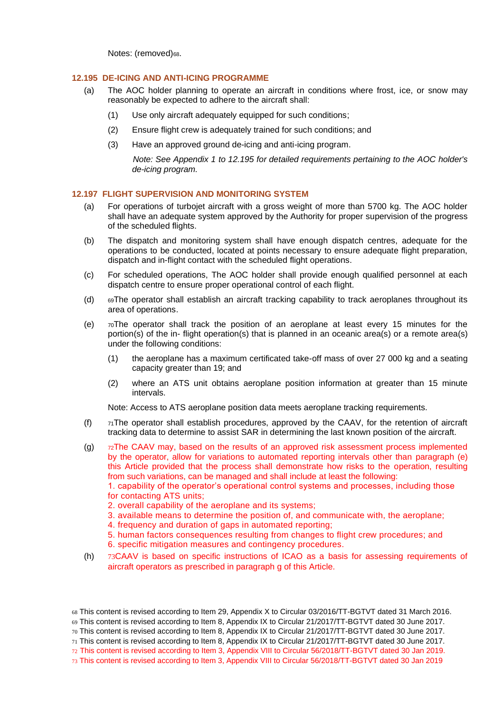Notes: (removed)68.

#### <span id="page-31-0"></span>**12.195 DE-ICING AND ANTI-ICING PROGRAMME**

- (a) The AOC holder planning to operate an aircraft in conditions where frost, ice, or snow may reasonably be expected to adhere to the aircraft shall:
	- (1) Use only aircraft adequately equipped for such conditions;
	- (2) Ensure flight crew is adequately trained for such conditions; and
	- (3) Have an approved ground de-icing and anti-icing program.

*Note: See Appendix 1 to 12.195 for detailed requirements pertaining to the AOC holder's de-icing program.* 

#### <span id="page-31-1"></span>**12.197 FLIGHT SUPERVISION AND MONITORING SYSTEM**

- (a) For operations of turbojet aircraft with a gross weight of more than 5700 kg. The AOC holder shall have an adequate system approved by the Authority for proper supervision of the progress of the scheduled flights.
- (b) The dispatch and monitoring system shall have enough dispatch centres, adequate for the operations to be conducted, located at points necessary to ensure adequate flight preparation, dispatch and in-flight contact with the scheduled flight operations.
- (c) For scheduled operations, The AOC holder shall provide enough qualified personnel at each dispatch centre to ensure proper operational control of each flight.
- (d) <sup>69</sup>The operator shall establish an aircraft tracking capability to track aeroplanes throughout its area of operations.
- (e)  $\tau$ <sup>o</sup>The operator shall track the position of an aeroplane at least every 15 minutes for the portion(s) of the in- flight operation(s) that is planned in an oceanic area(s) or a remote area(s) under the following conditions:
	- (1) the aeroplane has a maximum certificated take-off mass of over 27 000 kg and a seating capacity greater than 19; and
	- (2) where an ATS unit obtains aeroplane position information at greater than 15 minute intervals.

Note: Access to ATS aeroplane position data meets aeroplane tracking requirements.

- (f)  $71$ The operator shall establish procedures, approved by the CAAV, for the retention of aircraft tracking data to determine to assist SAR in determining the last known position of the aircraft.
- (g)  $z$ <sup>7</sup> $z$ The CAAV may, based on the results of an approved risk assessment process implemented by the operator, allow for variations to automated reporting intervals other than paragraph (e) this Article provided that the process shall demonstrate how risks to the operation, resulting from such variations, can be managed and shall include at least the following:

1. capability of the operator's operational control systems and processes, including those for contacting ATS units;

- 2. overall capability of the aeroplane and its systems;
- 3. available means to determine the position of, and communicate with, the aeroplane;
- 4. frequency and duration of gaps in automated reporting;
- 5. human factors consequences resulting from changes to flight crew procedures; and
- 6. specific mitigation measures and contingency procedures.
- (h) 73CAAV is based on specific instructions of ICAO as a basis for assessing requirements of aircraft operators as prescribed in paragraph g of this Article.

<sup>68</sup> This content is revised according to Item 29, Appendix X to Circular 03/2016/TT-BGTVT dated 31 March 2016.

<sup>69</sup> This content is revised according to Item 8, Appendix IX to Circular 21/2017/TT-BGTVT dated 30 June 2017.

<sup>70</sup> This content is revised according to Item 8, Appendix IX to Circular 21/2017/TT-BGTVT dated 30 June 2017.

<sup>71</sup> This content is revised according to Item 8, Appendix IX to Circular 21/2017/TT-BGTVT dated 30 June 2017.

<sup>72</sup> This content is revised according to Item 3, Appendix VIII to Circular 56/2018/TT-BGTVT dated 30 Jan 2019.

<sup>73</sup> This content is revised according to Item 3, Appendix VIII to Circular 56/2018/TT-BGTVT dated 30 Jan 2019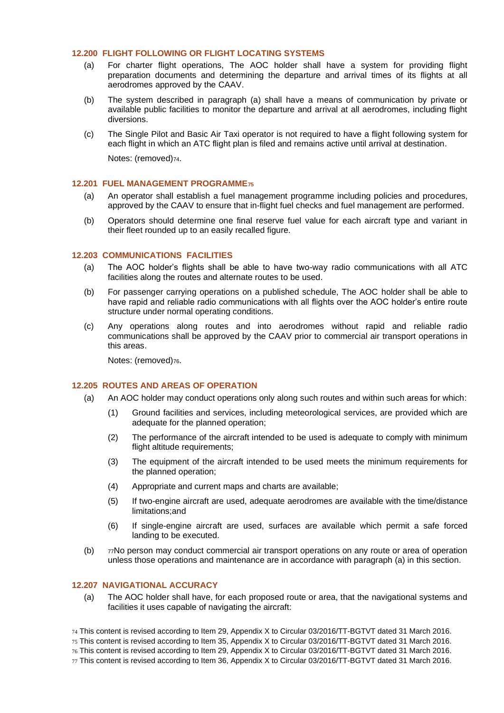#### <span id="page-32-0"></span>**12.200 FLIGHT FOLLOWING OR FLIGHT LOCATING SYSTEMS**

- (a) For charter flight operations, The AOC holder shall have a system for providing flight preparation documents and determining the departure and arrival times of its flights at all aerodromes approved by the CAAV.
- (b) The system described in paragraph (a) shall have a means of communication by private or available public facilities to monitor the departure and arrival at all aerodromes, including flight diversions.
- (c) The Single Pilot and Basic Air Taxi operator is not required to have a flight following system for each flight in which an ATC flight plan is filed and remains active until arrival at destination.

Notes: (removed)<sub>74</sub>.

#### <span id="page-32-1"></span>**12.201 FUEL MANAGEMENT PROGRAMME<sup>75</sup>**

- (a) An operator shall establish a fuel management programme including policies and procedures, approved by the CAAV to ensure that in-flight fuel checks and fuel management are performed.
- (b) Operators should determine one final reserve fuel value for each aircraft type and variant in their fleet rounded up to an easily recalled figure.

#### <span id="page-32-2"></span>**12.203 COMMUNICATIONS FACILITIES**

- (a) The AOC holder's flights shall be able to have two-way radio communications with all ATC facilities along the routes and alternate routes to be used.
- (b) For passenger carrying operations on a published schedule, The AOC holder shall be able to have rapid and reliable radio communications with all flights over the AOC holder's entire route structure under normal operating conditions.
- (c) Any operations along routes and into aerodromes without rapid and reliable radio communications shall be approved by the CAAV prior to commercial air transport operations in this areas.

Notes: (removed)76.

#### <span id="page-32-3"></span>**12.205 ROUTES AND AREAS OF OPERATION**

- (a) An AOC holder may conduct operations only along such routes and within such areas for which:
	- (1) Ground facilities and services, including meteorological services, are provided which are adequate for the planned operation;
	- (2) The performance of the aircraft intended to be used is adequate to comply with minimum flight altitude requirements;
	- (3) The equipment of the aircraft intended to be used meets the minimum requirements for the planned operation;
	- (4) Appropriate and current maps and charts are available;
	- (5) If two-engine aircraft are used, adequate aerodromes are available with the time/distance limitations;and
	- (6) If single-engine aircraft are used, surfaces are available which permit a safe forced landing to be executed.
- (b) <sup>77</sup>No person may conduct commercial air transport operations on any route or area of operation unless those operations and maintenance are in accordance with paragraph (a) in this section.

#### <span id="page-32-4"></span>**12.207 NAVIGATIONAL ACCURACY**

- (a) The AOC holder shall have, for each proposed route or area, that the navigational systems and facilities it uses capable of navigating the aircraft:
- 74 This content is revised according to Item 29, Appendix X to Circular 03/2016/TT-BGTVT dated 31 March 2016.
- 75 This content is revised according to Item 35, Appendix X to Circular 03/2016/TT-BGTVT dated 31 March 2016.
- 76 This content is revised according to Item 29, Appendix X to Circular 03/2016/TT-BGTVT dated 31 March 2016.
- 77 This content is revised according to Item 36, Appendix X to Circular 03/2016/TT-BGTVT dated 31 March 2016.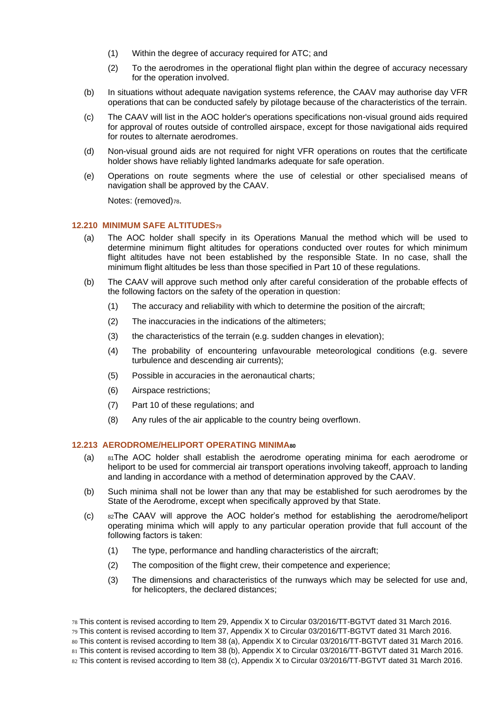- (1) Within the degree of accuracy required for ATC; and
- (2) To the aerodromes in the operational flight plan within the degree of accuracy necessary for the operation involved.
- (b) In situations without adequate navigation systems reference, the CAAV may authorise day VFR operations that can be conducted safely by pilotage because of the characteristics of the terrain.
- (c) The CAAV will list in the AOC holder's operations specifications non-visual ground aids required for approval of routes outside of controlled airspace, except for those navigational aids required for routes to alternate aerodromes.
- (d) Non-visual ground aids are not required for night VFR operations on routes that the certificate holder shows have reliably lighted landmarks adequate for safe operation.
- (e) Operations on route segments where the use of celestial or other specialised means of navigation shall be approved by the CAAV.

Notes: (removed)<sub>78</sub>.

#### <span id="page-33-0"></span>**12.210 MINIMUM SAFE ALTITUDES<sup>79</sup>**

- (a) The AOC holder shall specify in its Operations Manual the method which will be used to determine minimum flight altitudes for operations conducted over routes for which minimum flight altitudes have not been established by the responsible State. In no case, shall the minimum flight altitudes be less than those specified in Part 10 of these regulations.
- (b) The CAAV will approve such method only after careful consideration of the probable effects of the following factors on the safety of the operation in question:
	- (1) The accuracy and reliability with which to determine the position of the aircraft;
	- (2) The inaccuracies in the indications of the altimeters;
	- (3) the characteristics of the terrain (e.g. sudden changes in elevation);
	- (4) The probability of encountering unfavourable meteorological conditions (e.g. severe turbulence and descending air currents);
	- (5) Possible in accuracies in the aeronautical charts;
	- (6) Airspace restrictions;
	- (7) Part 10 of these regulations; and
	- (8) Any rules of the air applicable to the country being overflown.

#### <span id="page-33-1"></span>**12.213 AERODROME/HELIPORT OPERATING MINIMA<sup>80</sup>**

- (a) <sup>81</sup>The AOC holder shall establish the aerodrome operating minima for each aerodrome or heliport to be used for commercial air transport operations involving takeoff, approach to landing and landing in accordance with a method of determination approved by the CAAV.
- (b) Such minima shall not be lower than any that may be established for such aerodromes by the State of the Aerodrome, except when specifically approved by that State.
- (c) <sup>82</sup>The CAAV will approve the AOC holder's method for establishing the aerodrome/heliport operating minima which will apply to any particular operation provide that full account of the following factors is taken:
	- (1) The type, performance and handling characteristics of the aircraft;
	- (2) The composition of the flight crew, their competence and experience;
	- (3) The dimensions and characteristics of the runways which may be selected for use and, for helicopters, the declared distances;

<sup>78</sup> This content is revised according to Item 29, Appendix X to Circular 03/2016/TT-BGTVT dated 31 March 2016.

<sup>79</sup> This content is revised according to Item 37, Appendix X to Circular 03/2016/TT-BGTVT dated 31 March 2016.

<sup>80</sup> This content is revised according to Item 38 (a), Appendix X to Circular 03/2016/TT-BGTVT dated 31 March 2016.

<sup>81</sup> This content is revised according to Item 38 (b), Appendix X to Circular 03/2016/TT-BGTVT dated 31 March 2016.

<sup>82</sup> This content is revised according to Item 38 (c), Appendix X to Circular 03/2016/TT-BGTVT dated 31 March 2016.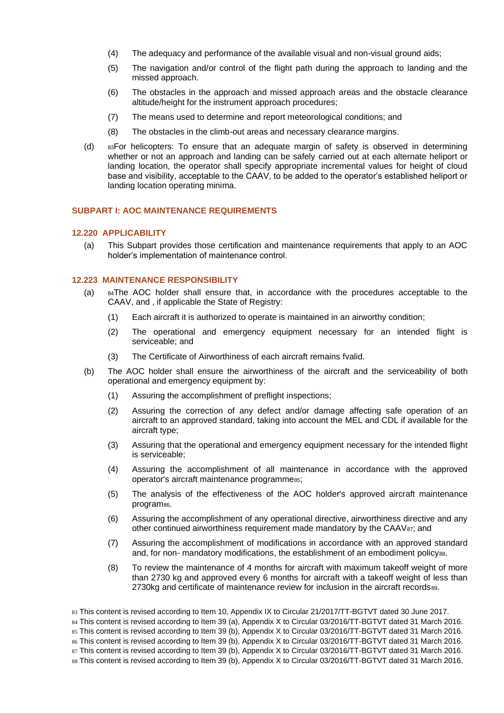- (4) The adequacy and performance of the available visual and non-visual ground aids;
- (5) The navigation and/or control of the flight path during the approach to landing and the missed approach.
- (6) The obstacles in the approach and missed approach areas and the obstacle clearance altitude/height for the instrument approach procedures;
- (7) The means used to determine and report meteorological conditions; and
- (8) The obstacles in the climb-out areas and necessary clearance margins.
- (d) <sup>83</sup>For helicopters: To ensure that an adequate margin of safety is observed in determining whether or not an approach and landing can be safely carried out at each alternate heliport or landing location, the operator shall specify appropriate incremental values for height of cloud base and visibility, acceptable to the CAAV, to be added to the operator's established heliport or landing location operating minima.

# <span id="page-34-0"></span>**SUBPART I: AOC MAINTENANCE REQUIREMENTS**

# <span id="page-34-1"></span>**12.220 APPLICABILITY**

(a) This Subpart provides those certification and maintenance requirements that apply to an AOC holder's implementation of maintenance control.

#### <span id="page-34-2"></span>**12.223 MAINTENANCE RESPONSIBILITY**

- (a) <sup>84</sup>The AOC holder shall ensure that, in accordance with the procedures acceptable to the CAAV, and , if applicable the State of Registry:
	- (1) Each aircraft it is authorized to operate is maintained in an airworthy condition;
	- (2) The operational and emergency equipment necessary for an intended flight is serviceable; and
	- (3) The Certificate of Airworthiness of each aircraft remains fvalid.
- (b) The AOC holder shall ensure the airworthiness of the aircraft and the serviceability of both operational and emergency equipment by:
	- (1) Assuring the accomplishment of preflight inspections;
	- (2) Assuring the correction of any defect and/or damage affecting safe operation of an aircraft to an approved standard, taking into account the MEL and CDL if available for the aircraft type;
	- (3) Assuring that the operational and emergency equipment necessary for the intended flight is serviceable;
	- (4) Assuring the accomplishment of all maintenance in accordance with the approved operator's aircraft maintenance programmess:
	- (5) The analysis of the effectiveness of the AOC holder's approved aircraft maintenance program<sup>86</sup>.
	- (6) Assuring the accomplishment of any operational directive, airworthiness directive and any other continued airworthiness requirement made mandatory by the CAAV87; and
	- (7) Assuring the accomplishment of modifications in accordance with an approved standard and, for non- mandatory modifications, the establishment of an embodiment policy88.
	- (8) To review the maintenance of 4 months for aircraft with maximum takeoff weight of more than 2730 kg and approved every 6 months for aircraft with a takeoff weight of less than 2730kg and certificate of maintenance review for inclusion in the aircraft records89.

<sup>83</sup> This content is revised according to Item 10, Appendix IX to Circular 21/2017/TT-BGTVT dated 30 June 2017.

<sup>84</sup> This content is revised according to Item 39 (a), Appendix X to Circular 03/2016/TT-BGTVT dated 31 March 2016.

<sup>85</sup> This content is revised according to Item 39 (b), Appendix X to Circular 03/2016/TT-BGTVT dated 31 March 2016. 86 This content is revised according to Item 39 (b), Appendix X to Circular 03/2016/TT-BGTVT dated 31 March 2016.

<sup>87</sup> This content is revised according to Item 39 (b), Appendix X to Circular 03/2016/TT-BGTVT dated 31 March 2016.

<sup>88</sup> This content is revised according to Item 39 (b), Appendix X to Circular 03/2016/TT-BGTVT dated 31 March 2016.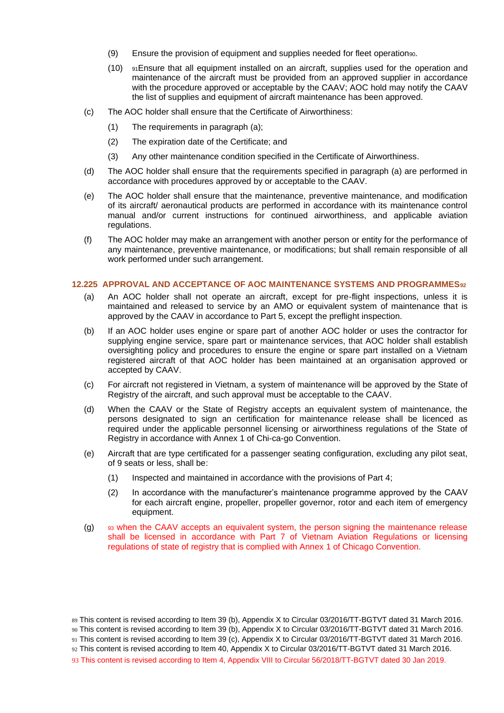- (9) Ensure the provision of equipment and supplies needed for fleet operation90.
- (10) <sup>91</sup>Ensure that all equipment installed on an aircraft, supplies used for the operation and maintenance of the aircraft must be provided from an approved supplier in accordance with the procedure approved or acceptable by the CAAV; AOC hold may notify the CAAV the list of supplies and equipment of aircraft maintenance has been approved.
- (c) The AOC holder shall ensure that the Certificate of Airworthiness:
	- (1) The requirements in paragraph (a);
	- (2) The expiration date of the Certificate; and
	- (3) Any other maintenance condition specified in the Certificate of Airworthiness.
- (d) The AOC holder shall ensure that the requirements specified in paragraph (a) are performed in accordance with procedures approved by or acceptable to the CAAV.
- (e) The AOC holder shall ensure that the maintenance, preventive maintenance, and modification of its aircraft/ aeronautical products are performed in accordance with its maintenance control manual and/or current instructions for continued airworthiness, and applicable aviation regulations.
- (f) The AOC holder may make an arrangement with another person or entity for the performance of any maintenance, preventive maintenance, or modifications; but shall remain responsible of all work performed under such arrangement.

#### <span id="page-35-0"></span>**12.225 APPROVAL AND ACCEPTANCE OF AOC MAINTENANCE SYSTEMS AND PROGRAMMES<sup>92</sup>**

- (a) An AOC holder shall not operate an aircraft, except for pre-flight inspections, unless it is maintained and released to service by an AMO or equivalent system of maintenance that is approved by the CAAV in accordance to Part 5, except the preflight inspection.
- (b) If an AOC holder uses engine or spare part of another AOC holder or uses the contractor for supplying engine service, spare part or maintenance services, that AOC holder shall establish oversighting policy and procedures to ensure the engine or spare part installed on a Vietnam registered aircraft of that AOC holder has been maintained at an organisation approved or accepted by CAAV.
- (c) For aircraft not registered in Vietnam, a system of maintenance will be approved by the State of Registry of the aircraft, and such approval must be acceptable to the CAAV.
- (d) When the CAAV or the State of Registry accepts an equivalent system of maintenance, the persons designated to sign an certification for maintenance release shall be licenced as required under the applicable personnel licensing or airworthiness regulations of the State of Registry in accordance with Annex 1 of Chi-ca-go Convention.
- (e) Aircraft that are type certificated for a passenger seating configuration, excluding any pilot seat, of 9 seats or less, shall be:
	- (1) Inspected and maintained in accordance with the provisions of Part 4;
	- (2) In accordance with the manufacturer's maintenance programme approved by the CAAV for each aircraft engine, propeller, propeller governor, rotor and each item of emergency equipment.
- (g) <sup>93</sup> when the CAAV accepts an equivalent system, the person signing the maintenance release shall be licensed in accordance with Part 7 of Vietnam Aviation Regulations or licensing regulations of state of registry that is complied with Annex 1 of Chicago Convention.

<sup>89</sup> This content is revised according to Item 39 (b), Appendix X to Circular 03/2016/TT-BGTVT dated 31 March 2016.

<sup>90</sup> This content is revised according to Item 39 (b), Appendix X to Circular 03/2016/TT-BGTVT dated 31 March 2016.

<sup>91</sup> This content is revised according to Item 39 (c), Appendix X to Circular 03/2016/TT-BGTVT dated 31 March 2016.

<sup>92</sup> This content is revised according to Item 40, Appendix X to Circular 03/2016/TT-BGTVT dated 31 March 2016.

<sup>93</sup> This content is revised according to Item 4, Appendix VIII to Circular 56/2018/TT-BGTVT dated 30 Jan 2019.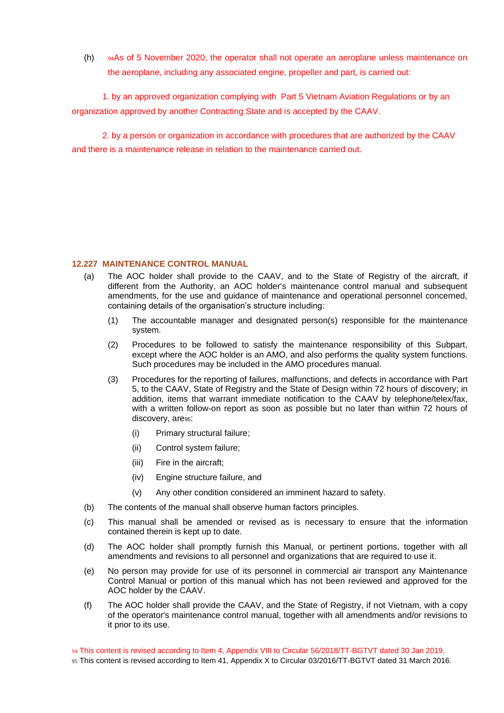(h) <sup>94</sup>As of 5 November 2020, the operator shall not operate an aeroplane unless maintenance on the aeroplane, including any associated engine, propeller and part, is carried out:

1. by an approved organization complying with Part 5 Vietnam Aviation Regulations or by an organization approved by another Contracting State and is accepted by the CAAV.

2. by a person or organization in accordance with procedures that are authorized by the CAAV and there is a maintenance release in relation to the maintenance carried out.

# <span id="page-36-0"></span>**12.227 MAINTENANCE CONTROL MANUAL**

- (a) The AOC holder shall provide to the CAAV, and to the State of Registry of the aircraft, if different from the Authority, an AOC holder's maintenance control manual and subsequent amendments, for the use and guidance of maintenance and operational personnel concerned, containing details of the organisation's structure including:
	- (1) The accountable manager and designated person(s) responsible for the maintenance system.
	- (2) Procedures to be followed to satisfy the maintenance responsibility of this Subpart, except where the AOC holder is an AMO, and also performs the quality system functions. Such procedures may be included in the AMO procedures manual.
	- (3) Procedures for the reporting of failures, malfunctions, and defects in accordance with Part 5, to the CAAV, State of Registry and the State of Design within 72 hours of discovery; in addition, items that warrant immediate notification to the CAAV by telephone/telex/fax, with a written follow-on report as soon as possible but no later than within 72 hours of discovery, are<sup>95</sup>:
		- (i) Primary structural failure;
		- (ii) Control system failure;
		- (iii) Fire in the aircraft;
		- (iv) Engine structure failure, and
		- (v) Any other condition considered an imminent hazard to safety.
- (b) The contents of the manual shall observe human factors principles.
- (c) This manual shall be amended or revised as is necessary to ensure that the information contained therein is kept up to date.
- (d) The AOC holder shall promptly furnish this Manual, or pertinent portions, together with all amendments and revisions to all personnel and organizations that are required to use it.
- (e) No person may provide for use of its personnel in commercial air transport any Maintenance Control Manual or portion of this manual which has not been reviewed and approved for the AOC holder by the CAAV.
- (f) The AOC holder shall provide the CAAV, and the State of Registry, if not Vietnam, with a copy of the operator's maintenance control manual, together with all amendments and/or revisions to it prior to its use.

94 This content is revised according to Item 4, Appendix VIII to Circular 56/2018/TT-BGTVT dated 30 Jan 2019.

95 This content is revised according to Item 41, Appendix X to Circular 03/2016/TT-BGTVT dated 31 March 2016.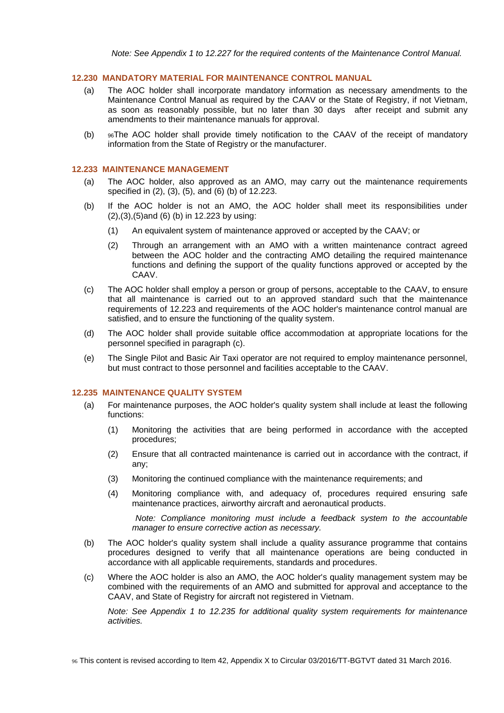# <span id="page-37-0"></span>**12.230 MANDATORY MATERIAL FOR MAINTENANCE CONTROL MANUAL**

- (a) The AOC holder shall incorporate mandatory information as necessary amendments to the Maintenance Control Manual as required by the CAAV or the State of Registry, if not Vietnam, as soon as reasonably possible, but no later than 30 days after receipt and submit any amendments to their maintenance manuals for approval.
- (b) <sup>96</sup>The AOC holder shall provide timely notification to the CAAV of the receipt of mandatory information from the State of Registry or the manufacturer.

#### <span id="page-37-1"></span>**12.233 MAINTENANCE MANAGEMENT**

- (a) The AOC holder, also approved as an AMO, may carry out the maintenance requirements specified in (2), (3), (5), and (6) (b) of 12.223.
- (b) If the AOC holder is not an AMO, the AOC holder shall meet its responsibilities under (2),(3),(5)and (6) (b) in 12.223 by using:
	- (1) An equivalent system of maintenance approved or accepted by the CAAV; or
	- (2) Through an arrangement with an AMO with a written maintenance contract agreed between the AOC holder and the contracting AMO detailing the required maintenance functions and defining the support of the quality functions approved or accepted by the CAAV.
- (c) The AOC holder shall employ a person or group of persons, acceptable to the CAAV, to ensure that all maintenance is carried out to an approved standard such that the maintenance requirements of 12.223 and requirements of the AOC holder's maintenance control manual are satisfied, and to ensure the functioning of the quality system.
- (d) The AOC holder shall provide suitable office accommodation at appropriate locations for the personnel specified in paragraph (c).
- (e) The Single Pilot and Basic Air Taxi operator are not required to employ maintenance personnel, but must contract to those personnel and facilities acceptable to the CAAV.

#### <span id="page-37-2"></span>**12.235 MAINTENANCE QUALITY SYSTEM**

- (a) For maintenance purposes, the AOC holder's quality system shall include at least the following functions:
	- (1) Monitoring the activities that are being performed in accordance with the accepted procedures;
	- (2) Ensure that all contracted maintenance is carried out in accordance with the contract, if any;
	- (3) Monitoring the continued compliance with the maintenance requirements; and
	- (4) Monitoring compliance with, and adequacy of, procedures required ensuring safe maintenance practices, airworthy aircraft and aeronautical products.

*Note: Compliance monitoring must include a feedback system to the accountable manager to ensure corrective action as necessary.*

- (b) The AOC holder's quality system shall include a quality assurance programme that contains procedures designed to verify that all maintenance operations are being conducted in accordance with all applicable requirements, standards and procedures.
- (c) Where the AOC holder is also an AMO, the AOC holder's quality management system may be combined with the requirements of an AMO and submitted for approval and acceptance to the CAAV, and State of Registry for aircraft not registered in Vietnam.

*Note: See Appendix 1 to 12.235 for additional quality system requirements for maintenance activities.*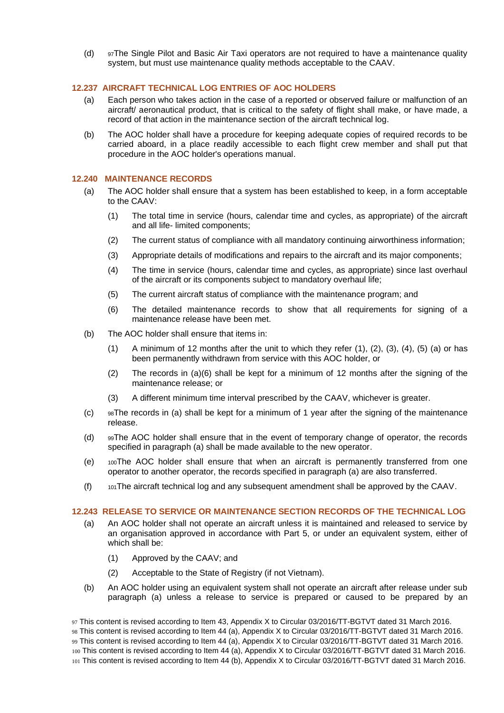(d) <sup>97</sup>The Single Pilot and Basic Air Taxi operators are not required to have a maintenance quality system, but must use maintenance quality methods acceptable to the CAAV.

# <span id="page-38-0"></span>**12.237 AIRCRAFT TECHNICAL LOG ENTRIES OF AOC HOLDERS**

- (a) Each person who takes action in the case of a reported or observed failure or malfunction of an aircraft/ aeronautical product, that is critical to the safety of flight shall make, or have made, a record of that action in the maintenance section of the aircraft technical log.
- (b) The AOC holder shall have a procedure for keeping adequate copies of required records to be carried aboard, in a place readily accessible to each flight crew member and shall put that procedure in the AOC holder's operations manual.

#### **12.240 MAINTENANCE RECORDS**

- <span id="page-38-1"></span>(a) The AOC holder shall ensure that a system has been established to keep, in a form acceptable to the CAAV:
	- (1) The total time in service (hours, calendar time and cycles, as appropriate) of the aircraft and all life- limited components;
	- (2) The current status of compliance with all mandatory continuing airworthiness information;
	- (3) Appropriate details of modifications and repairs to the aircraft and its major components;
	- (4) The time in service (hours, calendar time and cycles, as appropriate) since last overhaul of the aircraft or its components subject to mandatory overhaul life;
	- (5) The current aircraft status of compliance with the maintenance program; and
	- (6) The detailed maintenance records to show that all requirements for signing of a maintenance release have been met.
- (b) The AOC holder shall ensure that items in:
	- $(1)$  A minimum of 12 months after the unit to which they refer  $(1)$ ,  $(2)$ ,  $(3)$ ,  $(4)$ ,  $(5)$   $(a)$  or has been permanently withdrawn from service with this AOC holder, or
	- (2) The records in (a)(6) shall be kept for a minimum of 12 months after the signing of the maintenance release; or
	- (3) A different minimum time interval prescribed by the CAAV, whichever is greater.
- $(c)$  98The records in (a) shall be kept for a minimum of 1 year after the signing of the maintenance release.
- (d) <sup>99</sup>The AOC holder shall ensure that in the event of temporary change of operator, the records specified in paragraph (a) shall be made available to the new operator.
- $(e)$  100The AOC holder shall ensure that when an aircraft is permanently transferred from one operator to another operator, the records specified in paragraph (a) are also transferred.
- (f) <sup>101</sup>The aircraft technical log and any subsequent amendment shall be approved by the CAAV.

#### <span id="page-38-2"></span>**12.243 RELEASE TO SERVICE OR MAINTENANCE SECTION RECORDS OF THE TECHNICAL LOG**

- (a) An AOC holder shall not operate an aircraft unless it is maintained and released to service by an organisation approved in accordance with Part 5, or under an equivalent system, either of which shall be:
	- (1) Approved by the CAAV; and
	- (2) Acceptable to the State of Registry (if not Vietnam).
- (b) An AOC holder using an equivalent system shall not operate an aircraft after release under sub paragraph (a) unless a release to service is prepared or caused to be prepared by an

<sup>97</sup> This content is revised according to Item 43, Appendix X to Circular 03/2016/TT-BGTVT dated 31 March 2016. 98 This content is revised according to Item 44 (a), Appendix X to Circular 03/2016/TT-BGTVT dated 31 March 2016. 99 This content is revised according to Item 44 (a), Appendix X to Circular 03/2016/TT-BGTVT dated 31 March 2016. 100 This content is revised according to Item 44 (a), Appendix X to Circular 03/2016/TT-BGTVT dated 31 March 2016. 101 This content is revised according to Item 44 (b), Appendix X to Circular 03/2016/TT-BGTVT dated 31 March 2016.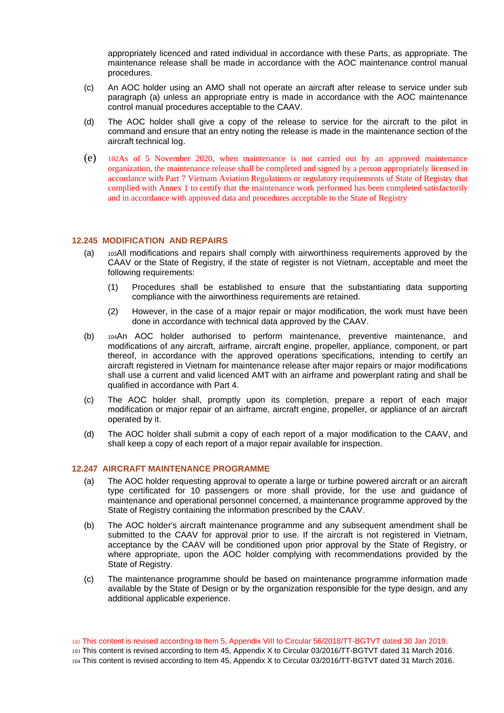appropriately licenced and rated individual in accordance with these Parts, as appropriate. The maintenance release shall be made in accordance with the AOC maintenance control manual procedures.

- (c) An AOC holder using an AMO shall not operate an aircraft after release to service under sub paragraph (a) unless an appropriate entry is made in accordance with the AOC maintenance control manual procedures acceptable to the CAAV.
- (d) The AOC holder shall give a copy of the release to service for the aircraft to the pilot in command and ensure that an entry noting the release is made in the maintenance section of the aircraft technical log.
- (e) <sup>102</sup>As of 5 November 2020, when maintenance is not carried out by an approved maintenance organization, the maintenance release shall be completed and signed by a person appropriately licensed in accordance with Part 7 Vietnam Aviation Regulations or regulatory requirements of State of Registry that complied with Annex 1 to certify that the maintenance work performed has been completed satisfactorily and in accordance with approved data and procedures acceptable to the State of Registry

# <span id="page-39-0"></span>**12.245 MODIFICATION AND REPAIRS**

- (a) <sup>103</sup>All modifications and repairs shall comply with airworthiness requirements approved by the CAAV or the State of Registry, if the state of register is not Vietnam, acceptable and meet the following requirements:
	- (1) Procedures shall be established to ensure that the substantiating data supporting compliance with the airworthiness requirements are retained.
	- (2) However, in the case of a major repair or major modification, the work must have been done in accordance with technical data approved by the CAAV.
- (b) <sup>104</sup>An AOC holder authorised to perform maintenance, preventive maintenance, and modifications of any aircraft, airframe, aircraft engine, propeller, appliance, component, or part thereof, in accordance with the approved operations specifications, intending to certify an aircraft registered in Vietnam for maintenance release after major repairs or major modifications shall use a current and valid licenced AMT with an airframe and powerplant rating and shall be qualified in accordance with Part 4.
- (c) The AOC holder shall, promptly upon its completion, prepare a report of each major modification or major repair of an airframe, aircraft engine, propeller, or appliance of an aircraft operated by it.
- (d) The AOC holder shall submit a copy of each report of a major modification to the CAAV, and shall keep a copy of each report of a major repair available for inspection.

#### <span id="page-39-1"></span>**12.247 AIRCRAFT MAINTENANCE PROGRAMME**

- (a) The AOC holder requesting approval to operate a large or turbine powered aircraft or an aircraft type certificated for 10 passengers or more shall provide, for the use and guidance of maintenance and operational personnel concerned, a maintenance programme approved by the State of Registry containing the information prescribed by the CAAV.
- (b) The AOC holder's aircraft maintenance programme and any subsequent amendment shall be submitted to the CAAV for approval prior to use. If the aircraft is not registered in Vietnam, acceptance by the CAAV will be conditioned upon prior approval by the State of Registry, or where appropriate, upon the AOC holder complying with recommendations provided by the State of Registry.
- (c) The maintenance programme should be based on maintenance programme information made available by the State of Design or by the organization responsible for the type design, and any additional applicable experience.

102 This content is revised according to Item 5, Appendix VIII to Circular 56/2018/TT-BGTVT dated 30 Jan 2019. 103 This content is revised according to Item 45, Appendix X to Circular 03/2016/TT-BGTVT dated 31 March 2016. 104 This content is revised according to Item 45, Appendix X to Circular 03/2016/TT-BGTVT dated 31 March 2016.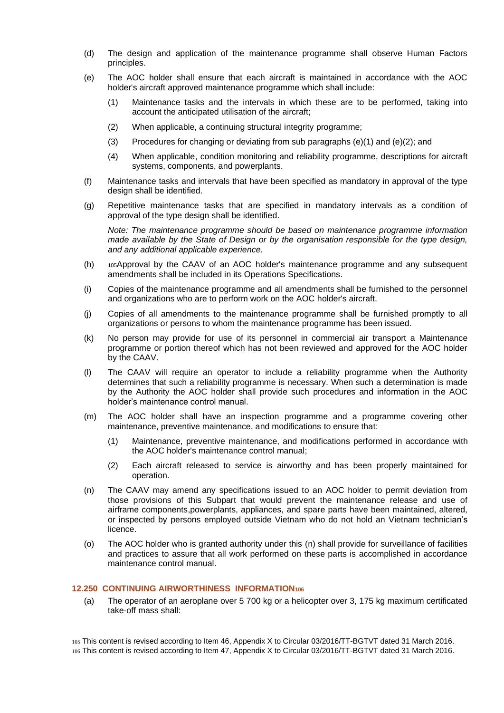- (d) The design and application of the maintenance programme shall observe Human Factors principles.
- (e) The AOC holder shall ensure that each aircraft is maintained in accordance with the AOC holder's aircraft approved maintenance programme which shall include:
	- (1) Maintenance tasks and the intervals in which these are to be performed, taking into account the anticipated utilisation of the aircraft;
	- (2) When applicable, a continuing structural integrity programme;
	- (3) Procedures for changing or deviating from sub paragraphs (e)(1) and (e)(2); and
	- (4) When applicable, condition monitoring and reliability programme, descriptions for aircraft systems, components, and powerplants.
- (f) Maintenance tasks and intervals that have been specified as mandatory in approval of the type design shall be identified.
- (g) Repetitive maintenance tasks that are specified in mandatory intervals as a condition of approval of the type design shall be identified.

*Note: The maintenance programme should be based on maintenance programme information made available by the State of Design or by the organisation responsible for the type design, and any additional applicable experience.*

- (h) <sup>105</sup>Approval by the CAAV of an AOC holder's maintenance programme and any subsequent amendments shall be included in its Operations Specifications.
- (i) Copies of the maintenance programme and all amendments shall be furnished to the personnel and organizations who are to perform work on the AOC holder's aircraft.
- (j) Copies of all amendments to the maintenance programme shall be furnished promptly to all organizations or persons to whom the maintenance programme has been issued.
- (k) No person may provide for use of its personnel in commercial air transport a Maintenance programme or portion thereof which has not been reviewed and approved for the AOC holder by the CAAV.
- (l) The CAAV will require an operator to include a reliability programme when the Authority determines that such a reliability programme is necessary. When such a determination is made by the Authority the AOC holder shall provide such procedures and information in the AOC holder's maintenance control manual.
- (m) The AOC holder shall have an inspection programme and a programme covering other maintenance, preventive maintenance, and modifications to ensure that:
	- (1) Maintenance, preventive maintenance, and modifications performed in accordance with the AOC holder's maintenance control manual;
	- (2) Each aircraft released to service is airworthy and has been properly maintained for operation.
- (n) The CAAV may amend any specifications issued to an AOC holder to permit deviation from those provisions of this Subpart that would prevent the maintenance release and use of airframe components,powerplants, appliances, and spare parts have been maintained, altered, or inspected by persons employed outside Vietnam who do not hold an Vietnam technician's licence.
- (o) The AOC holder who is granted authority under this (n) shall provide for surveillance of facilities and practices to assure that all work performed on these parts is accomplished in accordance maintenance control manual.

# <span id="page-40-0"></span>**12.250 CONTINUING AIRWORTHINESS INFORMATION<sup>106</sup>**

(a) The operator of an aeroplane over 5 700 kg or a helicopter over 3, 175 kg maximum certificated take-off mass shall:

105 This content is revised according to Item 46, Appendix X to Circular 03/2016/TT-BGTVT dated 31 March 2016. 106 This content is revised according to Item 47, Appendix X to Circular 03/2016/TT-BGTVT dated 31 March 2016.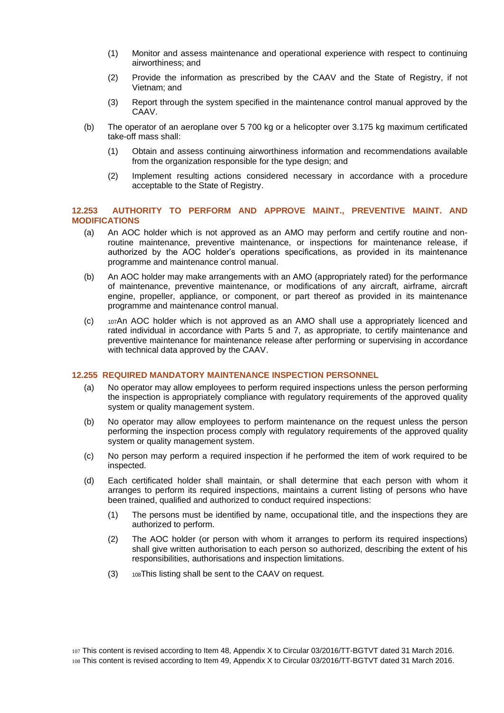- (1) Monitor and assess maintenance and operational experience with respect to continuing airworthiness; and
- (2) Provide the information as prescribed by the CAAV and the State of Registry, if not Vietnam; and
- (3) Report through the system specified in the maintenance control manual approved by the CAAV.
- (b) The operator of an aeroplane over 5 700 kg or a helicopter over 3.175 kg maximum certificated take-off mass shall:
	- (1) Obtain and assess continuing airworthiness information and recommendations available from the organization responsible for the type design; and
	- (2) Implement resulting actions considered necessary in accordance with a procedure acceptable to the State of Registry.

#### <span id="page-41-0"></span>**12.253 AUTHORITY TO PERFORM AND APPROVE MAINT., PREVENTIVE MAINT. AND MODIFICATIONS**

- (a) An AOC holder which is not approved as an AMO may perform and certify routine and nonroutine maintenance, preventive maintenance, or inspections for maintenance release, if authorized by the AOC holder's operations specifications, as provided in its maintenance programme and maintenance control manual.
- (b) An AOC holder may make arrangements with an AMO (appropriately rated) for the performance of maintenance, preventive maintenance, or modifications of any aircraft, airframe, aircraft engine, propeller, appliance, or component, or part thereof as provided in its maintenance programme and maintenance control manual.
- (c) <sup>107</sup>An AOC holder which is not approved as an AMO shall use a appropriately licenced and rated individual in accordance with Parts 5 and 7, as appropriate, to certify maintenance and preventive maintenance for maintenance release after performing or supervising in accordance with technical data approved by the CAAV.

#### <span id="page-41-1"></span>**12.255 REQUIRED MANDATORY MAINTENANCE INSPECTION PERSONNEL**

- (a) No operator may allow employees to perform required inspections unless the person performing the inspection is appropriately compliance with regulatory requirements of the approved quality system or quality management system.
- (b) No operator may allow employees to perform maintenance on the request unless the person performing the inspection process comply with regulatory requirements of the approved quality system or quality management system.
- (c) No person may perform a required inspection if he performed the item of work required to be inspected.
- (d) Each certificated holder shall maintain, or shall determine that each person with whom it arranges to perform its required inspections, maintains a current listing of persons who have been trained, qualified and authorized to conduct required inspections:
	- (1) The persons must be identified by name, occupational title, and the inspections they are authorized to perform.
	- (2) The AOC holder (or person with whom it arranges to perform its required inspections) shall give written authorisation to each person so authorized, describing the extent of his responsibilities, authorisations and inspection limitations.
	- (3) <sup>108</sup>This listing shall be sent to the CAAV on request.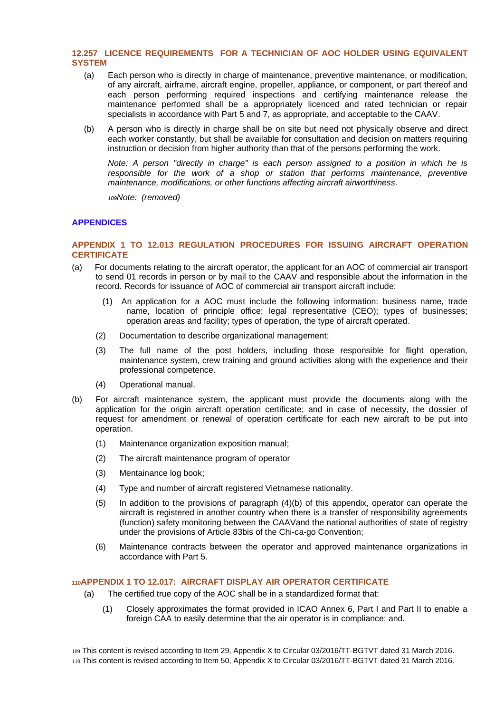# <span id="page-42-0"></span>**12.257 LICENCE REQUIREMENTS FOR A TECHNICIAN OF AOC HOLDER USING EQUIVALENT SYSTEM**

- (a) Each person who is directly in charge of maintenance, preventive maintenance, or modification, of any aircraft, airframe, aircraft engine, propeller, appliance, or component, or part thereof and each person performing required inspections and certifying maintenance release the maintenance performed shall be a appropriately licenced and rated technician or repair specialists in accordance with Part 5 and 7, as appropriate, and acceptable to the CAAV.
- (b) A person who is directly in charge shall be on site but need not physically observe and direct each worker constantly, but shall be available for consultation and decision on matters requiring instruction or decision from higher authority than that of the persons performing the work.

*Note: A person "directly in charge" is each person assigned to a position in which he is responsible for the work of a shop or station that performs maintenance, preventive maintenance, modifications, or other functions affecting aircraft airworthiness.*

*<sup>109</sup>Note: (removed)*

# <span id="page-42-1"></span>**APPENDICES**

# <span id="page-42-2"></span>**APPENDIX 1 TO 12.013 REGULATION PROCEDURES FOR ISSUING AIRCRAFT OPERATION CERTIFICATE**

- (a) For documents relating to the aircraft operator, the applicant for an AOC of commercial air transport to send 01 records in person or by mail to the CAAV and responsible about the information in the record. Records for issuance of AOC of commercial air transport aircraft include:
	- (1) An application for a AOC must include the following information: business name, trade name, location of principle office; legal representative (CEO); types of businesses; operation areas and facility; types of operation, the type of aircraft operated.
	- (2) Documentation to describe organizational management;
	- (3) The full name of the post holders, including those responsible for flight operation, maintenance system, crew training and ground activities along with the experience and their professional competence.
	- (4) Operational manual.
- (b) For aircraft maintenance system, the applicant must provide the documents along with the application for the origin aircraft operation certificate; and in case of necessity, the dossier of request for amendment or renewal of operation certificate for each new aircraft to be put into operation.
	- (1) Maintenance organization exposition manual;
	- (2) The aircraft maintenance program of operator
	- (3) Mentainance log book;
	- (4) Type and number of aircraft registered Vietnamese nationality.
	- (5) In addition to the provisions of paragraph (4)(b) of this appendix, operator can operate the aircraft is registered in another country when there is a transfer of responsibility agreements (function) safety monitoring between the CAAVand the national authorities of state of registry under the provisions of Article 83bis of the Chi-ca-go Convention;
	- (6) Maintenance contracts between the operator and approved maintenance organizations in accordance with Part 5.

# <span id="page-42-3"></span>**<sup>110</sup>APPENDIX 1 TO 12.017: AIRCRAFT DISPLAY AIR OPERATOR CERTIFICATE**

- (a) The certified true copy of the AOC shall be in a standardized format that:
	- (1) Closely approximates the format provided in ICAO Annex 6, Part I and Part II to enable a foreign CAA to easily determine that the air operator is in compliance; and.

109 This content is revised according to Item 29, Appendix X to Circular 03/2016/TT-BGTVT dated 31 March 2016. 110 This content is revised according to Item 50, Appendix X to Circular 03/2016/TT-BGTVT dated 31 March 2016.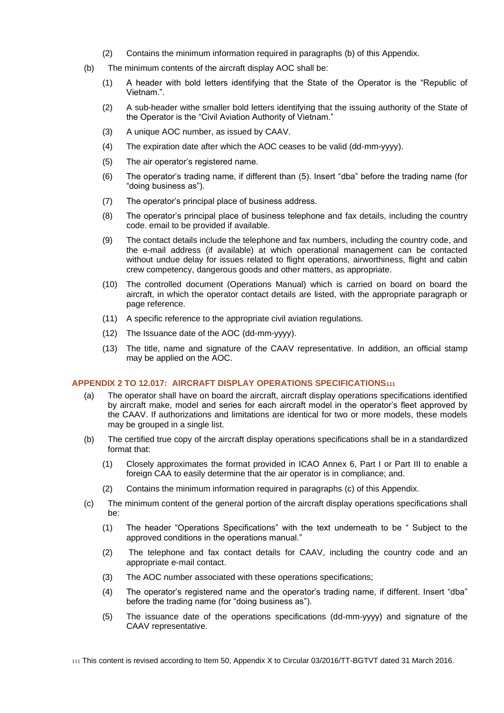- (2) Contains the minimum information required in paragraphs (b) of this Appendix.
- (b) The minimum contents of the aircraft display AOC shall be:
	- (1) A header with bold letters identifying that the State of the Operator is the "Republic of Vietnam.".
	- (2) A sub-header withe smaller bold letters identifying that the issuing authority of the State of the Operator is the "Civil Aviation Authority of Vietnam."
	- (3) A unique AOC number, as issued by CAAV.
	- (4) The expiration date after which the AOC ceases to be valid (dd-mm-yyyy).
	- (5) The air operator's registered name.
	- (6) The operator's trading name, if different than (5). Insert "dba" before the trading name (for "doing business as").
	- (7) The operator's principal place of business address.
	- (8) The operator's principal place of business telephone and fax details, including the country code. email to be provided if available.
	- (9) The contact details include the telephone and fax numbers, including the country code, and the e-mail address (if available) at which operational management can be contacted without undue delay for issues related to flight operations, airworthiness, flight and cabin crew competency, dangerous goods and other matters, as appropriate.
	- (10) The controlled document (Operations Manual) which is carried on board on board the aircraft, in which the operator contact details are listed, with the appropriate paragraph or page reference.
	- (11) A specific reference to the appropriate civil aviation regulations.
	- (12) The Issuance date of the AOC (dd-mm-yyyy).
	- (13) The title, name and signature of the CAAV representative. In addition, an official stamp may be applied on the AOC.

#### <span id="page-43-0"></span>**APPENDIX 2 TO 12.017: AIRCRAFT DISPLAY OPERATIONS SPECIFICATIONS<sup>111</sup>**

- (a) The operator shall have on board the aircraft, aircraft display operations specifications identified by aircraft make, model and series for each aircraft model in the operator's fleet approved by the CAAV. If authorizations and limitations are identical for two or more models, these models may be grouped in a single list.
- (b) The certified true copy of the aircraft display operations specifications shall be in a standardized format that:
	- (1) Closely approximates the format provided in ICAO Annex 6, Part I or Part III to enable a foreign CAA to easily determine that the air operator is in compliance; and.
	- (2) Contains the minimum information required in paragraphs (c) of this Appendix.
- (c) The minimum content of the general portion of the aircraft display operations specifications shall be:
	- (1) The header "Operations Specifications" with the text underneath to be " Subject to the approved conditions in the operations manual."
	- (2) The telephone and fax contact details for CAAV, including the country code and an appropriate e-mail contact.
	- (3) The AOC number associated with these operations specifications;
	- (4) The operator's registered name and the operator's trading name, if different. Insert "dba" before the trading name (for "doing business as").
	- (5) The issuance date of the operations specifications (dd-mm-yyyy) and signature of the CAAV representative.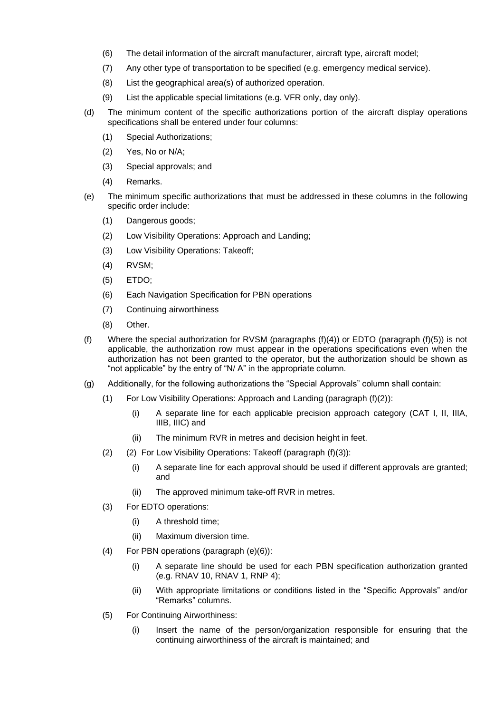- (6) The detail information of the aircraft manufacturer, aircraft type, aircraft model;
- (7) Any other type of transportation to be specified (e.g. emergency medical service).
- (8) List the geographical area(s) of authorized operation.
- (9) List the applicable special limitations (e.g. VFR only, day only).
- (d) The minimum content of the specific authorizations portion of the aircraft display operations specifications shall be entered under four columns:
	- (1) Special Authorizations;
	- (2) Yes, No or N/A;
	- (3) Special approvals; and
	- (4) Remarks.
- (e) The minimum specific authorizations that must be addressed in these columns in the following specific order include:
	- (1) Dangerous goods;
	- (2) Low Visibility Operations: Approach and Landing;
	- (3) Low Visibility Operations: Takeoff;
	- (4) RVSM;
	- (5) ETDO;
	- (6) Each Navigation Specification for PBN operations
	- (7) Continuing airworthiness
	- (8) Other.
- (f) Where the special authorization for RVSM (paragraphs  $(f)(4)$ ) or EDTO (paragraph  $(f)(5)$ ) is not applicable, the authorization row must appear in the operations specifications even when the authorization has not been granted to the operator, but the authorization should be shown as "not applicable" by the entry of "N/ A" in the appropriate column.
- (g) Additionally, for the following authorizations the "Special Approvals" column shall contain:
	- (1) For Low Visibility Operations: Approach and Landing (paragraph (f)(2)):
		- (i) A separate line for each applicable precision approach category (CAT I, II, IIIA, IIIB, IIIC) and
		- (ii) The minimum RVR in metres and decision height in feet.
	- (2) (2) For Low Visibility Operations: Takeoff (paragraph (f)(3)):
		- (i) A separate line for each approval should be used if different approvals are granted; and
		- (ii) The approved minimum take-off RVR in metres.
	- (3) For EDTO operations:
		- (i) A threshold time;
		- (ii) Maximum diversion time.
	- (4) For PBN operations (paragraph (e)(6)):
		- (i) A separate line should be used for each PBN specification authorization granted (e.g. RNAV 10, RNAV 1, RNP 4);
		- (ii) With appropriate limitations or conditions listed in the "Specific Approvals" and/or "Remarks" columns.
	- (5) For Continuing Airworthiness:
		- (i) Insert the name of the person/organization responsible for ensuring that the continuing airworthiness of the aircraft is maintained; and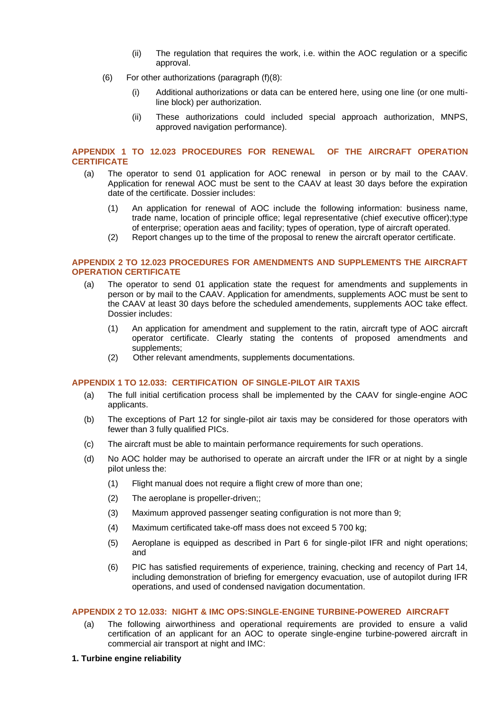- (ii) The regulation that requires the work, i.e. within the AOC regulation or a specific approval.
- (6) For other authorizations (paragraph (f)(8):
	- (i) Additional authorizations or data can be entered here, using one line (or one multiline block) per authorization.
	- (ii) These authorizations could included special approach authorization, MNPS, approved navigation performance).

#### <span id="page-45-0"></span>**APPENDIX 1 TO 12.023 PROCEDURES FOR RENEWAL OF THE AIRCRAFT OPERATION CERTIFICATE**

- (a) The operator to send 01 application for AOC renewal in person or by mail to the CAAV. Application for renewal AOC must be sent to the CAAV at least 30 days before the expiration date of the certificate. Dossier includes:
	- (1) An application for renewal of AOC include the following information: business name, trade name, location of principle office; legal representative (chief executive officer);type of enterprise; operation aeas and facility; types of operation, type of aircraft operated.
	- (2) Report changes up to the time of the proposal to renew the aircraft operator certificate.

#### <span id="page-45-1"></span>**APPENDIX 2 TO 12.023 PROCEDURES FOR AMENDMENTS AND SUPPLEMENTS THE AIRCRAFT OPERATION CERTIFICATE**

- (a) The operator to send 01 application state the request for amendments and supplements in person or by mail to the CAAV. Application for amendments, supplements AOC must be sent to the CAAV at least 30 days before the scheduled amendements, supplements AOC take effect. Dossier includes:
	- (1) An application for amendment and supplement to the ratin, aircraft type of AOC aircraft operator certificate. Clearly stating the contents of proposed amendments and supplements;
	- (2) Other relevant amendments, supplements documentations.

#### <span id="page-45-2"></span>**APPENDIX 1 TO 12.033: CERTIFICATION OF SINGLE-PILOT AIR TAXIS**

- (a) The full initial certification process shall be implemented by the CAAV for single-engine AOC applicants.
- (b) The exceptions of Part 12 for single-pilot air taxis may be considered for those operators with fewer than 3 fully qualified PICs.
- (c) The aircraft must be able to maintain performance requirements for such operations.
- (d) No AOC holder may be authorised to operate an aircraft under the IFR or at night by a single pilot unless the:
	- (1) Flight manual does not require a flight crew of more than one;
	- (2) The aeroplane is propeller-driven;;
	- (3) Maximum approved passenger seating configuration is not more than 9;
	- (4) Maximum certificated take-off mass does not exceed 5 700 kg;
	- (5) Aeroplane is equipped as described in Part 6 for single-pilot IFR and night operations; and
	- (6) PIC has satisfied requirements of experience, training, checking and recency of Part 14, including demonstration of briefing for emergency evacuation, use of autopilot during IFR operations, and used of condensed navigation documentation.

#### <span id="page-45-3"></span>**APPENDIX 2 TO 12.033: NIGHT & IMC OPS:SINGLE-ENGINE TURBINE-POWERED AIRCRAFT**

- (a) The following airworthiness and operational requirements are provided to ensure a valid certification of an applicant for an AOC to operate single-engine turbine-powered aircraft in commercial air transport at night and IMC:
- **1. Turbine engine reliability**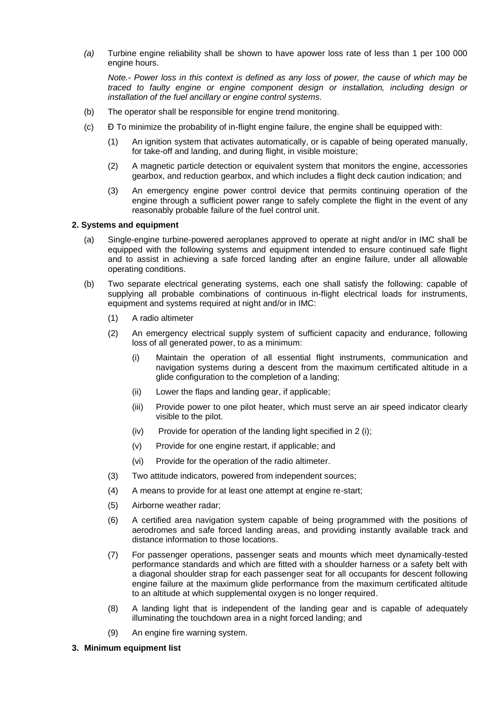*(a)* Turbine engine reliability shall be shown to have apower loss rate of less than 1 per 100 000 engine hours.

*Note.- Power loss in this context is defined as any loss of power, the cause of which may be traced to faulty engine or engine component design or installation, including design or installation of the fuel ancillary or engine control systems.*

- (b) The operator shall be responsible for engine trend monitoring.
- (c) Đ To minimize the probability of in-flight engine failure, the engine shall be equipped with:
	- (1) An ignition system that activates automatically, or is capable of being operated manually, for take-off and landing, and during flight, in visible moisture;
	- (2) A magnetic particle detection or equivalent system that monitors the engine, accessories gearbox, and reduction gearbox, and which includes a flight deck caution indication; and
	- (3) An emergency engine power control device that permits continuing operation of the engine through a sufficient power range to safely complete the flight in the event of any reasonably probable failure of the fuel control unit.

# **2. Systems and equipment**

- (a) Single-engine turbine-powered aeroplanes approved to operate at night and/or in IMC shall be equipped with the following systems and equipment intended to ensure continued safe flight and to assist in achieving a safe forced landing after an engine failure, under all allowable operating conditions.
- (b) Two separate electrical generating systems, each one shall satisfy the following: capable of supplying all probable combinations of continuous in-flight electrical loads for instruments, equipment and systems required at night and/or in IMC:
	- (1) A radio altimeter
	- (2) An emergency electrical supply system of sufficient capacity and endurance, following loss of all generated power, to as a minimum:
		- (i) Maintain the operation of all essential flight instruments, communication and navigation systems during a descent from the maximum certificated altitude in a glide configuration to the completion of a landing;
		- (ii) Lower the flaps and landing gear, if applicable;
		- (iii) Provide power to one pilot heater, which must serve an air speed indicator clearly visible to the pilot.
		- $(iv)$  Provide for operation of the landing light specified in 2 (i);
		- (v) Provide for one engine restart, if applicable; and
		- (vi) Provide for the operation of the radio altimeter.
	- (3) Two attitude indicators, powered from independent sources;
	- (4) A means to provide for at least one attempt at engine re-start;
	- (5) Airborne weather radar;
	- (6) A certified area navigation system capable of being programmed with the positions of aerodromes and safe forced landing areas, and providing instantly available track and distance information to those locations.
	- (7) For passenger operations, passenger seats and mounts which meet dynamically-tested performance standards and which are fitted with a shoulder harness or a safety belt with a diagonal shoulder strap for each passenger seat for all occupants for descent following engine failure at the maximum glide performance from the maximum certificated altitude to an altitude at which supplemental oxygen is no longer required.
	- (8) A landing light that is independent of the landing gear and is capable of adequately illuminating the touchdown area in a night forced landing; and
	- (9) An engine fire warning system.

#### **3. Minimum equipment list**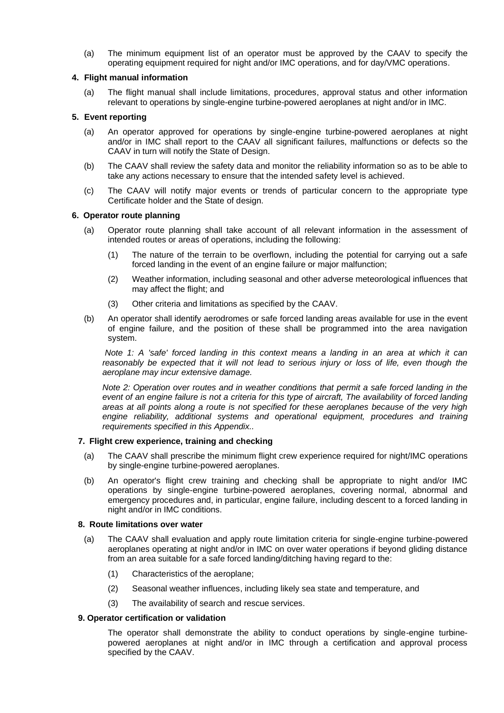(a) The minimum equipment list of an operator must be approved by the CAAV to specify the operating equipment required for night and/or IMC operations, and for day/VMC operations.

# **4. Flight manual information**

(a) The flight manual shall include limitations, procedures, approval status and other information relevant to operations by single-engine turbine-powered aeroplanes at night and/or in IMC.

# **5. Event reporting**

- (a) An operator approved for operations by single-engine turbine-powered aeroplanes at night and/or in IMC shall report to the CAAV all significant failures, malfunctions or defects so the CAAV in turn will notify the State of Design.
- (b) The CAAV shall review the safety data and monitor the reliability information so as to be able to take any actions necessary to ensure that the intended safety level is achieved.
- (c) The CAAV will notify major events or trends of particular concern to the appropriate type Certificate holder and the State of design.

#### **6. Operator route planning**

- (a) Operator route planning shall take account of all relevant information in the assessment of intended routes or areas of operations, including the following:
	- (1) The nature of the terrain to be overflown, including the potential for carrying out a safe forced landing in the event of an engine failure or major malfunction;
	- (2) Weather information, including seasonal and other adverse meteorological influences that may affect the flight; and
	- (3) Other criteria and limitations as specified by the CAAV.
- (b) An operator shall identify aerodromes or safe forced landing areas available for use in the event of engine failure, and the position of these shall be programmed into the area navigation system.

*Note 1: A 'safe' forced landing in this context means a landing in an area at which it can*  reasonably be expected that it will not lead to serious injury or loss of life, even though the *aeroplane may incur extensive damage.*

*Note 2: Operation over routes and in weather conditions that permit a safe forced landing in the event of an engine failure is not a criteria for this type of aircraft, The availability of forced landing areas at all points along a route is not specified for these aeroplanes because of the very high engine reliability, additional systems and operational equipment, procedures and training requirements specified in this Appendix..*

#### **7. Flight crew experience, training and checking**

- (a) The CAAV shall prescribe the minimum flight crew experience required for night/IMC operations by single-engine turbine-powered aeroplanes.
- (b) An operator's flight crew training and checking shall be appropriate to night and/or IMC operations by single-engine turbine-powered aeroplanes, covering normal, abnormal and emergency procedures and, in particular, engine failure, including descent to a forced landing in night and/or in IMC conditions.

#### **8. Route limitations over water**

- (a) The CAAV shall evaluation and apply route limitation criteria for single-engine turbine-powered aeroplanes operating at night and/or in IMC on over water operations if beyond gliding distance from an area suitable for a safe forced landing/ditching having regard to the:
	- (1) Characteristics of the aeroplane;
	- (2) Seasonal weather influences, including likely sea state and temperature, and
	- (3) The availability of search and rescue services.

#### **9. Operator certification or validation**

The operator shall demonstrate the ability to conduct operations by single-engine turbinepowered aeroplanes at night and/or in IMC through a certification and approval process specified by the CAAV.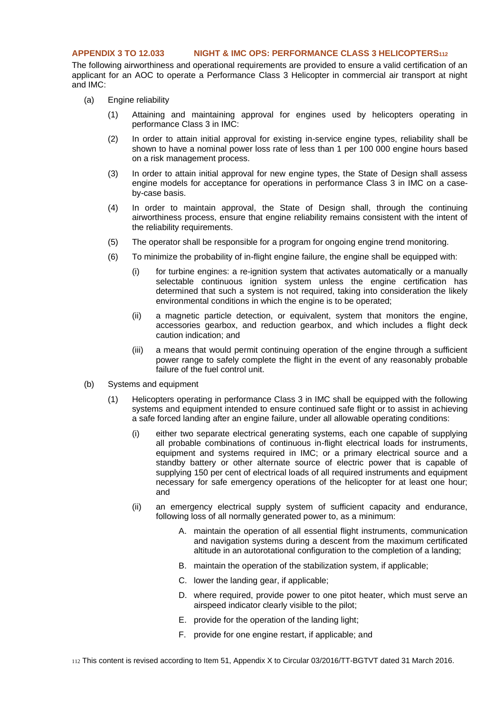#### <span id="page-48-0"></span>**APPENDIX 3 TO 12.033 NIGHT & IMC OPS: PERFORMANCE CLASS 3 HELICOPTERS<sup>112</sup>**

The following airworthiness and operational requirements are provided to ensure a valid certification of an applicant for an AOC to operate a Performance Class 3 Helicopter in commercial air transport at night and IMC:

- (a) Engine reliability
	- (1) Attaining and maintaining approval for engines used by helicopters operating in performance Class 3 in IMC:
	- (2) In order to attain initial approval for existing in-service engine types, reliability shall be shown to have a nominal power loss rate of less than 1 per 100 000 engine hours based on a risk management process.
	- (3) In order to attain initial approval for new engine types, the State of Design shall assess engine models for acceptance for operations in performance Class 3 in IMC on a caseby-case basis.
	- (4) In order to maintain approval, the State of Design shall, through the continuing airworthiness process, ensure that engine reliability remains consistent with the intent of the reliability requirements.
	- (5) The operator shall be responsible for a program for ongoing engine trend monitoring.
	- (6) To minimize the probability of in-flight engine failure, the engine shall be equipped with:
		- (i) for turbine engines: a re-ignition system that activates automatically or a manually selectable continuous ignition system unless the engine certification has determined that such a system is not required, taking into consideration the likely environmental conditions in which the engine is to be operated;
		- (ii) a magnetic particle detection, or equivalent, system that monitors the engine, accessories gearbox, and reduction gearbox, and which includes a flight deck caution indication; and
		- (iii) a means that would permit continuing operation of the engine through a sufficient power range to safely complete the flight in the event of any reasonably probable failure of the fuel control unit.
- (b) Systems and equipment
	- (1) Helicopters operating in performance Class 3 in IMC shall be equipped with the following systems and equipment intended to ensure continued safe flight or to assist in achieving a safe forced landing after an engine failure, under all allowable operating conditions:
		- (i) either two separate electrical generating systems, each one capable of supplying all probable combinations of continuous in-flight electrical loads for instruments, equipment and systems required in IMC; or a primary electrical source and a standby battery or other alternate source of electric power that is capable of supplying 150 per cent of electrical loads of all required instruments and equipment necessary for safe emergency operations of the helicopter for at least one hour; and
		- (ii) an emergency electrical supply system of sufficient capacity and endurance, following loss of all normally generated power to, as a minimum:
			- A. maintain the operation of all essential flight instruments, communication and navigation systems during a descent from the maximum certificated altitude in an autorotational configuration to the completion of a landing;
			- B. maintain the operation of the stabilization system, if applicable;
			- C. lower the landing gear, if applicable;
			- D. where required, provide power to one pitot heater, which must serve an airspeed indicator clearly visible to the pilot;
			- E. provide for the operation of the landing light;
			- F. provide for one engine restart, if applicable; and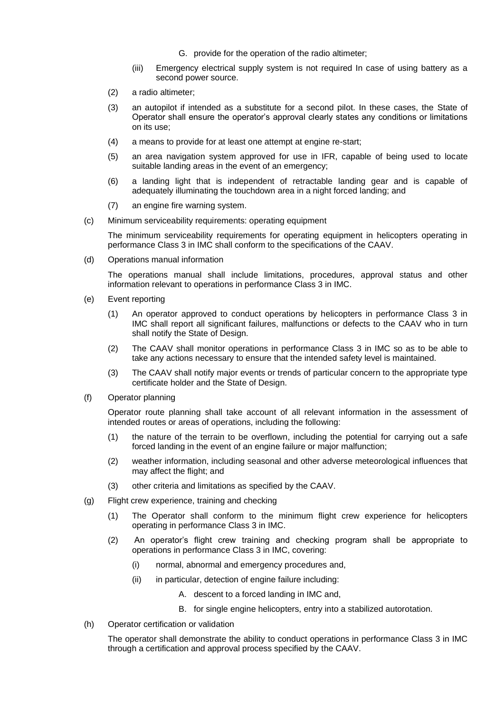- G. provide for the operation of the radio altimeter;
- (iii) Emergency electrical supply system is not required In case of using battery as a second power source.
- (2) a radio altimeter;
- (3) an autopilot if intended as a substitute for a second pilot. In these cases, the State of Operator shall ensure the operator's approval clearly states any conditions or limitations on its use;
- (4) a means to provide for at least one attempt at engine re-start;
- (5) an area navigation system approved for use in IFR, capable of being used to locate suitable landing areas in the event of an emergency;
- (6) a landing light that is independent of retractable landing gear and is capable of adequately illuminating the touchdown area in a night forced landing; and
- (7) an engine fire warning system.
- (c) Minimum serviceability requirements: operating equipment

The minimum serviceability requirements for operating equipment in helicopters operating in performance Class 3 in IMC shall conform to the specifications of the CAAV.

(d) Operations manual information

The operations manual shall include limitations, procedures, approval status and other information relevant to operations in performance Class 3 in IMC.

- (e) Event reporting
	- (1) An operator approved to conduct operations by helicopters in performance Class 3 in IMC shall report all significant failures, malfunctions or defects to the CAAV who in turn shall notify the State of Design.
	- (2) The CAAV shall monitor operations in performance Class 3 in IMC so as to be able to take any actions necessary to ensure that the intended safety level is maintained.
	- (3) The CAAV shall notify major events or trends of particular concern to the appropriate type certificate holder and the State of Design.
- (f) Operator planning

Operator route planning shall take account of all relevant information in the assessment of intended routes or areas of operations, including the following:

- (1) the nature of the terrain to be overflown, including the potential for carrying out a safe forced landing in the event of an engine failure or major malfunction;
- (2) weather information, including seasonal and other adverse meteorological influences that may affect the flight; and
- (3) other criteria and limitations as specified by the CAAV.
- (g) Flight crew experience, training and checking
	- (1) The Operator shall conform to the minimum flight crew experience for helicopters operating in performance Class 3 in IMC.
	- (2) An operator's flight crew training and checking program shall be appropriate to operations in performance Class 3 in IMC, covering:
		- (i) normal, abnormal and emergency procedures and,
		- (ii) in particular, detection of engine failure including:
			- A. descent to a forced landing in IMC and,
			- B. for single engine helicopters, entry into a stabilized autorotation.
- (h) Operator certification or validation

The operator shall demonstrate the ability to conduct operations in performance Class 3 in IMC through a certification and approval process specified by the CAAV.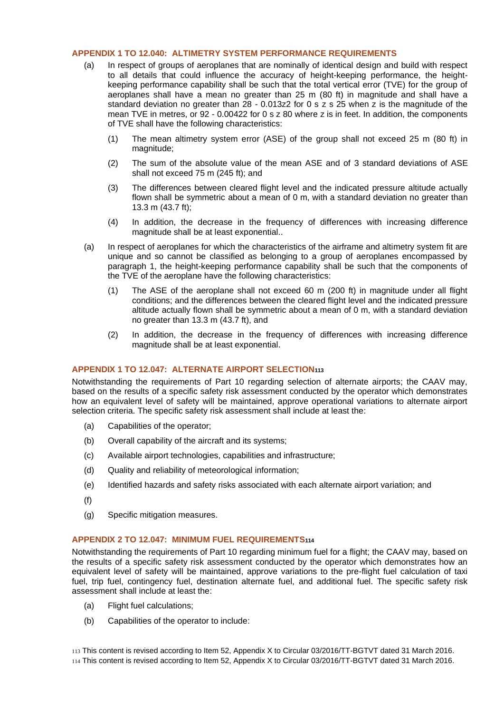# <span id="page-50-0"></span>**APPENDIX 1 TO 12.040: ALTIMETRY SYSTEM PERFORMANCE REQUIREMENTS**

- (a) In respect of groups of aeroplanes that are nominally of identical design and build with respect to all details that could influence the accuracy of height-keeping performance, the heightkeeping performance capability shall be such that the total vertical error (TVE) for the group of aeroplanes shall have a mean no greater than 25 m (80 ft) in magnitude and shall have a standard deviation no greater than 28 - 0.013z2 for 0 s z s 25 when z is the magnitude of the mean TVE in metres, or 92 - 0.00422 for 0 s z 80 where z is in feet. In addition, the components of TVE shall have the following characteristics:
	- (1) The mean altimetry system error (ASE) of the group shall not exceed 25 m (80 ft) in magnitude;
	- (2) The sum of the absolute value of the mean ASE and of 3 standard deviations of ASE shall not exceed 75 m (245 ft); and
	- (3) The differences between cleared flight level and the indicated pressure altitude actually flown shall be symmetric about a mean of 0 m, with a standard deviation no greater than 13.3 m (43.7 ft);
	- (4) In addition, the decrease in the frequency of differences with increasing difference magnitude shall be at least exponential..
- (a) In respect of aeroplanes for which the characteristics of the airframe and altimetry system fit are unique and so cannot be classified as belonging to a group of aeroplanes encompassed by paragraph 1, the height-keeping performance capability shall be such that the components of the TVE of the aeroplane have the following characteristics:
	- (1) The ASE of the aeroplane shall not exceed 60 m (200 ft) in magnitude under all flight conditions; and the differences between the cleared flight level and the indicated pressure altitude actually flown shall be symmetric about a mean of 0 m, with a standard deviation no greater than 13.3 m (43.7 ft), and
	- (2) In addition, the decrease in the frequency of differences with increasing difference magnitude shall be at least exponential.

# <span id="page-50-1"></span>**APPENDIX 1 TO 12.047: ALTERNATE AIRPORT SELECTION<sup>113</sup>**

Notwithstanding the requirements of Part 10 regarding selection of alternate airports; the CAAV may, based on the results of a specific safety risk assessment conducted by the operator which demonstrates how an equivalent level of safety will be maintained, approve operational variations to alternate airport selection criteria. The specific safety risk assessment shall include at least the:

- (a) Capabilities of the operator;
- (b) Overall capability of the aircraft and its systems;
- (c) Available airport technologies, capabilities and infrastructure;
- (d) Quality and reliability of meteorological information;
- (e) Identified hazards and safety risks associated with each alternate airport variation; and
- (f)
- (g) Specific mitigation measures.

#### <span id="page-50-2"></span>**APPENDIX 2 TO 12.047: MINIMUM FUEL REQUIREMENTS<sup>114</sup>**

Notwithstanding the requirements of Part 10 regarding minimum fuel for a flight; the CAAV may, based on the results of a specific safety risk assessment conducted by the operator which demonstrates how an equivalent level of safety will be maintained, approve variations to the pre-flight fuel calculation of taxi fuel, trip fuel, contingency fuel, destination alternate fuel, and additional fuel. The specific safety risk assessment shall include at least the:

- (a) Flight fuel calculations;
- (b) Capabilities of the operator to include:

113 This content is revised according to Item 52, Appendix X to Circular 03/2016/TT-BGTVT dated 31 March 2016. 114 This content is revised according to Item 52, Appendix X to Circular 03/2016/TT-BGTVT dated 31 March 2016.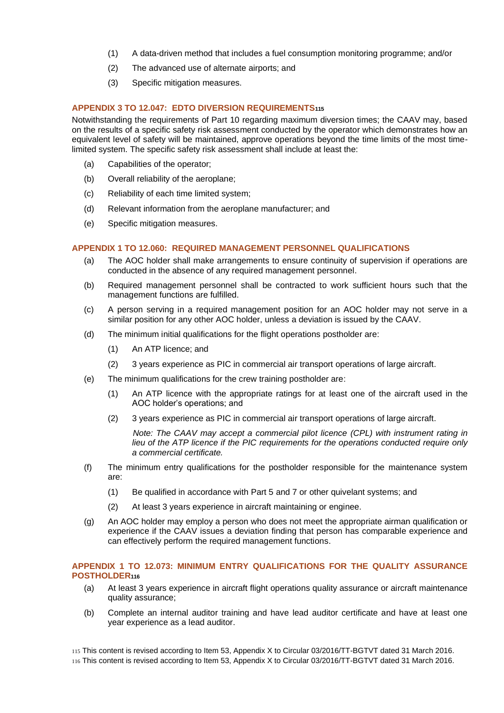- (1) A data-driven method that includes a fuel consumption monitoring programme; and/or
- (2) The advanced use of alternate airports; and
- (3) Specific mitigation measures.

#### <span id="page-51-0"></span>**APPENDIX 3 TO 12.047: EDTO DIVERSION REQUIREMENTS<sup>115</sup>**

Notwithstanding the requirements of Part 10 regarding maximum diversion times; the CAAV may, based on the results of a specific safety risk assessment conducted by the operator which demonstrates how an equivalent level of safety will be maintained, approve operations beyond the time limits of the most timelimited system. The specific safety risk assessment shall include at least the:

- (a) Capabilities of the operator;
- (b) Overall reliability of the aeroplane;
- (c) Reliability of each time limited system;
- (d) Relevant information from the aeroplane manufacturer; and
- (e) Specific mitigation measures.

# <span id="page-51-1"></span>**APPENDIX 1 TO 12.060: REQUIRED MANAGEMENT PERSONNEL QUALIFICATIONS**

- (a) The AOC holder shall make arrangements to ensure continuity of supervision if operations are conducted in the absence of any required management personnel.
- (b) Required management personnel shall be contracted to work sufficient hours such that the management functions are fulfilled.
- (c) A person serving in a required management position for an AOC holder may not serve in a similar position for any other AOC holder, unless a deviation is issued by the CAAV.
- (d) The minimum initial qualifications for the flight operations postholder are:
	- (1) An ATP licence; and
	- (2) 3 years experience as PIC in commercial air transport operations of large aircraft.
- (e) The minimum qualifications for the crew training postholder are:
	- (1) An ATP licence with the appropriate ratings for at least one of the aircraft used in the AOC holder's operations; and
	- (2) 3 years experience as PIC in commercial air transport operations of large aircraft.

*Note: The CAAV may accept a commercial pilot licence (CPL) with instrument rating in lieu of the ATP licence if the PIC requirements for the operations conducted require only a commercial certificate.*

- (f) The minimum entry qualifications for the postholder responsible for the maintenance system are:
	- (1) Be qualified in accordance with Part 5 and 7 or other quivelant systems; and
	- (2) At least 3 years experience in aircraft maintaining or enginee.
- (g) An AOC holder may employ a person who does not meet the appropriate airman qualification or experience if the CAAV issues a deviation finding that person has comparable experience and can effectively perform the required management functions.

#### <span id="page-51-2"></span>**APPENDIX 1 TO 12.073: MINIMUM ENTRY QUALIFICATIONS FOR THE QUALITY ASSURANCE POSTHOLDER<sup>116</sup>**

- (a) At least 3 years experience in aircraft flight operations quality assurance or aircraft maintenance quality assurance;
- (b) Complete an internal auditor training and have lead auditor certificate and have at least one year experience as a lead auditor.

115 This content is revised according to Item 53, Appendix X to Circular 03/2016/TT-BGTVT dated 31 March 2016. 116 This content is revised according to Item 53, Appendix X to Circular 03/2016/TT-BGTVT dated 31 March 2016.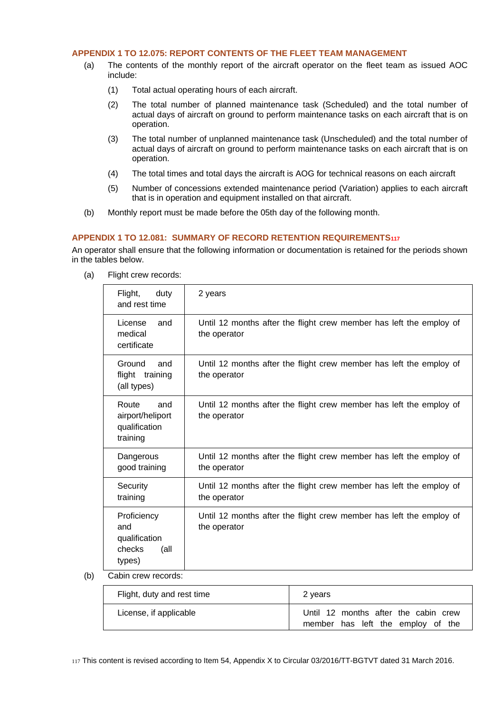# <span id="page-52-0"></span>**APPENDIX 1 TO 12.075: REPORT CONTENTS OF THE FLEET TEAM MANAGEMENT**

- (a) The contents of the monthly report of the aircraft operator on the fleet team as issued AOC include:
	- (1) Total actual operating hours of each aircraft.
	- (2) The total number of planned maintenance task (Scheduled) and the total number of actual days of aircraft on ground to perform maintenance tasks on each aircraft that is on operation.
	- (3) The total number of unplanned maintenance task (Unscheduled) and the total number of actual days of aircraft on ground to perform maintenance tasks on each aircraft that is on operation.
	- (4) The total times and total days the aircraft is AOG for technical reasons on each aircraft
	- (5) Number of concessions extended maintenance period (Variation) applies to each aircraft that is in operation and equipment installed on that aircraft.
- (b) Monthly report must be made before the 05th day of the following month.

# <span id="page-52-1"></span>**APPENDIX 1 TO 12.081: SUMMARY OF RECORD RETENTION REQUIREMENTS<sup>117</sup>**

An operator shall ensure that the following information or documentation is retained for the periods shown in the tables below.

|     | Flight,<br>duty<br>and rest time                                | 2 years                                                                             |
|-----|-----------------------------------------------------------------|-------------------------------------------------------------------------------------|
|     | License<br>and<br>medical<br>certificate                        | Until 12 months after the flight crew member has left the employ of<br>the operator |
|     | Ground<br>and<br>flight training<br>(all types)                 | Until 12 months after the flight crew member has left the employ of<br>the operator |
|     | Route<br>and<br>airport/heliport<br>qualification<br>training   | Until 12 months after the flight crew member has left the employ of<br>the operator |
|     | Dangerous<br>good training                                      | Until 12 months after the flight crew member has left the employ of<br>the operator |
|     | Security<br>training                                            | Until 12 months after the flight crew member has left the employ of<br>the operator |
|     | Proficiency<br>and<br>qualification<br>checks<br>(all<br>types) | Until 12 months after the flight crew member has left the employ of<br>the operator |
| (b) | Cabin crew records:                                             |                                                                                     |

(a) Flight crew records:

| Flight, duty and rest time | 2 years                                                                   |
|----------------------------|---------------------------------------------------------------------------|
| License, if applicable     | Until 12 months after the cabin crew<br>member has left the employ of the |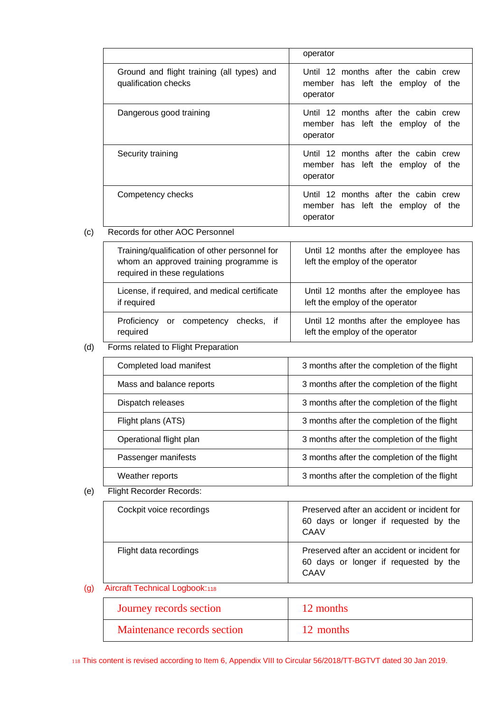|                                                                    | operator                                                                              |
|--------------------------------------------------------------------|---------------------------------------------------------------------------------------|
| Ground and flight training (all types) and<br>qualification checks | Until 12 months after the cabin crew<br>member has left the employ of the<br>operator |
| Dangerous good training                                            | Until 12 months after the cabin crew<br>member has left the employ of the<br>operator |
| Security training                                                  | Until 12 months after the cabin crew<br>member has left the employ of the<br>operator |
| Competency checks                                                  | Until 12 months after the cabin crew<br>member has left the employ of the<br>operator |

# (c) Records for other AOC Personnel

| Training/qualification of other personnel for<br>whom an approved training programme is<br>required in these regulations | Until 12 months after the employee has<br>left the employ of the operator |
|--------------------------------------------------------------------------------------------------------------------------|---------------------------------------------------------------------------|
| License, if required, and medical certificate<br>if required                                                             | Until 12 months after the employee has<br>left the employ of the operator |
| Proficiency<br>competency checks, if<br>or<br>required                                                                   | Until 12 months after the employee has<br>left the employ of the operator |

# (d) Forms related to Flight Preparation

| Completed load manifest  | 3 months after the completion of the flight |
|--------------------------|---------------------------------------------|
| Mass and balance reports | 3 months after the completion of the flight |
| Dispatch releases        | 3 months after the completion of the flight |
| Flight plans (ATS)       | 3 months after the completion of the flight |
| Operational flight plan  | 3 months after the completion of the flight |
| Passenger manifests      | 3 months after the completion of the flight |
| Weather reports          | 3 months after the completion of the flight |

(e) Flight Recorder Records:

| Cockpit voice recordings | Preserved after an accident or incident for<br>60 days or longer if requested by the<br>CAAV |
|--------------------------|----------------------------------------------------------------------------------------------|
| Flight data recordings   | Preserved after an accident or incident for<br>60 days or longer if requested by the<br>CAAV |

# (g) Aircraft Technical Logbook:<sup>118</sup>

| Journey records section     | 12 months |
|-----------------------------|-----------|
| Maintenance records section | 12 months |

118 This content is revised according to Item 6, Appendix VIII to Circular 56/2018/TT-BGTVT dated 30 Jan 2019.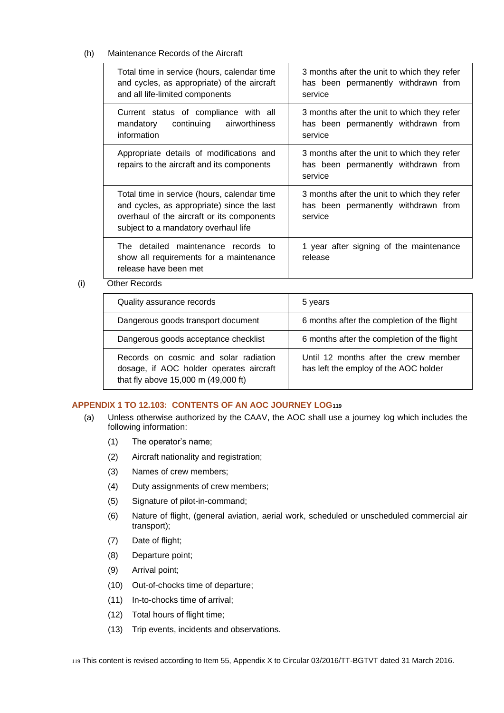# (h) Maintenance Records of the Aircraft

| Total time in service (hours, calendar time<br>and cycles, as appropriate) of the aircraft<br>and all life-limited components                                                   | 3 months after the unit to which they refer<br>has been permanently withdrawn from<br>service |
|---------------------------------------------------------------------------------------------------------------------------------------------------------------------------------|-----------------------------------------------------------------------------------------------|
| Current status of compliance with all<br>mandatory<br>continuing<br>airworthiness<br>information                                                                                | 3 months after the unit to which they refer<br>has been permanently withdrawn from<br>service |
| Appropriate details of modifications and<br>repairs to the aircraft and its components                                                                                          | 3 months after the unit to which they refer<br>has been permanently withdrawn from<br>service |
| Total time in service (hours, calendar time<br>and cycles, as appropriate) since the last<br>overhaul of the aircraft or its components<br>subject to a mandatory overhaul life | 3 months after the unit to which they refer<br>has been permanently withdrawn from<br>service |
| The detailed maintenance records to<br>show all requirements for a maintenance<br>release have been met                                                                         | 1 year after signing of the maintenance<br>release                                            |

# (i) Other Records

| Quality assurance records                                                                                               | 5 years                                                                        |
|-------------------------------------------------------------------------------------------------------------------------|--------------------------------------------------------------------------------|
| Dangerous goods transport document                                                                                      | 6 months after the completion of the flight                                    |
| Dangerous goods acceptance checklist                                                                                    | 6 months after the completion of the flight                                    |
| Records on cosmic and solar radiation<br>dosage, if AOC holder operates aircraft<br>that fly above 15,000 m (49,000 ft) | Until 12 months after the crew member<br>has left the employ of the AOC holder |

# <span id="page-54-0"></span>**APPENDIX 1 TO 12.103: CONTENTS OF AN AOC JOURNEY LOG<sup>119</sup>**

- (a) Unless otherwise authorized by the CAAV, the AOC shall use a journey log which includes the following information:
	- (1) The operator's name;
	- (2) Aircraft nationality and registration;
	- (3) Names of crew members;
	- (4) Duty assignments of crew members;
	- (5) Signature of pilot-in-command;
	- (6) Nature of flight, (general aviation, aerial work, scheduled or unscheduled commercial air transport);
	- (7) Date of flight;
	- (8) Departure point;
	- (9) Arrival point;
	- (10) Out-of-chocks time of departure;
	- (11) In-to-chocks time of arrival;
	- (12) Total hours of flight time;
	- (13) Trip events, incidents and observations.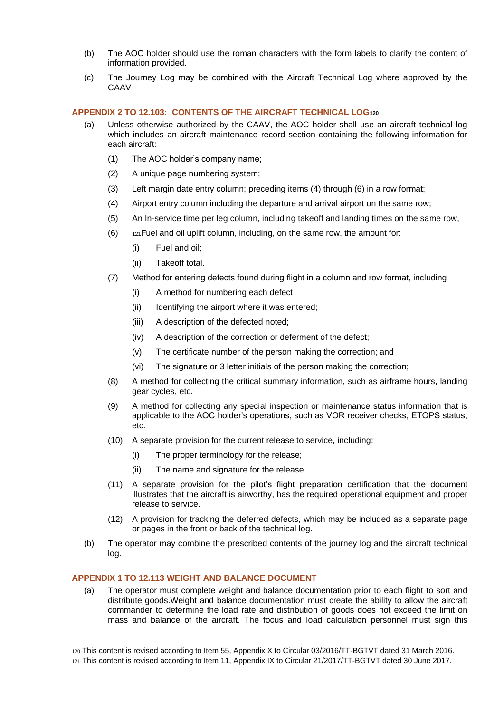- (b) The AOC holder should use the roman characters with the form labels to clarify the content of information provided.
- (c) The Journey Log may be combined with the Aircraft Technical Log where approved by the CAAV

#### <span id="page-55-0"></span>**APPENDIX 2 TO 12.103: CONTENTS OF THE AIRCRAFT TECHNICAL LOG<sup>120</sup>**

- (a) Unless otherwise authorized by the CAAV, the AOC holder shall use an aircraft technical log which includes an aircraft maintenance record section containing the following information for each aircraft:
	- (1) The AOC holder's company name;
	- (2) A unique page numbering system;
	- (3) Left margin date entry column; preceding items (4) through (6) in a row format;
	- (4) Airport entry column including the departure and arrival airport on the same row;
	- (5) An In-service time per leg column, including takeoff and landing times on the same row,
	- $(6)$  121 Fuel and oil uplift column, including, on the same row, the amount for:
		- (i) Fuel and oil;
		- (ii) Takeoff total.
	- (7) Method for entering defects found during flight in a column and row format, including
		- (i) A method for numbering each defect
		- (ii) Identifying the airport where it was entered;
		- (iii) A description of the defected noted;
		- (iv) A description of the correction or deferment of the defect;
		- (v) The certificate number of the person making the correction; and
		- (vi) The signature or 3 letter initials of the person making the correction;
	- (8) A method for collecting the critical summary information, such as airframe hours, landing gear cycles, etc.
	- (9) A method for collecting any special inspection or maintenance status information that is applicable to the AOC holder's operations, such as VOR receiver checks, ETOPS status, etc.
	- (10) A separate provision for the current release to service, including:
		- (i) The proper terminology for the release;
		- (ii) The name and signature for the release.
	- (11) A separate provision for the pilot's flight preparation certification that the document illustrates that the aircraft is airworthy, has the required operational equipment and proper release to service.
	- (12) A provision for tracking the deferred defects, which may be included as a separate page or pages in the front or back of the technical log.
- (b) The operator may combine the prescribed contents of the journey log and the aircraft technical log.

# <span id="page-55-1"></span>**APPENDIX 1 TO 12.113 WEIGHT AND BALANCE DOCUMENT**

(a) The operator must complete weight and balance documentation prior to each flight to sort and distribute goods.Weight and balance documentation must create the ability to allow the aircraft commander to determine the load rate and distribution of goods does not exceed the limit on mass and balance of the aircraft. The focus and load calculation personnel must sign this

120 This content is revised according to Item 55, Appendix X to Circular 03/2016/TT-BGTVT dated 31 March 2016. 121 This content is revised according to Item 11, Appendix IX to Circular 21/2017/TT-BGTVT dated 30 June 2017.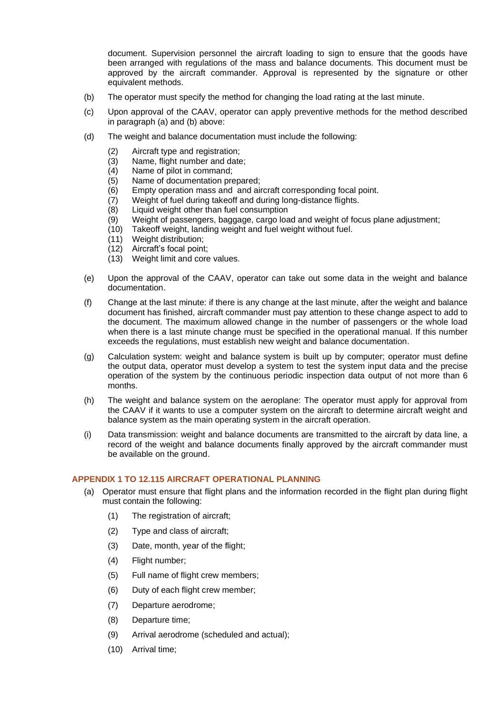document. Supervision personnel the aircraft loading to sign to ensure that the goods have been arranged with regulations of the mass and balance documents. This document must be approved by the aircraft commander. Approval is represented by the signature or other equivalent methods.

- (b) The operator must specify the method for changing the load rating at the last minute.
- (c) Upon approval of the CAAV, operator can apply preventive methods for the method described in paragraph (a) and (b) above:
- (d) The weight and balance documentation must include the following:
	- (2) Aircraft type and registration;
	- (3) Name, flight number and date;
	- (4) Name of pilot in command;
	- (5) Name of documentation prepared;
	- (6) Empty operation mass and and aircraft corresponding focal point.
	- (7) Weight of fuel during takeoff and during long-distance flights.
	- (8) Liquid weight other than fuel consumption
	- (9) Weight of passengers, baggage, cargo load and weight of focus plane adjustment;
	- (10) Takeoff weight, landing weight and fuel weight without fuel.
	- (11) Weight distribution;
	- (12) Aircraft's focal point;
	- (13) Weight limit and core values.
- (e) Upon the approval of the CAAV, operator can take out some data in the weight and balance documentation.
- (f) Change at the last minute: if there is any change at the last minute, after the weight and balance document has finished, aircraft commander must pay attention to these change aspect to add to the document. The maximum allowed change in the number of passengers or the whole load when there is a last minute change must be specified in the operational manual. If this number exceeds the regulations, must establish new weight and balance documentation.
- (g) Calculation system: weight and balance system is built up by computer; operator must define the output data, operator must develop a system to test the system input data and the precise operation of the system by the continuous periodic inspection data output of not more than 6 months.
- (h) The weight and balance system on the aeroplane: The operator must apply for approval from the CAAV if it wants to use a computer system on the aircraft to determine aircraft weight and balance system as the main operating system in the aircraft operation.
- (i) Data transmission: weight and balance documents are transmitted to the aircraft by data line, a record of the weight and balance documents finally approved by the aircraft commander must be available on the ground.

# <span id="page-56-0"></span>**APPENDIX 1 TO 12.115 AIRCRAFT OPERATIONAL PLANNING**

- (a) Operator must ensure that flight plans and the information recorded in the flight plan during flight must contain the following:
	- (1) The registration of aircraft;
	- (2) Type and class of aircraft;
	- (3) Date, month, year of the flight;
	- (4) Flight number;
	- (5) Full name of flight crew members;
	- (6) Duty of each flight crew member;
	- (7) Departure aerodrome;
	- (8) Departure time;
	- (9) Arrival aerodrome (scheduled and actual);
	- (10) Arrival time;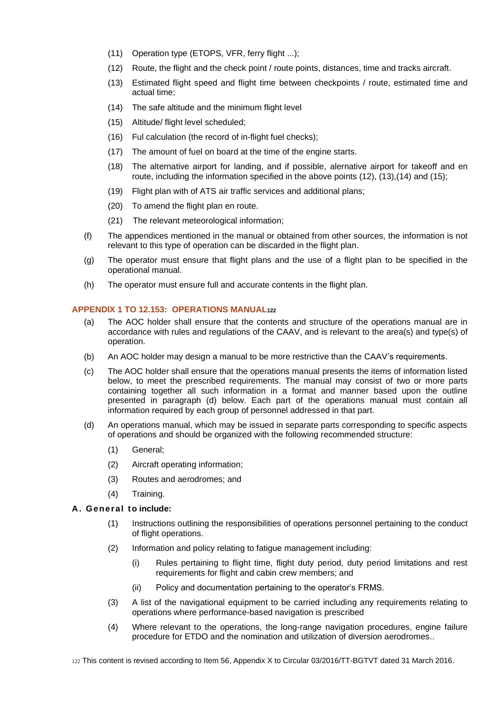- (11) Operation type (ETOPS, VFR, ferry flight ...);
- (12) Route, the flight and the check point / route points, distances, time and tracks aircraft.
- (13) Estimated flight speed and flight time between checkpoints / route, estimated time and actual time;
- (14) The safe altitude and the minimum flight level
- (15) Altitude/ flight level scheduled;
- (16) Ful calculation (the record of in-flight fuel checks);
- (17) The amount of fuel on board at the time of the engine starts.
- (18) The alternative airport for landing, and if possible, alernative airport for takeoff and en route, including the information specified in the above points (12), (13),(14) and (15);
- (19) Flight plan with of ATS air traffic services and additional plans;
- (20) To amend the flight plan en route.
- (21) The relevant meteorological information;
- (f) The appendices mentioned in the manual or obtained from other sources, the information is not relevant to this type of operation can be discarded in the flight plan.
- (g) The operator must ensure that flight plans and the use of a flight plan to be specified in the operational manual.
- (h) The operator must ensure full and accurate contents in the flight plan.

# <span id="page-57-0"></span>**APPENDIX 1 TO 12.153: OPERATIONS MANUAL<sup>122</sup>**

- (a) The AOC holder shall ensure that the contents and structure of the operations manual are in accordance with rules and regulations of the CAAV, and is relevant to the area(s) and type(s) of operation.
- (b) An AOC holder may design a manual to be more restrictive than the CAAV's requirements.
- (c) The AOC holder shall ensure that the operations manual presents the items of information listed below, to meet the prescribed requirements. The manual may consist of two or more parts containing together all such information in a format and manner based upon the outline presented in paragraph (d) below. Each part of the operations manual must contain all information required by each group of personnel addressed in that part.
- (d) An operations manual, which may be issued in separate parts corresponding to specific aspects of operations and should be organized with the following recommended structure:
	- (1) General;
	- (2) Aircraft operating information;
	- (3) Routes and aerodromes; and
	- (4) Training.

#### **A. General to include:**

- (1) Instructions outlining the responsibilities of operations personnel pertaining to the conduct of flight operations.
- (2) Information and policy relating to fatigue management including:
	- (i) Rules pertaining to flight time, flight duty period, duty period limitations and rest requirements for flight and cabin crew members; and
	- (ii) Policy and documentation pertaining to the operator's FRMS.
- (3) A list of the navigational equipment to be carried including any requirements relating to operations where performance-based navigation is prescribed
- (4) Where relevant to the operations, the long-range navigation procedures, engine failure procedure for ETDO and the nomination and utilization of diversion aerodromes..

122 This content is revised according to Item 56, Appendix X to Circular 03/2016/TT-BGTVT dated 31 March 2016.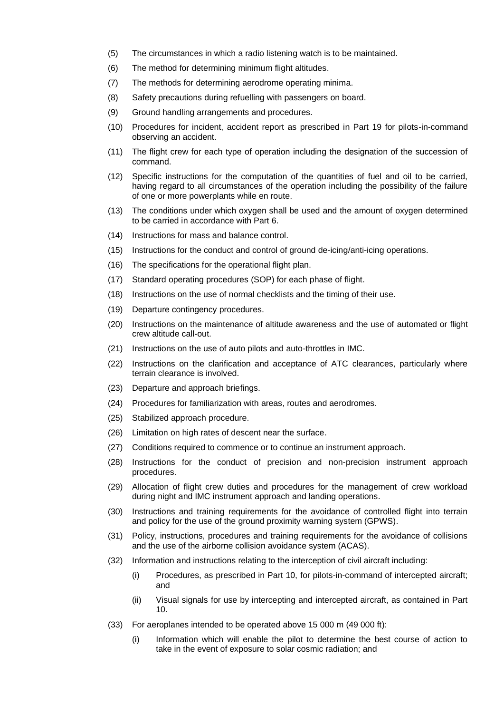- (5) The circumstances in which a radio listening watch is to be maintained.
- (6) The method for determining minimum flight altitudes.
- (7) The methods for determining aerodrome operating minima.
- (8) Safety precautions during refuelling with passengers on board.
- (9) Ground handling arrangements and procedures.
- (10) Procedures for incident, accident report as prescribed in Part 19 for pilots-in-command observing an accident.
- (11) The flight crew for each type of operation including the designation of the succession of command.
- (12) Specific instructions for the computation of the quantities of fuel and oil to be carried, having regard to all circumstances of the operation including the possibility of the failure of one or more powerplants while en route.
- (13) The conditions under which oxygen shall be used and the amount of oxygen determined to be carried in accordance with Part 6.
- (14) Instructions for mass and balance control.
- (15) Instructions for the conduct and control of ground de-icing/anti-icing operations.
- (16) The specifications for the operational flight plan.
- (17) Standard operating procedures (SOP) for each phase of flight.
- (18) Instructions on the use of normal checklists and the timing of their use.
- (19) Departure contingency procedures.
- (20) Instructions on the maintenance of altitude awareness and the use of automated or flight crew altitude call-out.
- (21) Instructions on the use of auto pilots and auto-throttles in IMC.
- (22) Instructions on the clarification and acceptance of ATC clearances, particularly where terrain clearance is involved.
- (23) Departure and approach briefings.
- (24) Procedures for familiarization with areas, routes and aerodromes.
- (25) Stabilized approach procedure.
- (26) Limitation on high rates of descent near the surface.
- (27) Conditions required to commence or to continue an instrument approach.
- (28) Instructions for the conduct of precision and non-precision instrument approach procedures.
- (29) Allocation of flight crew duties and procedures for the management of crew workload during night and IMC instrument approach and landing operations.
- (30) Instructions and training requirements for the avoidance of controlled flight into terrain and policy for the use of the ground proximity warning system (GPWS).
- (31) Policy, instructions, procedures and training requirements for the avoidance of collisions and the use of the airborne collision avoidance system (ACAS).
- (32) Information and instructions relating to the interception of civil aircraft including:
	- (i) Procedures, as prescribed in Part 10, for pilots-in-command of intercepted aircraft; and
	- (ii) Visual signals for use by intercepting and intercepted aircraft, as contained in Part 10.
- (33) For aeroplanes intended to be operated above 15 000 m (49 000 ft):
	- (i) Information which will enable the pilot to determine the best course of action to take in the event of exposure to solar cosmic radiation; and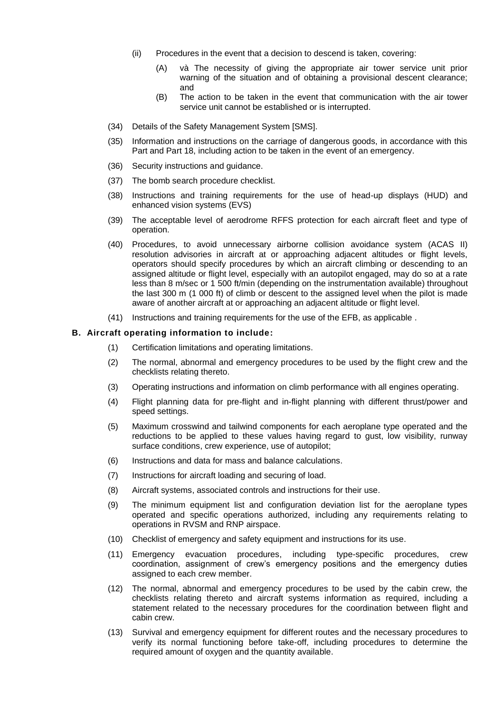- (ii) Procedures in the event that a decision to descend is taken, covering:
	- (A) và The necessity of giving the appropriate air tower service unit prior warning of the situation and of obtaining a provisional descent clearance; and
	- (B) The action to be taken in the event that communication with the air tower service unit cannot be established or is interrupted.
- (34) Details of the Safety Management System [SMS].
- (35) Information and instructions on the carriage of dangerous goods, in accordance with this Part and Part 18, including action to be taken in the event of an emergency.
- (36) Security instructions and guidance.
- (37) The bomb search procedure checklist.
- (38) Instructions and training requirements for the use of head-up displays (HUD) and enhanced vision systems (EVS)
- (39) The acceptable level of aerodrome RFFS protection for each aircraft fleet and type of operation.
- (40) Procedures, to avoid unnecessary airborne collision avoidance system (ACAS II) resolution advisories in aircraft at or approaching adjacent altitudes or flight levels, operators should specify procedures by which an aircraft climbing or descending to an assigned altitude or flight level, especially with an autopilot engaged, may do so at a rate less than 8 m/sec or 1 500 ft/min (depending on the instrumentation available) throughout the last 300 m (1 000 ft) of climb or descent to the assigned level when the pilot is made aware of another aircraft at or approaching an adjacent altitude or flight level.
- (41) Instructions and training requirements for the use of the EFB, as applicable .

#### **B. Aircraft operating information to include:**

- (1) Certification limitations and operating limitations.
- (2) The normal, abnormal and emergency procedures to be used by the flight crew and the checklists relating thereto.
- (3) Operating instructions and information on climb performance with all engines operating.
- (4) Flight planning data for pre-flight and in-flight planning with different thrust/power and speed settings.
- (5) Maximum crosswind and tailwind components for each aeroplane type operated and the reductions to be applied to these values having regard to gust, low visibility, runway surface conditions, crew experience, use of autopilot;
- (6) Instructions and data for mass and balance calculations.
- (7) Instructions for aircraft loading and securing of load.
- (8) Aircraft systems, associated controls and instructions for their use.
- (9) The minimum equipment list and configuration deviation list for the aeroplane types operated and specific operations authorized, including any requirements relating to operations in RVSM and RNP airspace.
- (10) Checklist of emergency and safety equipment and instructions for its use.
- (11) Emergency evacuation procedures, including type-specific procedures, crew coordination, assignment of crew's emergency positions and the emergency duties assigned to each crew member.
- (12) The normal, abnormal and emergency procedures to be used by the cabin crew, the checklists relating thereto and aircraft systems information as required, including a statement related to the necessary procedures for the coordination between flight and cabin crew.
- (13) Survival and emergency equipment for different routes and the necessary procedures to verify its normal functioning before take-off, including procedures to determine the required amount of oxygen and the quantity available.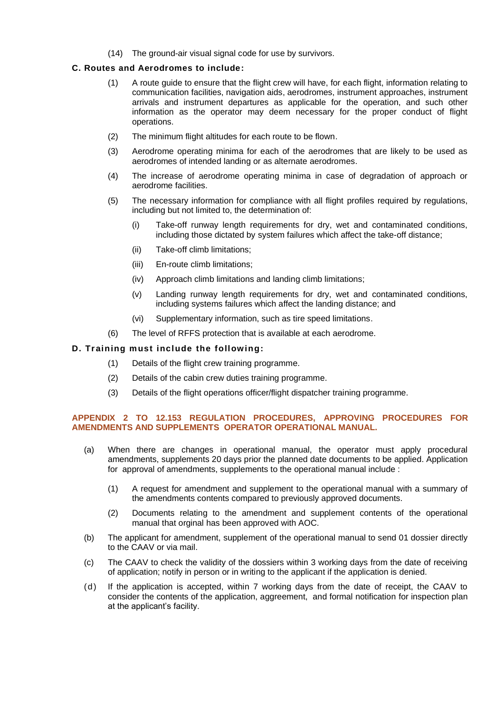(14) The ground-air visual signal code for use by survivors.

# **C. Routes and Aerodromes to include:**

- (1) A route guide to ensure that the flight crew will have, for each flight, information relating to communication facilities, navigation aids, aerodromes, instrument approaches, instrument arrivals and instrument departures as applicable for the operation, and such other information as the operator may deem necessary for the proper conduct of flight operations.
- (2) The minimum flight altitudes for each route to be flown.
- (3) Aerodrome operating minima for each of the aerodromes that are likely to be used as aerodromes of intended landing or as alternate aerodromes.
- (4) The increase of aerodrome operating minima in case of degradation of approach or aerodrome facilities.
- (5) The necessary information for compliance with all flight profiles required by regulations, including but not limited to, the determination of:
	- (i) Take-off runway length requirements for dry, wet and contaminated conditions, including those dictated by system failures which affect the take-off distance;
	- (ii) Take-off climb limitations;
	- (iii) En-route climb limitations;
	- (iv) Approach climb limitations and landing climb limitations;
	- (v) Landing runway length requirements for dry, wet and contaminated conditions, including systems failures which affect the landing distance; and
	- (vi) Supplementary information, such as tire speed limitations.
- (6) The level of RFFS protection that is available at each aerodrome.

#### **D. Training must include the following:**

- (1) Details of the flight crew training programme.
- (2) Details of the cabin crew duties training programme.
- (3) Details of the flight operations officer/flight dispatcher training programme.

#### <span id="page-60-0"></span>**APPENDIX 2 TO 12.153 REGULATION PROCEDURES, APPROVING PROCEDURES FOR AMENDMENTS AND SUPPLEMENTS OPERATOR OPERATIONAL MANUAL.**

- (a) When there are changes in operational manual, the operator must apply procedural amendments, supplements 20 days prior the planned date documents to be applied. Application for approval of amendments, supplements to the operational manual include :
	- (1) A request for amendment and supplement to the operational manual with a summary of the amendments contents compared to previously approved documents.
	- (2) Documents relating to the amendment and supplement contents of the operational manual that orginal has been approved with AOC.
- (b) The applicant for amendment, supplement of the operational manual to send 01 dossier directly to the CAAV or via mail.
- (c) The CAAV to check the validity of the dossiers within 3 working days from the date of receiving of application; notify in person or in writing to the applicant if the application is denied.
- (d) If the application is accepted, within 7 working days from the date of receipt, the CAAV to consider the contents of the application, aggreement, and formal notification for inspection plan at the applicant's facility.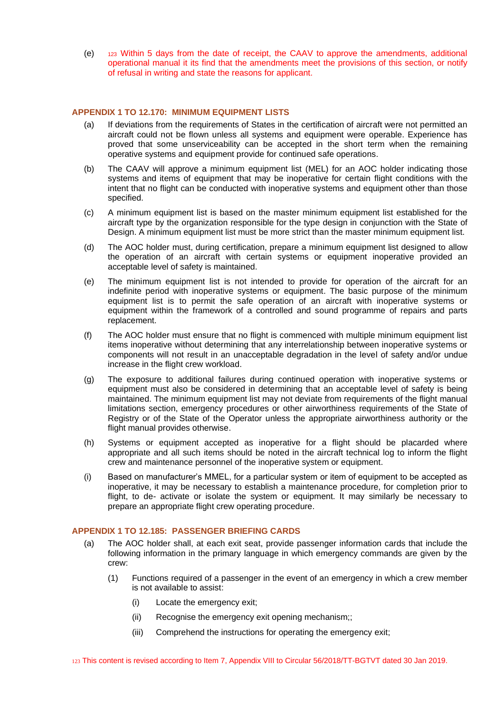(e) <sup>123</sup> Within 5 days from the date of receipt, the CAAV to approve the amendments, additional operational manual it its find that the amendments meet the provisions of this section, or notify of refusal in writing and state the reasons for applicant.

#### <span id="page-61-0"></span>**APPENDIX 1 TO 12.170: MINIMUM EQUIPMENT LISTS**

- (a) If deviations from the requirements of States in the certification of aircraft were not permitted an aircraft could not be flown unless all systems and equipment were operable. Experience has proved that some unserviceability can be accepted in the short term when the remaining operative systems and equipment provide for continued safe operations.
- (b) The CAAV will approve a minimum equipment list (MEL) for an AOC holder indicating those systems and items of equipment that may be inoperative for certain flight conditions with the intent that no flight can be conducted with inoperative systems and equipment other than those specified.
- (c) A minimum equipment list is based on the master minimum equipment list established for the aircraft type by the organization responsible for the type design in conjunction with the State of Design. A minimum equipment list must be more strict than the master minimum equipment list.
- (d) The AOC holder must, during certification, prepare a minimum equipment list designed to allow the operation of an aircraft with certain systems or equipment inoperative provided an acceptable level of safety is maintained.
- (e) The minimum equipment list is not intended to provide for operation of the aircraft for an indefinite period with inoperative systems or equipment. The basic purpose of the minimum equipment list is to permit the safe operation of an aircraft with inoperative systems or equipment within the framework of a controlled and sound programme of repairs and parts replacement.
- (f) The AOC holder must ensure that no flight is commenced with multiple minimum equipment list items inoperative without determining that any interrelationship between inoperative systems or components will not result in an unacceptable degradation in the level of safety and/or undue increase in the flight crew workload.
- (g) The exposure to additional failures during continued operation with inoperative systems or equipment must also be considered in determining that an acceptable level of safety is being maintained. The minimum equipment list may not deviate from requirements of the flight manual limitations section, emergency procedures or other airworthiness requirements of the State of Registry or of the State of the Operator unless the appropriate airworthiness authority or the flight manual provides otherwise.
- (h) Systems or equipment accepted as inoperative for a flight should be placarded where appropriate and all such items should be noted in the aircraft technical log to inform the flight crew and maintenance personnel of the inoperative system or equipment.
- (i) Based on manufacturer's MMEL, for a particular system or item of equipment to be accepted as inoperative, it may be necessary to establish a maintenance procedure, for completion prior to flight, to de- activate or isolate the system or equipment. It may similarly be necessary to prepare an appropriate flight crew operating procedure.

#### <span id="page-61-1"></span>**APPENDIX 1 TO 12.185: PASSENGER BRIEFING CARDS**

- (a) The AOC holder shall, at each exit seat, provide passenger information cards that include the following information in the primary language in which emergency commands are given by the crew:
	- (1) Functions required of a passenger in the event of an emergency in which a crew member is not available to assist:
		- (i) Locate the emergency exit;
		- (ii) Recognise the emergency exit opening mechanism;;
		- (iii) Comprehend the instructions for operating the emergency exit;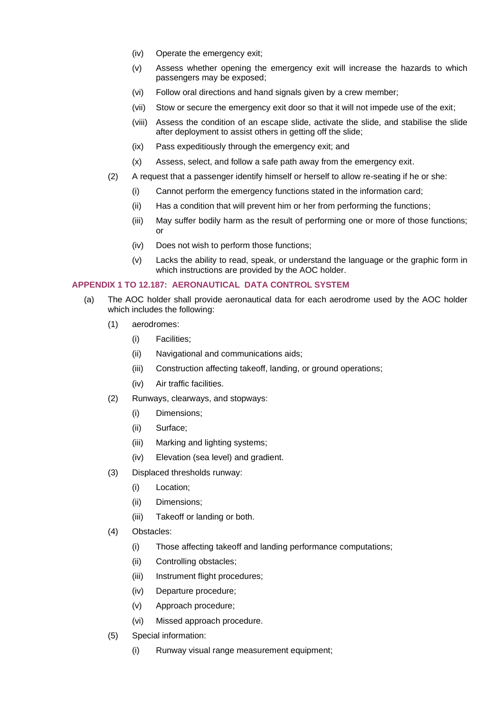- (iv) Operate the emergency exit;
- (v) Assess whether opening the emergency exit will increase the hazards to which passengers may be exposed;
- (vi) Follow oral directions and hand signals given by a crew member;
- (vii) Stow or secure the emergency exit door so that it will not impede use of the exit;
- (viii) Assess the condition of an escape slide, activate the slide, and stabilise the slide after deployment to assist others in getting off the slide;
- (ix) Pass expeditiously through the emergency exit; and
- (x) Assess, select, and follow a safe path away from the emergency exit.
- (2) A request that a passenger identify himself or herself to allow re-seating if he or she:
	- (i) Cannot perform the emergency functions stated in the information card;
	- (ii) Has a condition that will prevent him or her from performing the functions;
	- (iii) May suffer bodily harm as the result of performing one or more of those functions; or
	- (iv) Does not wish to perform those functions;
	- (v) Lacks the ability to read, speak, or understand the language or the graphic form in which instructions are provided by the AOC holder.

# **APPENDIX 1 TO 12.187: AERONAUTICAL DATA CONTROL SYSTEM**

- (a) The AOC holder shall provide aeronautical data for each aerodrome used by the AOC holder which includes the following:
	- (1) aerodromes:
		- (i) Facilities;
		- (ii) Navigational and communications aids;
		- (iii) Construction affecting takeoff, landing, or ground operations;
		- (iv) Air traffic facilities.
	- (2) Runways, clearways, and stopways:
		- (i) Dimensions;
		- (ii) Surface;
		- (iii) Marking and lighting systems;
		- (iv) Elevation (sea level) and gradient.
	- (3) Displaced thresholds runway:
		- (i) Location;
		- (ii) Dimensions;
		- (iii) Takeoff or landing or both.
	- (4) Obstacles:
		- (i) Those affecting takeoff and landing performance computations;
		- (ii) Controlling obstacles;
		- (iii) Instrument flight procedures;
		- (iv) Departure procedure;
		- (v) Approach procedure;
		- (vi) Missed approach procedure.
	- (5) Special information:
		- (i) Runway visual range measurement equipment;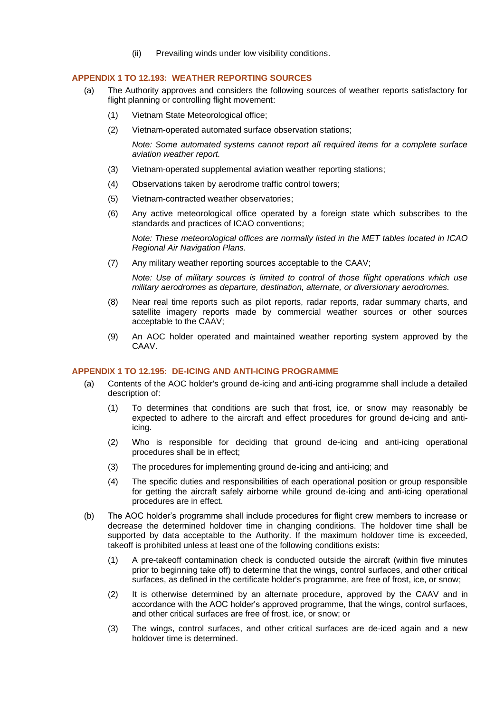(ii) Prevailing winds under low visibility conditions.

#### <span id="page-63-0"></span>**APPENDIX 1 TO 12.193: WEATHER REPORTING SOURCES**

- (a) The Authority approves and considers the following sources of weather reports satisfactory for flight planning or controlling flight movement:
	- (1) Vietnam State Meteorological office;
	- (2) Vietnam-operated automated surface observation stations;

*Note: Some automated systems cannot report all required items for a complete surface aviation weather report.*

- (3) Vietnam-operated supplemental aviation weather reporting stations;
- (4) Observations taken by aerodrome traffic control towers;
- (5) Vietnam-contracted weather observatories;
- (6) Any active meteorological office operated by a foreign state which subscribes to the standards and practices of ICAO conventions;

*Note: These meteorological offices are normally listed in the MET tables located in ICAO Regional Air Navigation Plans.*

(7) Any military weather reporting sources acceptable to the CAAV;

*Note: Use of military sources is limited to control of those flight operations which use military aerodromes as departure, destination, alternate, or diversionary aerodromes.*

- (8) Near real time reports such as pilot reports, radar reports, radar summary charts, and satellite imagery reports made by commercial weather sources or other sources acceptable to the CAAV;
- (9) An AOC holder operated and maintained weather reporting system approved by the CAAV.

#### <span id="page-63-1"></span>**APPENDIX 1 TO 12.195: DE-ICING AND ANTI-ICING PROGRAMME**

- (a) Contents of the AOC holder's ground de-icing and anti-icing programme shall include a detailed description of:
	- (1) To determines that conditions are such that frost, ice, or snow may reasonably be expected to adhere to the aircraft and effect procedures for ground de-icing and antiicing.
	- (2) Who is responsible for deciding that ground de-icing and anti-icing operational procedures shall be in effect;
	- (3) The procedures for implementing ground de-icing and anti-icing; and
	- (4) The specific duties and responsibilities of each operational position or group responsible for getting the aircraft safely airborne while ground de-icing and anti-icing operational procedures are in effect.
- (b) The AOC holder's programme shall include procedures for flight crew members to increase or decrease the determined holdover time in changing conditions. The holdover time shall be supported by data acceptable to the Authority. If the maximum holdover time is exceeded, takeoff is prohibited unless at least one of the following conditions exists:
	- (1) A pre-takeoff contamination check is conducted outside the aircraft (within five minutes prior to beginning take off) to determine that the wings, control surfaces, and other critical surfaces, as defined in the certificate holder's programme, are free of frost, ice, or snow;
	- (2) It is otherwise determined by an alternate procedure, approved by the CAAV and in accordance with the AOC holder's approved programme, that the wings, control surfaces, and other critical surfaces are free of frost, ice, or snow; or
	- (3) The wings, control surfaces, and other critical surfaces are de-iced again and a new holdover time is determined.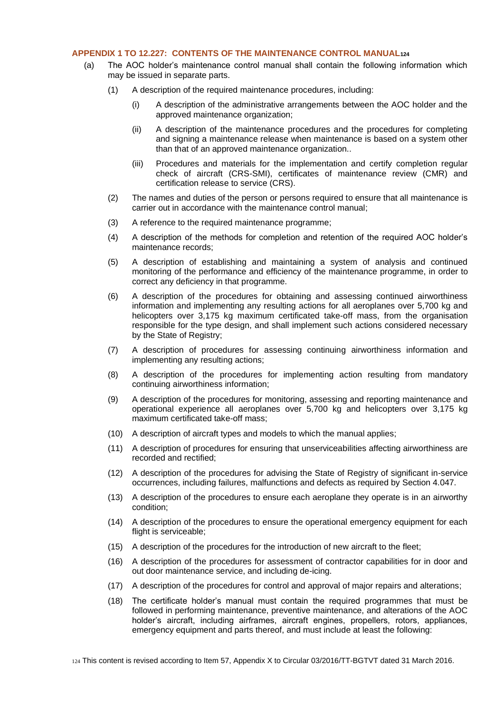# <span id="page-64-0"></span>**APPENDIX 1 TO 12.227: CONTENTS OF THE MAINTENANCE CONTROL MANUAL<sup>124</sup>**

- (a) The AOC holder's maintenance control manual shall contain the following information which may be issued in separate parts.
	- (1) A description of the required maintenance procedures, including:
		- (i) A description of the administrative arrangements between the AOC holder and the approved maintenance organization;
		- (ii) A description of the maintenance procedures and the procedures for completing and signing a maintenance release when maintenance is based on a system other than that of an approved maintenance organization..
		- (iii) Procedures and materials for the implementation and certify completion regular check of aircraft (CRS-SMI), certificates of maintenance review (CMR) and certification release to service (CRS).
	- (2) The names and duties of the person or persons required to ensure that all maintenance is carrier out in accordance with the maintenance control manual;
	- (3) A reference to the required maintenance programme;
	- (4) A description of the methods for completion and retention of the required AOC holder's maintenance records;
	- (5) A description of establishing and maintaining a system of analysis and continued monitoring of the performance and efficiency of the maintenance programme, in order to correct any deficiency in that programme.
	- (6) A description of the procedures for obtaining and assessing continued airworthiness information and implementing any resulting actions for all aeroplanes over 5,700 kg and helicopters over 3,175 kg maximum certificated take-off mass, from the organisation responsible for the type design, and shall implement such actions considered necessary by the State of Registry;
	- (7) A description of procedures for assessing continuing airworthiness information and implementing any resulting actions;
	- (8) A description of the procedures for implementing action resulting from mandatory continuing airworthiness information;
	- (9) A description of the procedures for monitoring, assessing and reporting maintenance and operational experience all aeroplanes over 5,700 kg and helicopters over 3,175 kg maximum certificated take-off mass;
	- (10) A description of aircraft types and models to which the manual applies;
	- (11) A description of procedures for ensuring that unserviceabilities affecting airworthiness are recorded and rectified;
	- (12) A description of the procedures for advising the State of Registry of significant in-service occurrences, including failures, malfunctions and defects as required by Section 4.047.
	- (13) A description of the procedures to ensure each aeroplane they operate is in an airworthy condition;
	- (14) A description of the procedures to ensure the operational emergency equipment for each flight is serviceable;
	- (15) A description of the procedures for the introduction of new aircraft to the fleet;
	- (16) A description of the procedures for assessment of contractor capabilities for in door and out door maintenance service, and including de-icing.
	- (17) A description of the procedures for control and approval of major repairs and alterations;
	- (18) The certificate holder's manual must contain the required programmes that must be followed in performing maintenance, preventive maintenance, and alterations of the AOC holder's aircraft, including airframes, aircraft engines, propellers, rotors, appliances, emergency equipment and parts thereof, and must include at least the following: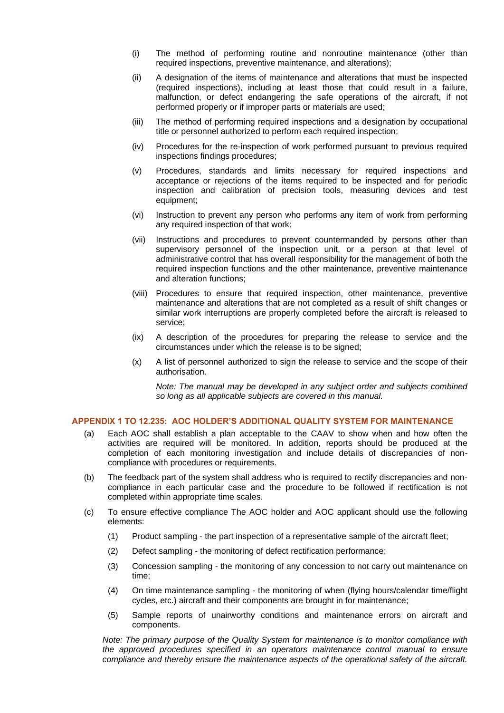- (i) The method of performing routine and nonroutine maintenance (other than required inspections, preventive maintenance, and alterations);
- (ii) A designation of the items of maintenance and alterations that must be inspected (required inspections), including at least those that could result in a failure, malfunction, or defect endangering the safe operations of the aircraft, if not performed properly or if improper parts or materials are used;
- (iii) The method of performing required inspections and a designation by occupational title or personnel authorized to perform each required inspection;
- (iv) Procedures for the re-inspection of work performed pursuant to previous required inspections findings procedures;
- (v) Procedures, standards and limits necessary for required inspections and acceptance or rejections of the items required to be inspected and for periodic inspection and calibration of precision tools, measuring devices and test equipment;
- (vi) Instruction to prevent any person who performs any item of work from performing any required inspection of that work;
- (vii) Instructions and procedures to prevent countermanded by persons other than supervisory personnel of the inspection unit, or a person at that level of administrative control that has overall responsibility for the management of both the required inspection functions and the other maintenance, preventive maintenance and alteration functions;
- (viii) Procedures to ensure that required inspection, other maintenance, preventive maintenance and alterations that are not completed as a result of shift changes or similar work interruptions are properly completed before the aircraft is released to service;
- (ix) A description of the procedures for preparing the release to service and the circumstances under which the release is to be signed;
- (x) A list of personnel authorized to sign the release to service and the scope of their authorisation.

*Note: The manual may be developed in any subject order and subjects combined so long as all applicable subjects are covered in this manual.* 

# <span id="page-65-0"></span>**APPENDIX 1 TO 12.235: AOC HOLDER'S ADDITIONAL QUALITY SYSTEM FOR MAINTENANCE**

- (a) Each AOC shall establish a plan acceptable to the CAAV to show when and how often the activities are required will be monitored. In addition, reports should be produced at the completion of each monitoring investigation and include details of discrepancies of noncompliance with procedures or requirements.
- (b) The feedback part of the system shall address who is required to rectify discrepancies and noncompliance in each particular case and the procedure to be followed if rectification is not completed within appropriate time scales.
- (c) To ensure effective compliance The AOC holder and AOC applicant should use the following elements:
	- (1) Product sampling the part inspection of a representative sample of the aircraft fleet;
	- (2) Defect sampling the monitoring of defect rectification performance;
	- (3) Concession sampling the monitoring of any concession to not carry out maintenance on time;
	- (4) On time maintenance sampling the monitoring of when (flying hours/calendar time/flight cycles, etc.) aircraft and their components are brought in for maintenance;
	- (5) Sample reports of unairworthy conditions and maintenance errors on aircraft and components.

*Note: The primary purpose of the Quality System for maintenance is to monitor compliance with the approved procedures specified in an operators maintenance control manual to ensure compliance and thereby ensure the maintenance aspects of the operational safety of the aircraft.*